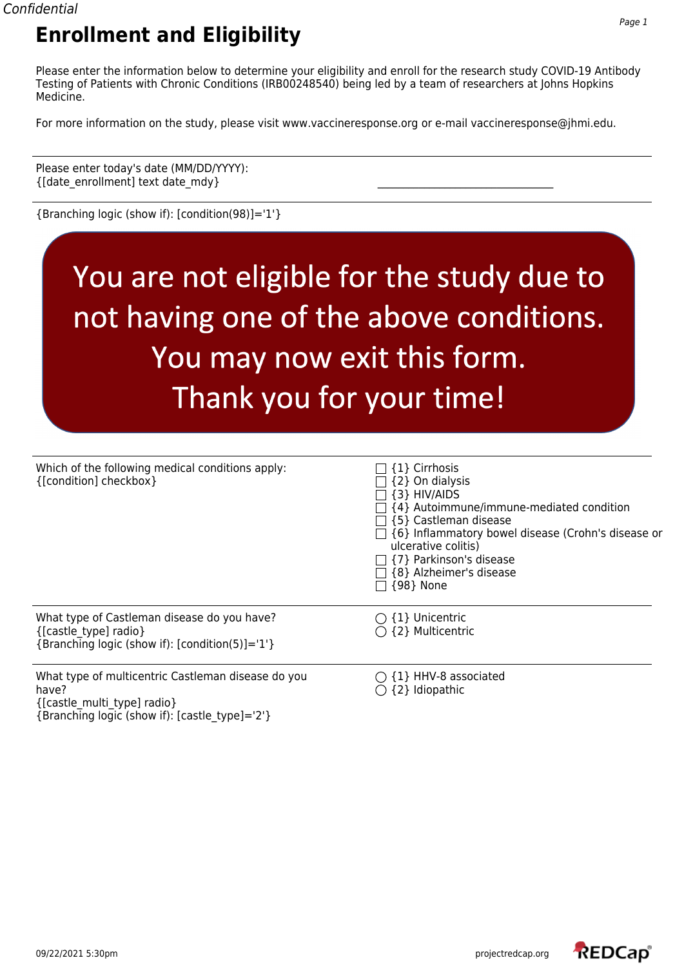Please enter the information below to determine your eligibility and enroll for the research study COVID-19 Antibody Testing of Patients with Chronic Conditions (IRB00248540) being led by a team of researchers at Johns Hopkins Medicine.

For more information on the study, please visit www.vaccineresponse.org or e-mail vaccineresponse@jhmi.edu.

Please enter today's date (MM/DD/YYYY):  $\{$ [date\_enrollment] text date\_mdy}

{Branching logic (show if): [condition(98)]='1'}

# You are not eligible for the study due to not having one of the above conditions. You may now exit this form. Thank you for your time!

| Which of the following medical conditions apply:<br>{[condition] checkbox}                                                                   | $\sqcap$ {1} Cirrhosis<br>$\Box$ {2} On dialysis<br>$\{3\}$ HIV/AIDS<br>{4} Autoimmune/immune-mediated condition<br>$\lceil$ {5} Castleman disease<br>$\Box$ {6} Inflammatory bowel disease (Crohn's disease or<br>ulcerative colitis)<br>$\Box$ {7} Parkinson's disease<br>$\sqsupset$ {8} Alzheimer's disease<br>{98} None |
|----------------------------------------------------------------------------------------------------------------------------------------------|------------------------------------------------------------------------------------------------------------------------------------------------------------------------------------------------------------------------------------------------------------------------------------------------------------------------------|
| What type of Castleman disease do you have?<br>{[castle type] radio}<br>{Branching logic (show if): [condition(5)]='1'}                      | $\bigcirc$ {1} Unicentric<br>$\bigcap$ {2} Multicentric                                                                                                                                                                                                                                                                      |
| What type of multicentric Castleman disease do you<br>have?<br>{[castle multi type] radio}<br>{Branching logic (show if): [castle type]='2'} | $\bigcirc$ {1} HHV-8 associated<br>{2} Idiopathic                                                                                                                                                                                                                                                                            |

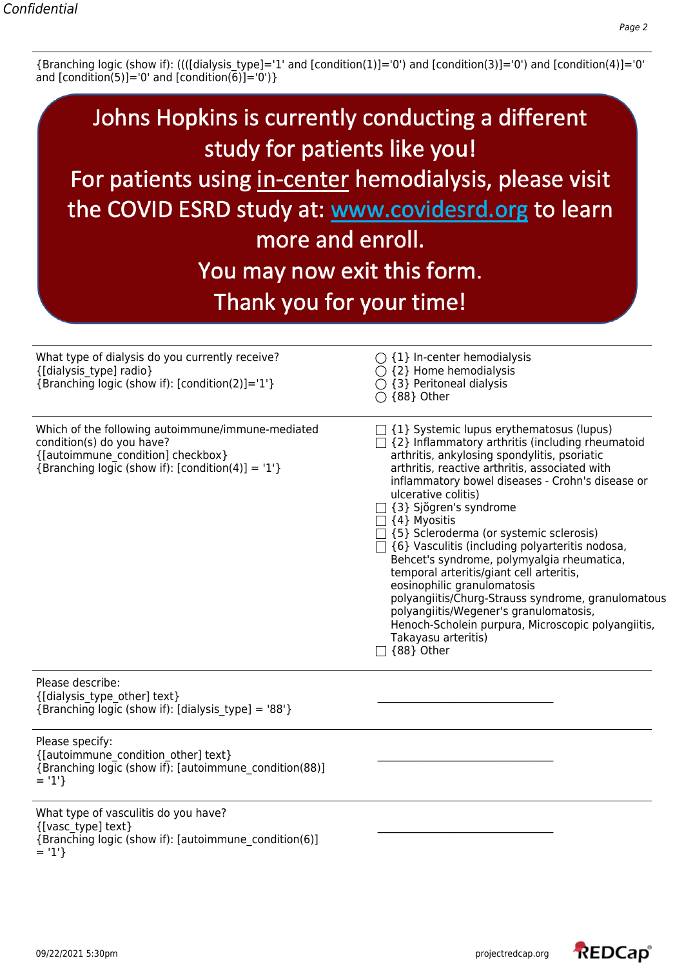{Branching logic (show if): ((([dialysis\_type]='1' and [condition(1)]='0') and [condition(3)]='0') and [condition(4)]='0' and [condition(5)]='0' and [condition(6)]='0')}

| Johns Hopkins is currently conducting a different<br>study for patients like you!<br>For patients using in-center hemodialysis, please visit<br>the COVID ESRD study at: www.covidesrd.org to learn<br>more and enroll.<br>You may now exit this form.<br>Thank you for your time! |                                                                                                                                                                                                                                                                                                                                                                                                                                                                                                                                                                                                                                                                                                                                                                           |
|------------------------------------------------------------------------------------------------------------------------------------------------------------------------------------------------------------------------------------------------------------------------------------|---------------------------------------------------------------------------------------------------------------------------------------------------------------------------------------------------------------------------------------------------------------------------------------------------------------------------------------------------------------------------------------------------------------------------------------------------------------------------------------------------------------------------------------------------------------------------------------------------------------------------------------------------------------------------------------------------------------------------------------------------------------------------|
| What type of dialysis do you currently receive?<br>{[dialysis type] radio}<br>{Branching logic (show if): [condition(2)]='1'}                                                                                                                                                      | $\bigcirc$ {1} In-center hemodialysis<br>$\bigcirc$ {2} Home hemodialysis<br>$\bigcirc$ {3} Peritoneal dialysis<br>$\bigcirc$ {88} Other                                                                                                                                                                                                                                                                                                                                                                                                                                                                                                                                                                                                                                  |
| Which of the following autoimmune/immune-mediated<br>condition(s) do you have?<br>{[autoimmune condition] checkbox}<br>{Branching logic (show if): $[condition(4)] = '1'$ }                                                                                                        | $\exists$ {1} Systemic lupus erythematosus (lupus)<br>{2} Inflammatory arthritis (including rheumatoid<br>arthritis, ankylosing spondylitis, psoriatic<br>arthritis, reactive arthritis, associated with<br>inflammatory bowel diseases - Crohn's disease or<br>ulcerative colitis)<br>□ {3} Sjŏgren's syndrome<br>$\Box$ {4} Myositis<br>$\exists$ {5} Scleroderma (or systemic sclerosis)<br>$\Box$ {6} Vasculitis (including polyarteritis nodosa,<br>Behcet's syndrome, polymyalgia rheumatica,<br>temporal arteritis/giant cell arteritis,<br>eosinophilic granulomatosis<br>polyangiitis/Churg-Strauss syndrome, granulomatous<br>polyangiitis/Wegener's granulomatosis,<br>Henoch-Scholein purpura, Microscopic polyangiitis,<br>Takayasu arteritis)<br>[88] Other |
| Please describe:<br>{[dialysis type other] text}<br>{Branching logic (show if): [dialysis_type] = '88'}                                                                                                                                                                            |                                                                                                                                                                                                                                                                                                                                                                                                                                                                                                                                                                                                                                                                                                                                                                           |
| Please specify:<br>{[autoimmune condition other] text}<br>{Branching logic (show if): [autoimmune condition(88)]<br>$= '1'$                                                                                                                                                        |                                                                                                                                                                                                                                                                                                                                                                                                                                                                                                                                                                                                                                                                                                                                                                           |
| What type of vasculitis do you have?<br>{[vasc type] text}<br>{Branching logic (show if): [autoimmune condition(6)]<br>$= '1'$                                                                                                                                                     |                                                                                                                                                                                                                                                                                                                                                                                                                                                                                                                                                                                                                                                                                                                                                                           |

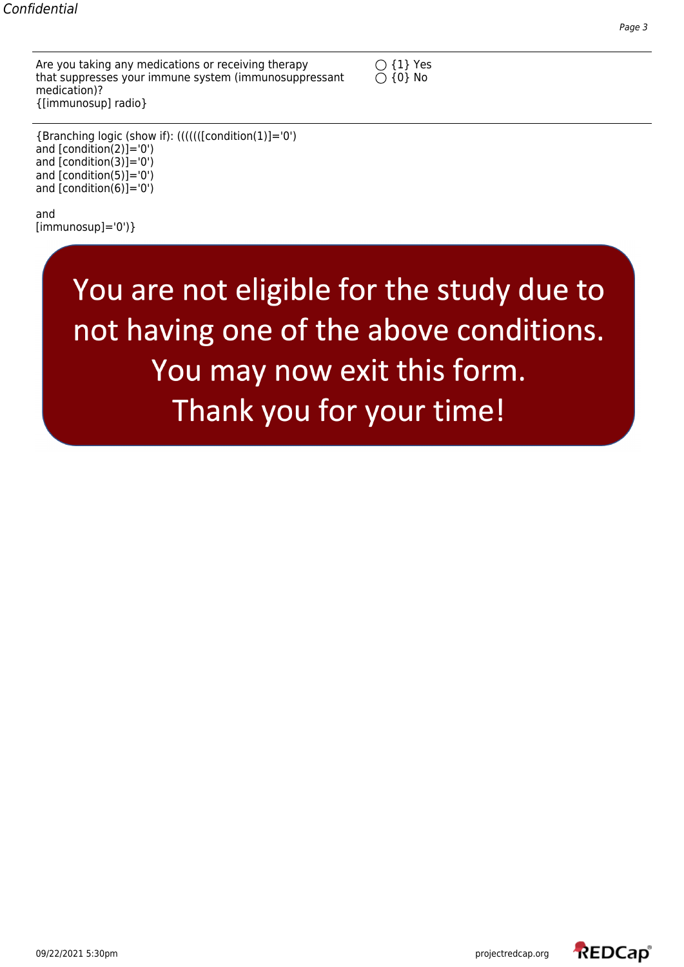Are you taking any medications or receiving therapy  $\bigcirc$  {1} Yes that suppresses your immune system (immunosuppressant  $\bigcirc$  {0} No medication)? {[immunosup] radio}



{Branching logic (show if): (((((([condition(1)]='0') and [condition(2)]='0') and [condition(3)]='0') and [condition(5)]='0') and [condition(6)]='0')

and  $[immunosup]='0')\}$ 

> You are not eligible for the study due to not having one of the above conditions. You may now exit this form. Thank you for your time!

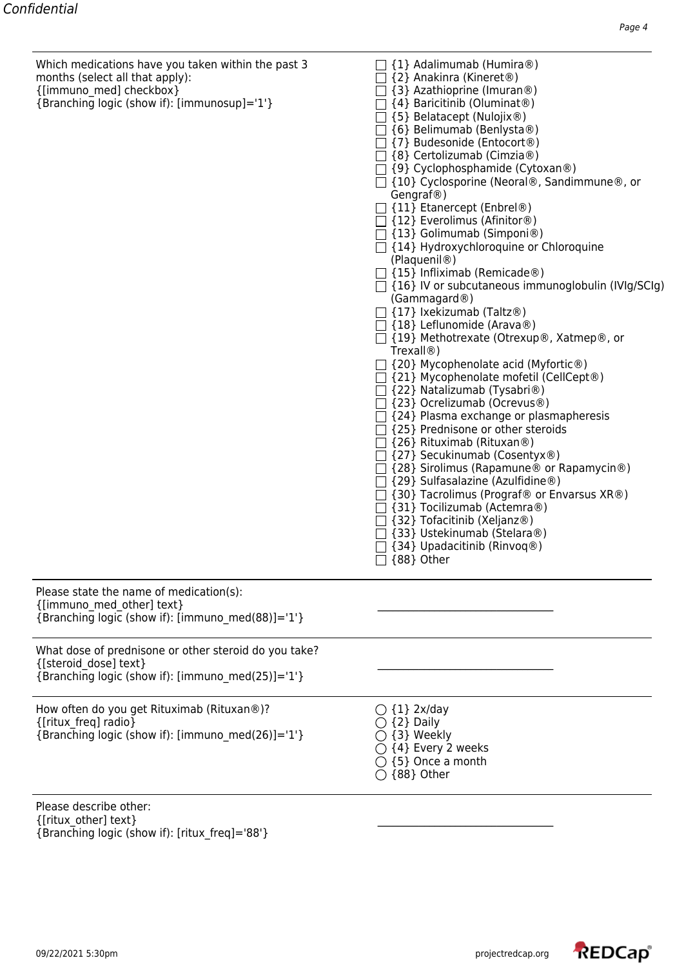| {[immuno med] checkbox}<br>{Branching logic (show if): [immunosup]='1'}                                                             | $\Box$ {3} Azathioprine (Imuran®)<br>$\Box$ {4} Baricitinib (Oluminat®)<br>{5} Belatacept (Nulojix®)<br>$\Box$ {6} Belimumab (Benlysta®)<br>$\lceil$ {7} Budesonide (Entocort®)<br>$\Box$ {8} Certolizumab (Cimzia®)<br>$\Box$ {9} Cyclophosphamide (Cytoxan®)<br>□ {10} Cyclosporine (Neoral®, Sandimmune®, or<br>Gengraf@)<br>$\Box$ {11} Etanercept (Enbrel®)<br>$\Box$ {12} Everolimus (Afinitor®)<br>$\Box$ {13} Golimumab (Simponi®)<br>$\Box$ {14} Hydroxychloroquine or Chloroquine<br>(Plaquenil <sup>®</sup> )<br>$\Box$ {15} Infliximab (Remicade®)<br>$\Box$ {16} IV or subcutaneous immunoglobulin (IVIg/SCIg)<br>(Gammagard®)<br>$\Box$ {17} Ixekizumab (Taltz®)<br>$\Box$ {18} Leflunomide (Arava®)<br>□ {19} Methotrexate (Otrexup®, Xatmep®, or<br>Trexall@<br>$\Box$ {20} Mycophenolate acid (Myfortic®)<br>$\Box$ {21} Mycophenolate mofetil (CellCept®)<br>$\Box$ {22} Natalizumab (Tysabri®)<br>□ {23} Ocrelizumab (Ocrevus®)<br>$\Box$ {24} Plasma exchange or plasmapheresis<br>$\Box$ {25} Prednisone or other steroids<br>$\Box$ {26} Rituximab (Rituxan®)<br>$\Box$ {27} Secukinumab (Cosentyx®)<br>{28} Sirolimus (Rapamune <sup>®</sup> or Rapamycin <sup>®</sup> )<br>{29} Sulfasalazine (Azulfidine®)<br>$\Box$ {30} Tacrolimus (Prograf® or Envarsus XR®)<br>$\Box$ {31} Tocilizumab (Actemra®)<br>$\Box$ {32} Tofacitinib (Xeljanz®)<br>{33} Ustekinumab (Stelara®)<br>$\Box$ {34} Upadacitinib (Rinvoq®)<br>{88} Other |
|-------------------------------------------------------------------------------------------------------------------------------------|---------------------------------------------------------------------------------------------------------------------------------------------------------------------------------------------------------------------------------------------------------------------------------------------------------------------------------------------------------------------------------------------------------------------------------------------------------------------------------------------------------------------------------------------------------------------------------------------------------------------------------------------------------------------------------------------------------------------------------------------------------------------------------------------------------------------------------------------------------------------------------------------------------------------------------------------------------------------------------------------------------------------------------------------------------------------------------------------------------------------------------------------------------------------------------------------------------------------------------------------------------------------------------------------------------------------------------------------------------------------------------------------------------------------------------------------------------|
| Please state the name of medication(s):<br>{[immuno med other] text}<br>{Branching logic (show if): [immuno med(88)]='1'}           |                                                                                                                                                                                                                                                                                                                                                                                                                                                                                                                                                                                                                                                                                                                                                                                                                                                                                                                                                                                                                                                                                                                                                                                                                                                                                                                                                                                                                                                         |
| What dose of prednisone or other steroid do you take?<br>{[steroid dose] text}<br>{Branching logic (show if): [immuno_med(25)]='1'} |                                                                                                                                                                                                                                                                                                                                                                                                                                                                                                                                                                                                                                                                                                                                                                                                                                                                                                                                                                                                                                                                                                                                                                                                                                                                                                                                                                                                                                                         |
| How often do you get Rituximab (Rituxan®)?<br>{[ritux freq] radio}<br>{Branching logic (show if): [immuno_med(26)]='1'}             | $\bigcirc$ {1} 2x/day<br>$\supset$ {2} Daily<br>{3} Weekly<br>$\bigcirc$ {4} Every 2 weeks<br>$\bigcirc$ {5} Once a month<br>$\bigcirc$ {88} Other                                                                                                                                                                                                                                                                                                                                                                                                                                                                                                                                                                                                                                                                                                                                                                                                                                                                                                                                                                                                                                                                                                                                                                                                                                                                                                      |
| Please describe other:<br>{[ritux other] text}<br>{Branching logic (show if): [ritux_freq]='88'}                                    |                                                                                                                                                                                                                                                                                                                                                                                                                                                                                                                                                                                                                                                                                                                                                                                                                                                                                                                                                                                                                                                                                                                                                                                                                                                                                                                                                                                                                                                         |

Which medications have you taken within the past 3  $\hskip1cm \fbox{1}$  {1} Adalimumab (Humira®)

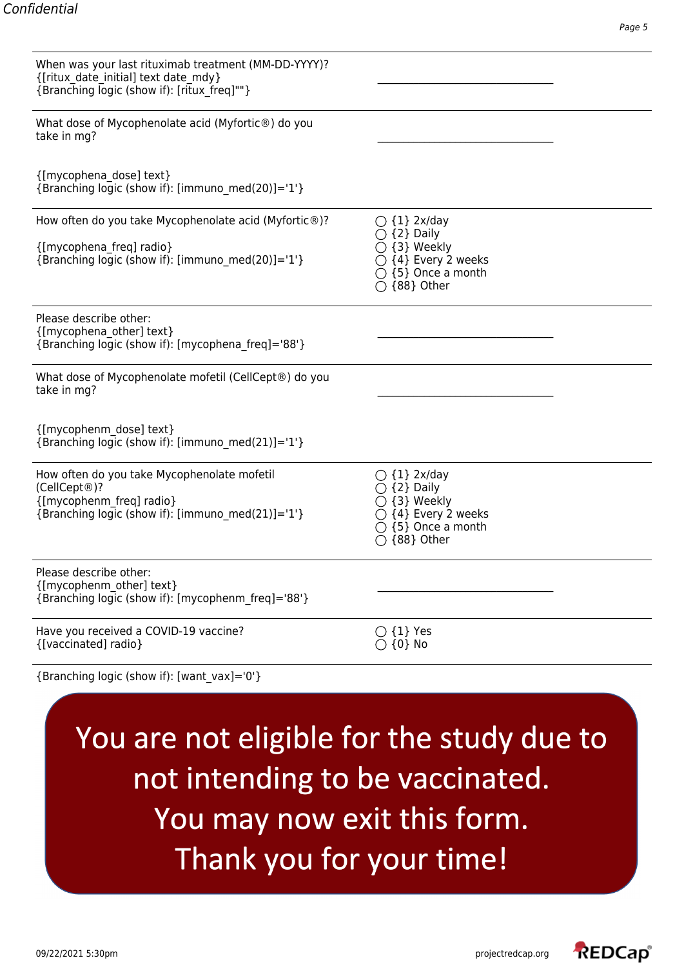| When was your last rituximab treatment (MM-DD-YYYY)?<br>{[ritux date initial] text date mdy}<br>{Branching logic (show if): [ritux freq]""}  |                                                                                                                                                                |
|----------------------------------------------------------------------------------------------------------------------------------------------|----------------------------------------------------------------------------------------------------------------------------------------------------------------|
| What dose of Mycophenolate acid (Myfortic®) do you<br>take in mg?                                                                            |                                                                                                                                                                |
| {[mycophena_dose] text}<br>{Branching logic (show if): [immuno_med(20)]='1'}                                                                 |                                                                                                                                                                |
| How often do you take Mycophenolate acid (Myfortic®)?<br>{[mycophena_freq] radio}<br>{Branching logic (show if): [immuno med(20)]='1'}       | $\bigcirc$ {1} 2x/day<br>$\bigcirc$ {2} Daily<br>$\bigcirc$ {3} Weekly<br>$\bigcirc$ {4} Every 2 weeks<br>$\bigcirc$ {5} Once a month<br>$\bigcirc$ {88} Other |
| Please describe other:<br>{[mycophena other] text}<br>{Branching logic (show if): [mycophena freq]='88'}                                     |                                                                                                                                                                |
| What dose of Mycophenolate mofetil (CellCept®) do you<br>take in mg?                                                                         |                                                                                                                                                                |
| {[mycophenm_dose] text}<br>{Branching logic (show if): [immuno_med(21)]='1'}                                                                 |                                                                                                                                                                |
| How often do you take Mycophenolate mofetil<br>(CellCept®)?<br>{[mycophenm freq] radio}<br>{Branching logic (show if): [immuno_med(21)]='1'} | $\bigcirc$ {1} 2x/day<br>$\bigcirc$ {2} Daily<br>$\bigcirc$ {3} Weekly<br>$\bigcirc$ {4} Every 2 weeks<br>$\bigcirc$ {5} Once a month<br>{88} Other            |
| Please describe other:<br>{[mycophenm other] text}<br>{Branching logic (show if): [mycophenm freq]='88'}                                     |                                                                                                                                                                |
| Have you received a COVID-19 vaccine?<br>{[vaccinated] radio}                                                                                | $\{1\}$ Yes<br>$\{0\}$ No                                                                                                                                      |
| {Branching logic (show if): [want_vax]='0'}                                                                                                  |                                                                                                                                                                |

You are not eligible for the study due to not intending to be vaccinated. You may now exit this form. Thank you for your time!

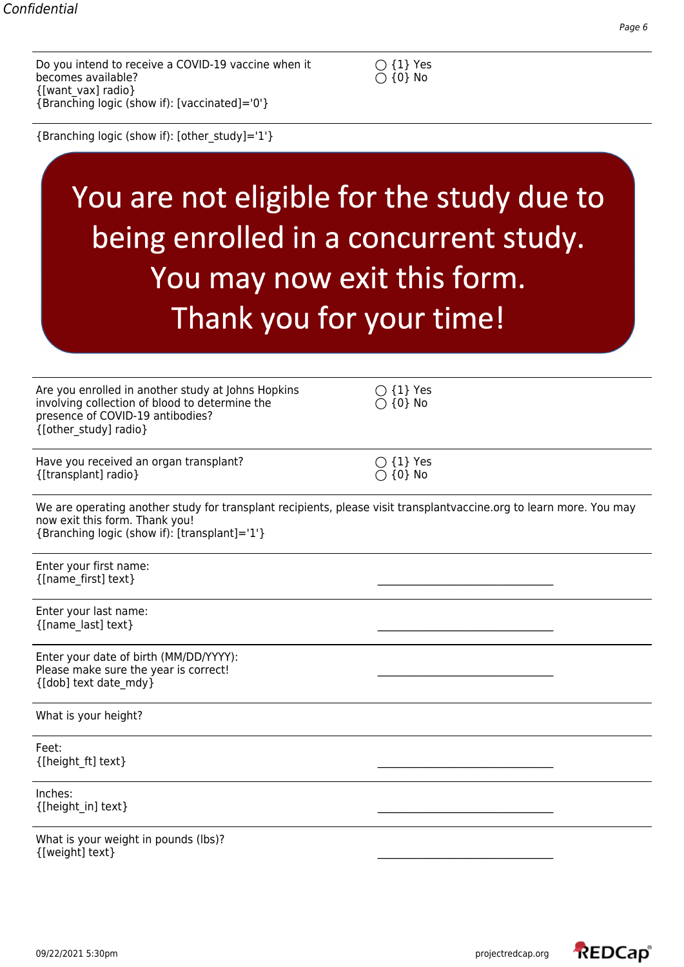Do you intend to receive a COVID-19 vaccine when it  $\bigcirc$  {1} Yes becomes available?  $\bigcirc$  {0} No becomes available? {[want\_vax] radio} {Branching logic (show if): [vaccinated]='0'}



{Branching logic (show if): [other\_study]='1'}

# You are not eligible for the study due to being enrolled in a concurrent study. You may now exit this form. Thank you for your time!

| Are you enrolled in another study at Johns Hopkins<br>involving collection of blood to determine the<br>presence of COVID-19 antibodies?<br>{[other study] radio}                                      | $\bigcirc$ {1} Yes<br>$\bigcirc$ {0} No |
|--------------------------------------------------------------------------------------------------------------------------------------------------------------------------------------------------------|-----------------------------------------|
| Have you received an organ transplant?<br>{[transplant] radio}                                                                                                                                         | $\bigcirc$ {1} Yes<br>$\bigcirc$ {0} No |
| We are operating another study for transplant recipients, please visit transplantvaccine.org to learn more. You may<br>now exit this form. Thank you!<br>{Branching logic (show if): [transplant]='1'} |                                         |
| Enter your first name:<br>{[name_first] text}                                                                                                                                                          |                                         |
| Enter your last name:<br>{[name last] text}                                                                                                                                                            |                                         |
| Enter your date of birth (MM/DD/YYYY):<br>Please make sure the year is correct!<br>{[dob] text date_mdy}                                                                                               |                                         |
| What is your height?                                                                                                                                                                                   |                                         |
| Feet:<br>{[height_ft] text}                                                                                                                                                                            |                                         |
| Inches:<br>{[height in] text}                                                                                                                                                                          |                                         |
| What is your weight in pounds (lbs)?<br>{[weight] text}                                                                                                                                                |                                         |

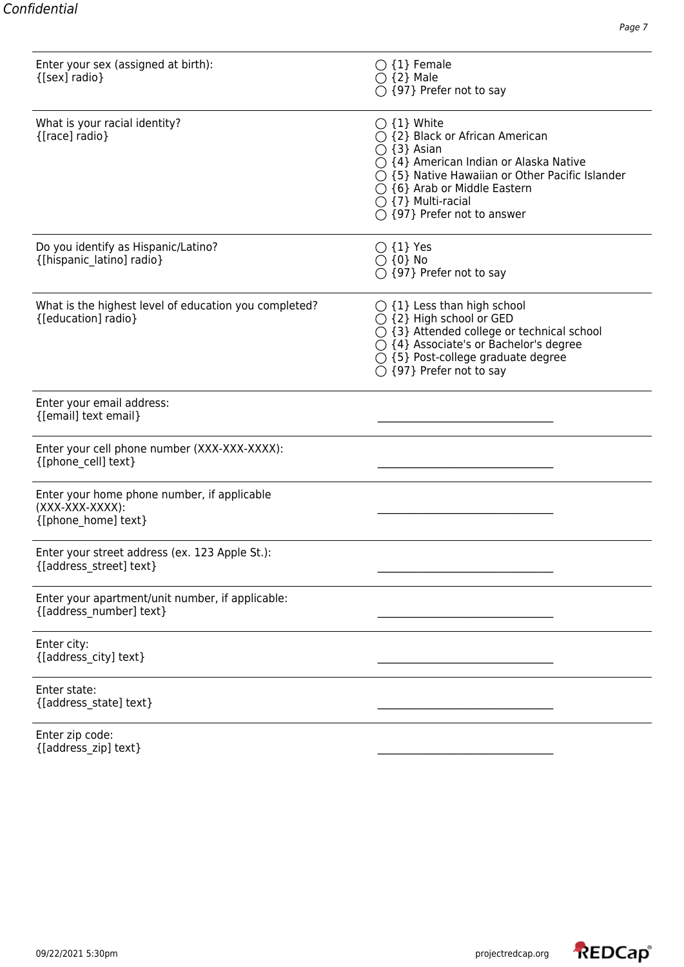| Enter your sex (assigned at birth):<br>{[sex] radio}                                    | $\bigcirc$ {1} Female<br>$\bigcirc$ {2} Male<br>$\bigcirc$ {97} Prefer not to say                                                                                                                                                                                                                              |
|-----------------------------------------------------------------------------------------|----------------------------------------------------------------------------------------------------------------------------------------------------------------------------------------------------------------------------------------------------------------------------------------------------------------|
| What is your racial identity?<br>{[race] radio}                                         | $\bigcirc$ {1} White<br>$\bigcirc$ {2} Black or African American<br>$\bigcirc$ {3} Asian<br>$\bigcirc$ {4} American Indian or Alaska Native<br>◯ {5} Native Hawaiian or Other Pacific Islander<br>$\bigcirc$ {6} Arab or Middle Eastern<br>$\bigcirc$ {7} Multi-racial<br>$\bigcirc$ {97} Prefer not to answer |
| Do you identify as Hispanic/Latino?<br>{[hispanic_latino] radio}                        | $\bigcirc$ {1} Yes<br>$\bigcirc$ {0} No<br>$\bigcirc$ {97} Prefer not to say                                                                                                                                                                                                                                   |
| What is the highest level of education you completed?<br>{[education] radio}            | $\bigcirc$ {1} Less than high school<br>○ {2} High school or GED<br>○ {3} Attended college or technical school<br>$\bigcirc$ {4} Associate's or Bachelor's degree<br>$\bigcirc$ {5} Post-college graduate degree<br>$\bigcirc$ {97} Prefer not to say                                                          |
| Enter your email address:<br>{[email] text email}                                       |                                                                                                                                                                                                                                                                                                                |
| Enter your cell phone number (XXX-XXX-XXXX):<br>{[phone_cell] text}                     |                                                                                                                                                                                                                                                                                                                |
| Enter your home phone number, if applicable<br>$(XXX-XXX-XXXX):$<br>{[phone_home] text} |                                                                                                                                                                                                                                                                                                                |
| Enter your street address (ex. 123 Apple St.):<br>{[address street] text}               |                                                                                                                                                                                                                                                                                                                |
| Enter your apartment/unit number, if applicable:<br>{[address_number] text}             |                                                                                                                                                                                                                                                                                                                |
| Enter city:<br>{[address_city] text}                                                    |                                                                                                                                                                                                                                                                                                                |
| Enter state:<br>{[address_state] text}                                                  |                                                                                                                                                                                                                                                                                                                |
| Enter zip code:                                                                         |                                                                                                                                                                                                                                                                                                                |

 $\{ [address\_zip] \ text\}$ 

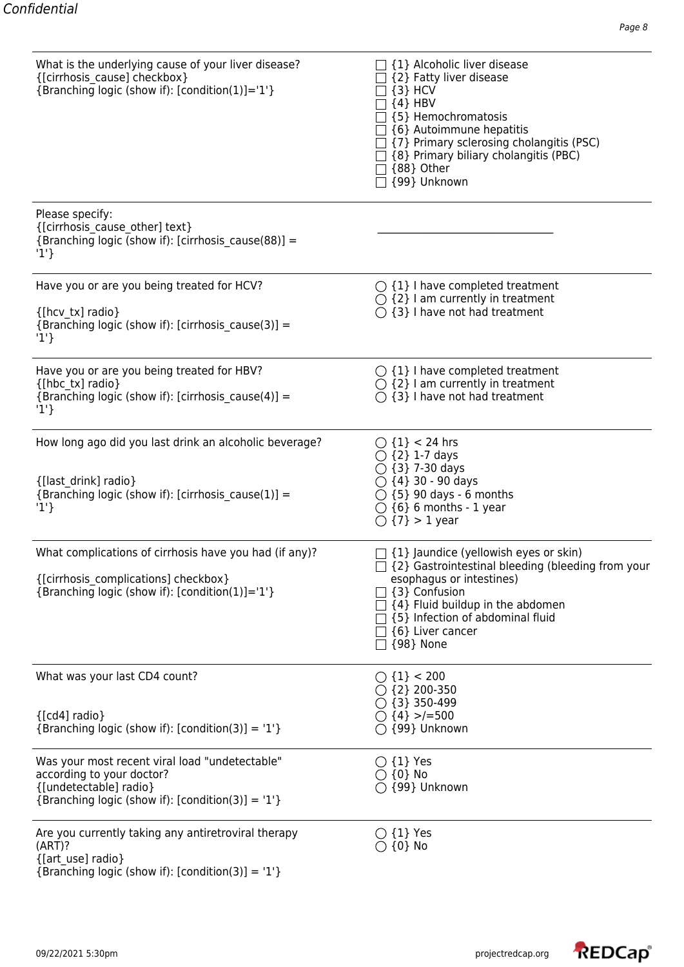| What is the underlying cause of your liver disease?<br>{[cirrhosis cause] checkbox}<br>{Branching logic (show if): [condition(1)]='1'}                        | $\Box$ {1} Alcoholic liver disease<br>[2] Fatty liver disease<br>$\{3\}$ HCV<br>${4}$ HBV<br>[5] Hemochromatosis<br>§ {6} Autoimmune hepatitis<br>$\exists$ {7} Primary sclerosing cholangitis (PSC)<br>] {8} Primary biliary cholangitis (PBC)<br>$\Box$ {88} Other<br>□ {99} Unknown |
|---------------------------------------------------------------------------------------------------------------------------------------------------------------|----------------------------------------------------------------------------------------------------------------------------------------------------------------------------------------------------------------------------------------------------------------------------------------|
| Please specify:<br>{[cirrhosis cause other] text}<br>{Branching logic (show if): [cirrhosis cause(88)] =<br>$'1'$ }                                           |                                                                                                                                                                                                                                                                                        |
| Have you or are you being treated for HCV?                                                                                                                    | $\bigcirc$ {1} I have completed treatment<br>$\bigcirc$ {2} I am currently in treatment                                                                                                                                                                                                |
| {[hcv tx] radio}<br>{Branching logic (show if): [cirrhosis cause(3)] =<br>'1'                                                                                 | $\bigcirc$ {3} I have not had treatment                                                                                                                                                                                                                                                |
| Have you or are you being treated for HBV?<br>{[hbc tx] radio}<br>{Branching logic (show if): [cirrhosis_cause(4)] =<br>'1'                                   | $\bigcirc$ {1} I have completed treatment<br>$\bigcirc$ {2} I am currently in treatment<br>$\bigcirc$ {3} I have not had treatment                                                                                                                                                     |
|                                                                                                                                                               |                                                                                                                                                                                                                                                                                        |
| How long ago did you last drink an alcoholic beverage?                                                                                                        | ◯ ${1} < 24$ hrs<br>$\bigcirc$ {2} 1-7 days<br>$\bigcirc$ {3} 7-30 days                                                                                                                                                                                                                |
| {[last drink] radio}<br>{Branching logic (show if): [cirrhosis cause(1)] =<br>'1'                                                                             | $\bigcirc$ {4} 30 - 90 days<br>$\bigcirc$ {5} 90 days - 6 months<br>$\bigcirc$ {6} 6 months - 1 year<br>$\bigcirc$ {7} > 1 year                                                                                                                                                        |
| What complications of cirrhosis have you had (if any)?                                                                                                        | $\exists$ {1} Jaundice (yellowish eyes or skin)<br>$\Box$ {2} Gastrointestinal bleeding (bleeding from your                                                                                                                                                                            |
| {[cirrhosis_complications] checkbox}<br>{Branching logic (show if): [condition(1)]='1'}                                                                       | esophagus or intestines)<br>{3} Confusion<br>{4} Fluid buildup in the abdomen<br>1 {5} Infection of abdominal fluid<br>$\exists$ {6} Liver cancer<br>$\Box$ {98} None                                                                                                                  |
| What was your last CD4 count?                                                                                                                                 | $\bigcirc$ {1} < 200<br>$\bigcirc$ {2} 200-350<br>$\bigcirc$ {3} 350-499                                                                                                                                                                                                               |
| ${[cd4]}$ radio}<br>{Branching logic (show if): $[condition(3)] = '1'$ }                                                                                      | $\bigcirc$ {4} >/=500<br>$\bigcirc$ {99} Unknown                                                                                                                                                                                                                                       |
| Was your most recent viral load "undetectable"<br>according to your doctor?<br>{[undetectable] radio}<br>{Branching logic (show if): $[condition(3)] = '1'$ } | $\bigcirc$ {1} Yes<br>$\bigcirc$ {0} No<br>$\bigcirc$ {99} Unknown                                                                                                                                                                                                                     |
| Are you currently taking any antiretroviral therapy<br>(ART)?<br>{[art use] radio}<br>{Branching logic (show if): [condition(3)] = '1'}                       | $\bigcirc$ {1} Yes<br>$\bigcirc$ {0} No                                                                                                                                                                                                                                                |

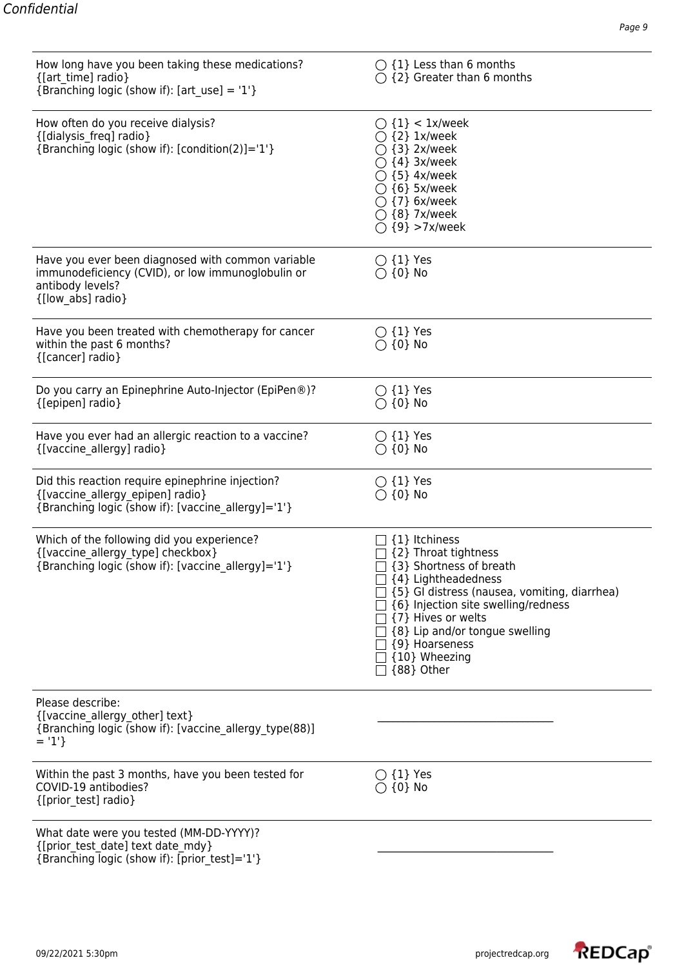| How long have you been taking these medications?<br>{[art_time] radio}<br>{Branching logic (show if): $[art_use] = '1'$ }                       | $\bigcirc$ {1} Less than 6 months<br>$\bigcirc$ {2} Greater than 6 months                                                                                                                                                                                                                          |
|-------------------------------------------------------------------------------------------------------------------------------------------------|----------------------------------------------------------------------------------------------------------------------------------------------------------------------------------------------------------------------------------------------------------------------------------------------------|
| How often do you receive dialysis?<br>{[dialysis_freq] radio}<br>{Branching logic (show if): [condition(2)]='1'}                                | $\bigcirc$ {1} < 1x/week<br>$\bigcirc$ {2} 1x/week<br>$\bigcirc$ {3} 2x/week<br>$\bigcirc$ {4} 3x/week<br>$\bigcirc$ {5} 4x/week<br>$\bigcirc$ {6} 5x/week<br>$\bigcirc$ {7} 6x/week<br>$\bigcirc$ {8} 7x/week<br>$\bigcirc$ {9} >7x/week                                                          |
| Have you ever been diagnosed with common variable<br>immunodeficiency (CVID), or low immunoglobulin or<br>antibody levels?<br>{[low_abs] radio} | $\bigcirc$ {1} Yes<br>$\bigcirc$ {0} No                                                                                                                                                                                                                                                            |
| Have you been treated with chemotherapy for cancer<br>within the past 6 months?<br>{[cancer] radio}                                             | $\bigcirc$ {1} Yes<br>$\bigcirc$ {0} No                                                                                                                                                                                                                                                            |
| Do you carry an Epinephrine Auto-Injector (EpiPen®)?<br>{[epipen] radio}                                                                        | $\bigcirc$ {1} Yes<br>$\bigcirc$ {0} No                                                                                                                                                                                                                                                            |
| Have you ever had an allergic reaction to a vaccine?<br>{[vaccine_allergy] radio}                                                               | $\bigcirc$ {1} Yes<br>$\bigcirc$ {0} No                                                                                                                                                                                                                                                            |
| Did this reaction require epinephrine injection?<br>{[vaccine_allergy_epipen] radio}<br>{Branching logic (show if): [vaccine_allergy]='1'}      | $\bigcirc$ {1} Yes<br>$\bigcirc$ {0} No                                                                                                                                                                                                                                                            |
| Which of the following did you experience?<br>{[vaccine_allergy_type] checkbox}<br>{Branching logic (show if): [vaccine_allergy]='1'}           | {1} Itchiness<br>{2} Throat tightness<br>{3} Shortness of breath<br>{4} Lightheadedness<br>{5} GI distress (nausea, vomiting, diarrhea)<br>[ {6} Injection site swelling/redness<br>{7} Hives or welts<br>] {8} Lip and/or tongue swelling<br>{9} Hoarseness<br>{10} Wheezing<br>$\Box$ {88} Other |
| Please describe:<br>{[vaccine_allergy_other] text}<br>{Branching logic (show if): [vaccine_allergy_type(88)]<br>$= '1'$                         |                                                                                                                                                                                                                                                                                                    |
| Within the past 3 months, have you been tested for<br>COVID-19 antibodies?<br>{[prior test] radio}                                              | $\bigcirc$ {1} Yes<br>$\bigcirc$ {0} No                                                                                                                                                                                                                                                            |
| What date were you tested (MM-DD-YYYY)?<br>{[prior test date] text date mdy}<br>{Branching logic (show if): [prior test]='1'}                   |                                                                                                                                                                                                                                                                                                    |

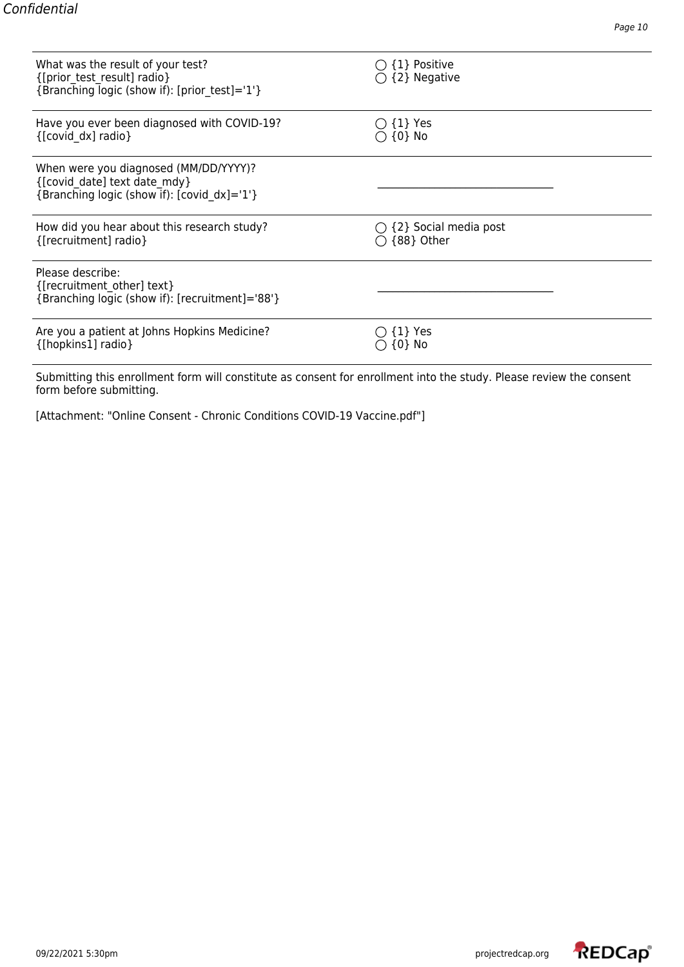| What was the result of your test?<br>{[prior_test_result] radio}<br>{Branching logic (show if): [prior_test]='1'}    | {1} Positive<br>$\bigcirc$ {2} Negative |
|----------------------------------------------------------------------------------------------------------------------|-----------------------------------------|
| Have you ever been diagnosed with COVID-19?                                                                          | $\bigcirc$ {1} Yes                      |
| {[covid dx] radio}                                                                                                   | $\bigcirc$ {0} No                       |
| When were you diagnosed (MM/DD/YYYY)?<br>{[covid date] text date mdy}<br>{Branching logic (show if): [covid dx]='1'} |                                         |
| How did you hear about this research study?                                                                          | $\bigcirc$ {2} Social media post        |
| {[recruitment] radio}                                                                                                | {88} Other                              |
| Please describe:<br>{[recruitment other] text}<br>{Branching logic (show if): [recruitment]='88'}                    |                                         |
| Are you a patient at Johns Hopkins Medicine?                                                                         | $\{1\}$ Yes                             |
| {[hopkins1] radio}                                                                                                   | $\{0\}$ No                              |

Submitting this enrollment form will constitute as consent for enrollment into the study. Please review the consent form before submitting.

[Attachment: "Online Consent - Chronic Conditions COVID-19 Vaccine.pdf"]

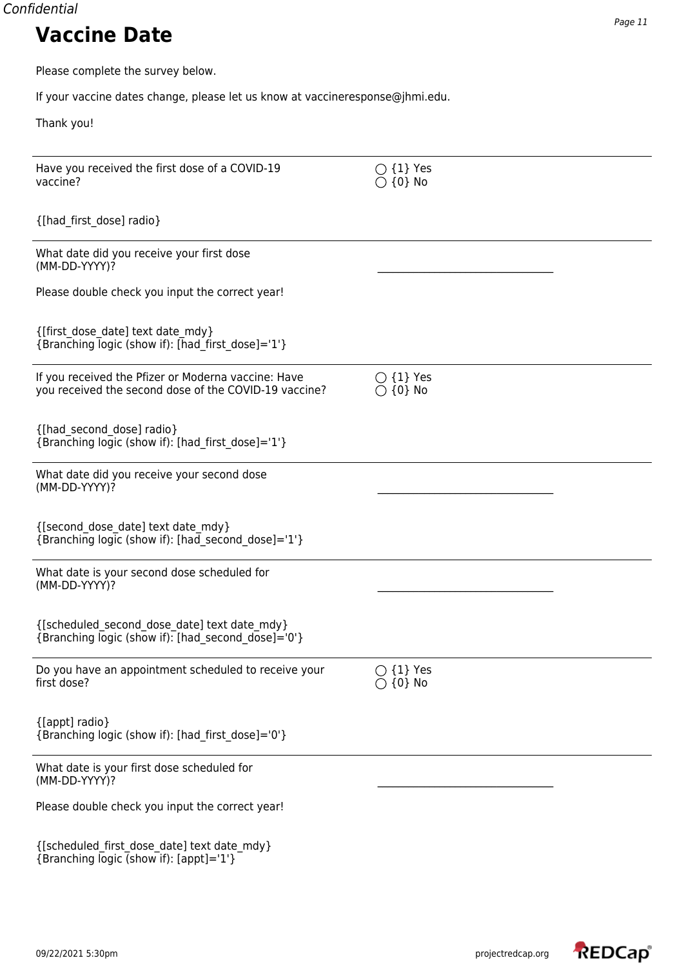Please complete the survey below.

If your vaccine dates change, please let us know at vaccineresponse@jhmi.edu.

Thank you!

| Have you received the first dose of a COVID-19<br>vaccine?                                                   | $\bigcirc$ {1} Yes<br>$\bigcirc$ {0} No |
|--------------------------------------------------------------------------------------------------------------|-----------------------------------------|
| {[had_first_dose] radio}                                                                                     |                                         |
| What date did you receive your first dose<br>(MM-DD-YYYY)?                                                   |                                         |
| Please double check you input the correct year!                                                              |                                         |
| {[first dose date] text date mdy}<br>{Branching logic (show if): [had_first_dose]='1'}                       |                                         |
| If you received the Pfizer or Moderna vaccine: Have<br>you received the second dose of the COVID-19 vaccine? | $\bigcirc$ {1} Yes<br>$\bigcirc$ {0} No |
| {[had second dose] radio}<br>{Branching logic (show if): [had_first_dose]='1'}                               |                                         |
| What date did you receive your second dose<br>(MM-DD-YYYY)?                                                  |                                         |
| {[second dose date] text date mdy}<br>{Branching logic (show if): [had second dose]='1'}                     |                                         |
| What date is your second dose scheduled for<br>(MM-DD-YYYY)?                                                 |                                         |
| {[scheduled_second_dose_date] text date_mdy}<br>{Branching logic (show if): [had_second_dose]='0'}           |                                         |
| Do you have an appointment scheduled to receive your<br>first dose?                                          | $\bigcirc$ {1} Yes<br>$\bigcirc$ {0} No |
| {[appt] radio}<br>{Branching logic (show if): [had first dose]='0'}                                          |                                         |
| What date is your first dose scheduled for<br>(MM-DD-YYYY)?                                                  |                                         |
| Please double check you input the correct year!                                                              |                                         |
| {[scheduled_first_dose_date] text date_mdy}<br>{Branching logic (show if): [appt]='1'}                       |                                         |

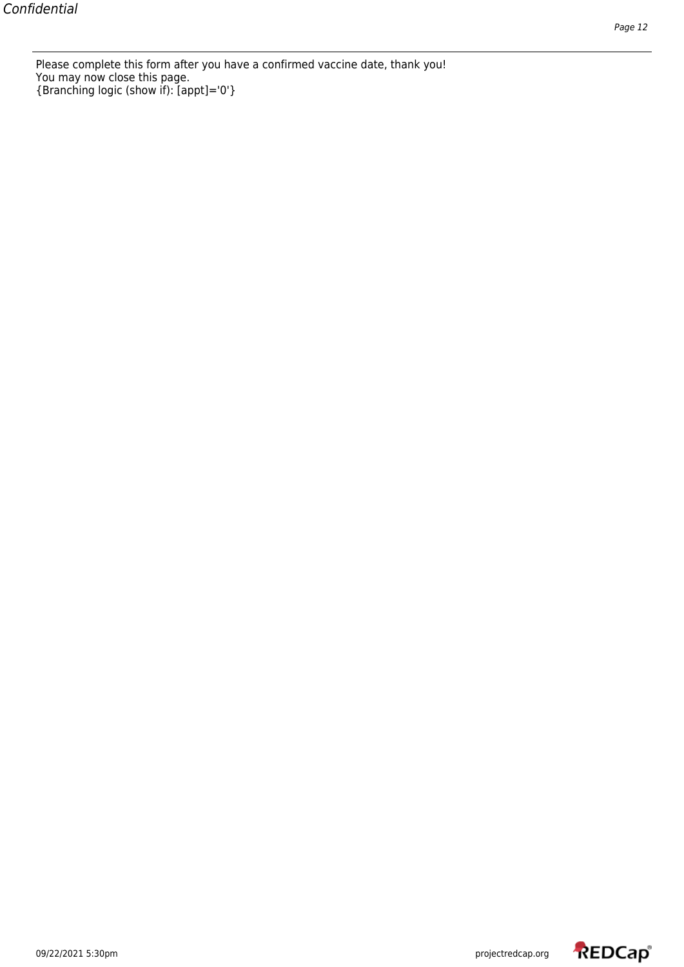Please complete this form after you have a confirmed vaccine date, thank you! You may now close this page. {Branching logic (show if): [appt]='0'}

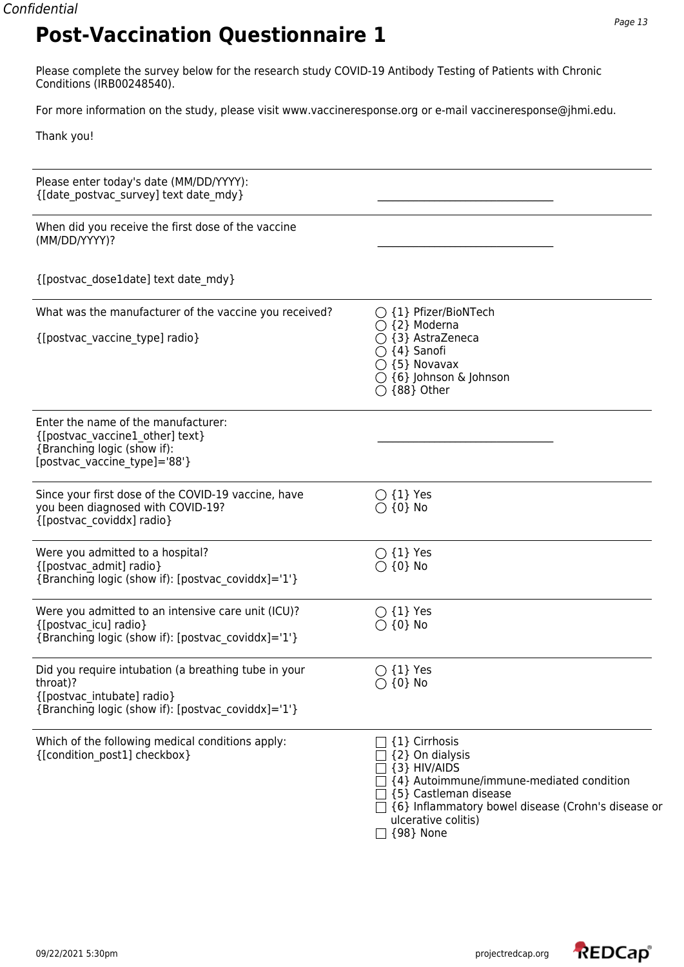Please complete the survey below for the research study COVID-19 Antibody Testing of Patients with Chronic Conditions (IRB00248540).

For more information on the study, please visit www.vaccineresponse.org or e-mail vaccineresponse@jhmi.edu.

Thank you!

| Please enter today's date (MM/DD/YYYY):<br>{[date postvac survey] text date mdy}                                                                     |                                                                                                                                                                                                                                          |
|------------------------------------------------------------------------------------------------------------------------------------------------------|------------------------------------------------------------------------------------------------------------------------------------------------------------------------------------------------------------------------------------------|
| When did you receive the first dose of the vaccine<br>(MM/DD/YYYY)?                                                                                  |                                                                                                                                                                                                                                          |
| {[postvac_dose1date] text date_mdy}                                                                                                                  |                                                                                                                                                                                                                                          |
| What was the manufacturer of the vaccine you received?<br>{[postvac_vaccine_type] radio}                                                             | $\bigcirc$ {1} Pfizer/BioNTech<br>$\bigcirc$ {2} Moderna<br>$\bigcirc$ {3} AstraZeneca<br>$\bigcirc$ {4} Sanofi<br>$\bigcirc$ {5} Novavax<br>$\bigcirc$ {6} Johnson & Johnson<br>$\bigcirc$ {88} Other                                   |
| Enter the name of the manufacturer:<br>{[postvac vaccine1 other] text}<br>{Branching logic (show if):<br>[postvac vaccine type]='88'}                |                                                                                                                                                                                                                                          |
| Since your first dose of the COVID-19 vaccine, have<br>you been diagnosed with COVID-19?<br>{[postvac coviddx] radio}                                | $\bigcirc$ {1} Yes<br>$\bigcirc$ {0} No                                                                                                                                                                                                  |
| Were you admitted to a hospital?<br>{[postvac admit] radio}<br>{Branching logic (show if): [postvac coviddx]='1'}                                    | $\bigcirc$ {1} Yes<br>$\bigcirc$ {0} No                                                                                                                                                                                                  |
| Were you admitted to an intensive care unit (ICU)?<br>{[postvac icu] radio}<br>{Branching logic (show if): [postvac coviddx]='1'}                    | $\bigcirc$ {1} Yes<br>$\bigcirc$ {0} No                                                                                                                                                                                                  |
| Did you require intubation (a breathing tube in your<br>throat)?<br>{[postvac intubate] radio}<br>{Branching logic (show if): [postvac coviddx]='1'} | $\bigcirc$ {1} Yes<br>$\bigcirc$ {0} No                                                                                                                                                                                                  |
| Which of the following medical conditions apply:<br>{[condition post1] checkbox}                                                                     | {1} Cirrhosis<br>{2} On dialysis<br>{3} HIV/AIDS<br>{4} Autoimmune/immune-mediated condition<br>□ {5} Castleman disease<br>$\sqsupset$ {6} Inflammatory bowel disease (Crohn's disease or<br>ulcerative colitis)<br>{98} None<br>$\perp$ |

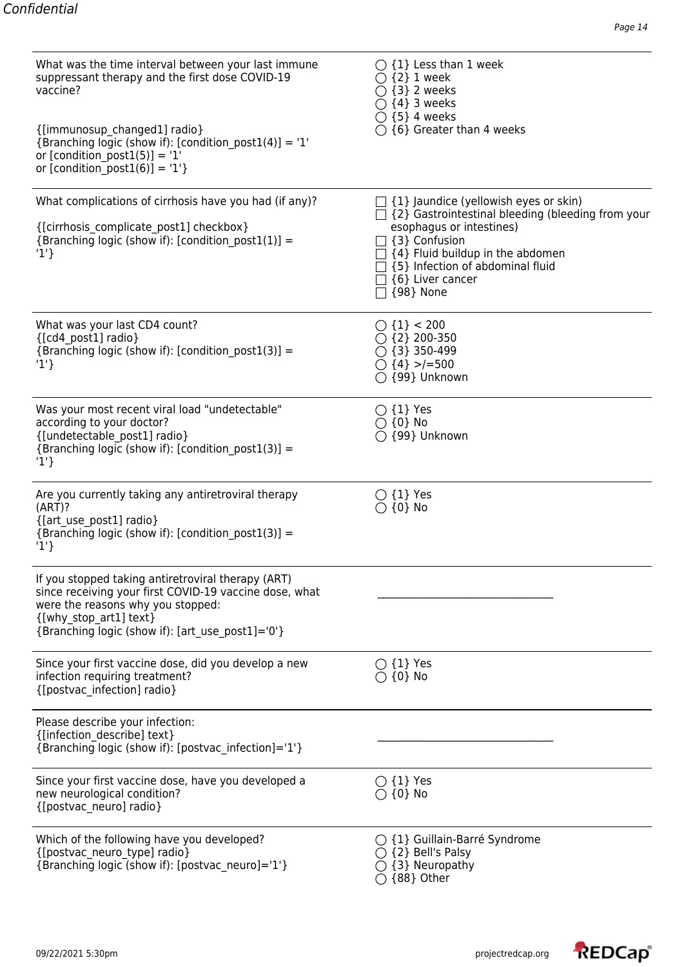| What was the time interval between your last immune<br>suppressant therapy and the first dose COVID-19<br>vaccine?<br>{[immunosup changed1] radio}<br>{Branching logic (show if): [condition_post1(4)] = '1'<br>or [condition_post1(5)] = $'1'$<br>or [condition post1(6)] = '1'} | $\bigcirc$ {1} Less than 1 week<br>$\bigcirc$ {2} 1 week<br>$\bigcirc$ {3} 2 weeks<br>$\bigcirc$ {4} 3 weeks<br>$\bigcirc$ {5} 4 weeks<br>$\bigcirc$ {6} Greater than 4 weeks                                                                                                  |
|-----------------------------------------------------------------------------------------------------------------------------------------------------------------------------------------------------------------------------------------------------------------------------------|--------------------------------------------------------------------------------------------------------------------------------------------------------------------------------------------------------------------------------------------------------------------------------|
| What complications of cirrhosis have you had (if any)?<br>{[cirrhosis_complicate_post1] checkbox}<br>{Branching logic (show if): [condition post1(1)] =<br>'1'                                                                                                                    | $\Box$ {1} Jaundice (yellowish eyes or skin)<br>$\Box$ {2} Gastrointestinal bleeding (bleeding from your<br>esophagus or intestines)<br>$\Box$ {3} Confusion<br>$\Box$ {4} Fluid buildup in the abdomen<br>{5} Infection of abdominal fluid<br>{6} Liver cancer<br>  {98} None |
| What was your last CD4 count?<br>{[cd4 post1] radio}<br>{Branching logic (show if): [condition_post1(3)] =<br>'1'                                                                                                                                                                 | $\bigcirc$ {1} < 200<br>$\bigcirc$ {2} 200-350<br>$\bigcirc$ {3} 350-499<br>$\bigcirc$ {4} >/=500<br>$\bigcirc$ {99} Unknown                                                                                                                                                   |
| Was your most recent viral load "undetectable"<br>according to your doctor?<br>{[undetectable post1] radio}<br>{Branching logic (show if): [condition post1(3)] =<br>'1'                                                                                                          | $\bigcirc$ {1} Yes<br>$\bigcirc$ {0} No<br>$\bigcirc$ {99} Unknown                                                                                                                                                                                                             |
| Are you currently taking any antiretroviral therapy<br>(ART)?<br>{[art_use_post1] radio}<br>{Branching logic (show if): [condition post1(3)] =<br>'1'                                                                                                                             | $\bigcirc$ {1} Yes<br>$\bigcirc$ {0} No                                                                                                                                                                                                                                        |
| If you stopped taking antiretroviral therapy (ART)<br>since receiving your first COVID-19 vaccine dose, what<br>were the reasons why you stopped:<br>{[why stop art1] text}<br>{Branching logic (show if): [art use post1]='0'}                                                   |                                                                                                                                                                                                                                                                                |
| Since your first vaccine dose, did you develop a new<br>infection requiring treatment?<br>{[postvac infection] radio}                                                                                                                                                             | $\bigcirc$ {1} Yes<br>$\bigcirc$ {0} No                                                                                                                                                                                                                                        |
| Please describe your infection:<br>{[infection describe] text}<br>{Branching logic (show if): [postvac_infection]='1'}                                                                                                                                                            |                                                                                                                                                                                                                                                                                |
| Since your first vaccine dose, have you developed a<br>new neurological condition?<br>{[postvac neuro] radio}                                                                                                                                                                     | $\bigcirc$ {1} Yes<br>$\bigcirc$ {0} No                                                                                                                                                                                                                                        |
| Which of the following have you developed?<br>{[postvac neuro type] radio}<br>{Branching logic (show if): [postvac neuro]='1'}                                                                                                                                                    | $\bigcirc$ {1} Guillain-Barré Syndrome<br>{2} Bell's Palsy<br>{3} Neuropathy<br>{88} Other                                                                                                                                                                                     |

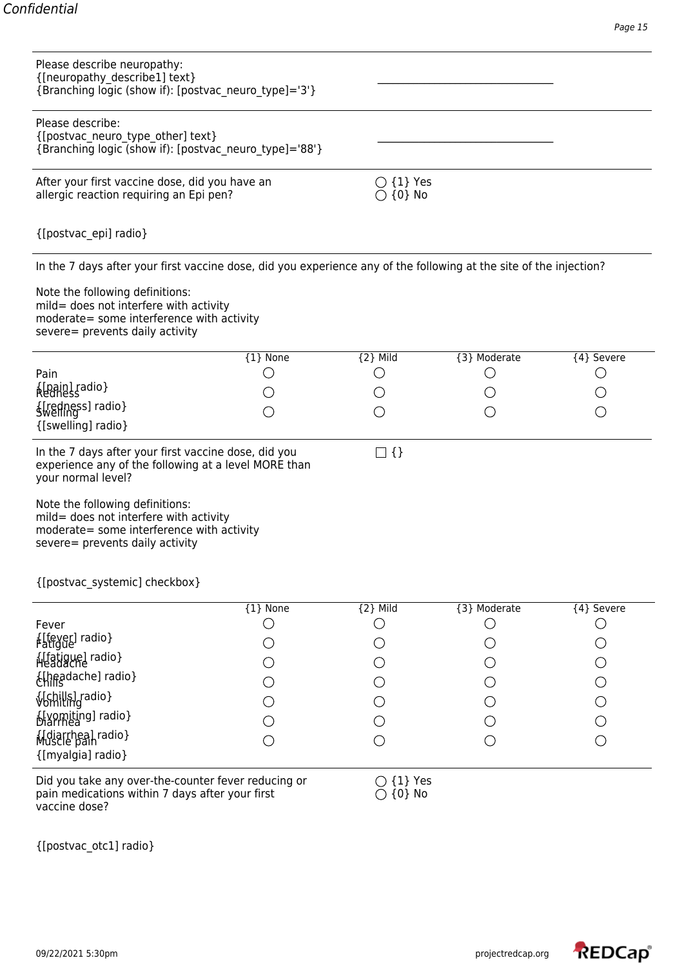| Please describe neuropathy:<br>{[neuropathy_describe1] text}<br>{Branching logic (show if): [postvac neuro type]='3'}                                     |          |                                         |              |                      |
|-----------------------------------------------------------------------------------------------------------------------------------------------------------|----------|-----------------------------------------|--------------|----------------------|
| Please describe:<br>{[postvac_neuro_type_other] text}<br>{Branching logic (show if): [postvac neuro type]='88'}                                           |          |                                         |              |                      |
| After your first vaccine dose, did you have an<br>allergic reaction requiring an Epi pen?                                                                 |          | $\bigcirc$ {1} Yes<br>$\bigcirc$ {0} No |              |                      |
| {[postvac_epi] radio}                                                                                                                                     |          |                                         |              |                      |
| In the 7 days after your first vaccine dose, did you experience any of the following at the site of the injection?                                        |          |                                         |              |                      |
| Note the following definitions:<br>mild= does not interfere with activity<br>moderate= some interference with activity<br>severe= prevents daily activity |          |                                         |              |                      |
|                                                                                                                                                           | {1} None | ${2}$ Mild                              | {3} Moderate | {4} Severe           |
| Pain                                                                                                                                                      |          | O                                       | ( )          | O                    |
| {[pain] radio}<br>Redness                                                                                                                                 |          |                                         |              |                      |
| {[redness] radio}<br>{[swelling] radio}                                                                                                                   |          |                                         |              | $\ddot{\phantom{0}}$ |
|                                                                                                                                                           |          |                                         |              |                      |
| In the 7 days after your first vaccine dose, did you<br>experience any of the following at a level MORE than<br>your normal level?                        |          | $\square$ {}                            |              |                      |
| Note the following definitions:<br>mild= does not interfere with activity<br>moderate= some interference with activity<br>severe= prevents daily activity |          |                                         |              |                      |
| {[postvac_systemic] checkbox}                                                                                                                             |          |                                         |              |                      |
|                                                                                                                                                           | {1} None | $\overline{2}$ Mild                     | {3} Moderate | {4} Severe           |
| Fever                                                                                                                                                     |          | О                                       |              | О                    |
| {[fever] radio}<br>Fatigue                                                                                                                                |          |                                         |              |                      |
| {[fatigue] radio}                                                                                                                                         |          |                                         |              |                      |
| {[headache] radio}                                                                                                                                        |          |                                         |              | $\bigcirc$           |
| {Chills] radio}                                                                                                                                           |          |                                         |              | $\bigcirc$           |
| {[vomiting] radio}                                                                                                                                        |          |                                         |              | $\bigcirc$           |
| {Idiarrhea] radio}<br>{[myalgia] radio}                                                                                                                   |          |                                         |              | $\bigcirc$           |
| Did you take any over-the-counter fever reducing or<br>pain medications within 7 days after your first<br>vaccine dose?                                   |          | $\bigcirc$ {1} Yes<br>$\{0\}$ No        |              |                      |

{[postvac\_otc1] radio}

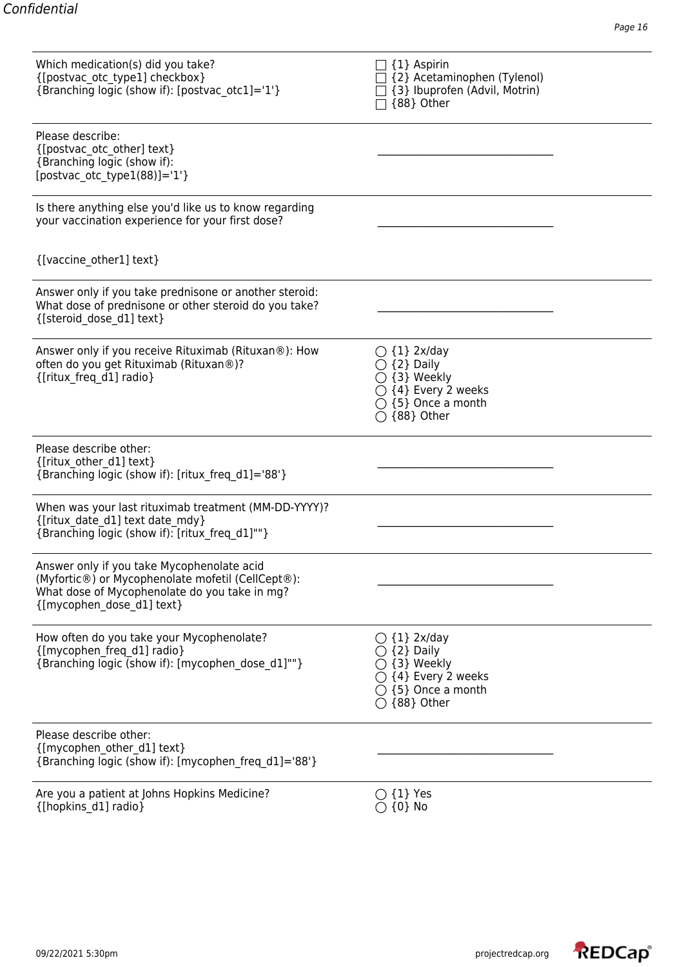| Which medication(s) did you take?<br>{[postvac otc type1] checkbox}<br>{Branching logic (show if): [postvac otc1]='1'}                                                        | {1} Aspirin<br>{2} Acetaminophen (Tylenol)<br>{3} Ibuprofen (Advil, Motrin)<br>{88} Other                                                             |  |
|-------------------------------------------------------------------------------------------------------------------------------------------------------------------------------|-------------------------------------------------------------------------------------------------------------------------------------------------------|--|
| Please describe:<br>{[postvac otc other] text}<br>{Branching logic (show if):<br>[postvac otc type $1(88)$ ]='1'}                                                             |                                                                                                                                                       |  |
| Is there anything else you'd like us to know regarding<br>your vaccination experience for your first dose?                                                                    |                                                                                                                                                       |  |
| {[vaccine_other1] text}                                                                                                                                                       |                                                                                                                                                       |  |
| Answer only if you take prednisone or another steroid:<br>What dose of prednisone or other steroid do you take?<br>{[steroid dose d1] text}                                   |                                                                                                                                                       |  |
| Answer only if you receive Rituximab (Rituxan®): How<br>often do you get Rituximab (Rituxan®)?<br>{[ritux freq d1] radio}                                                     | $\bigcirc$ {1} 2x/day<br>$\bigcirc$ {2} Daily<br>$\bigcirc$ {3} Weekly<br>$\bigcirc$ {4} Every 2 weeks<br>$\bigcirc$ {5} Once a month<br>◯ {88} Other |  |
| Please describe other:<br>{[ritux other d1] text}<br>{Branching logic (show if): [ritux freq d1]='88'}                                                                        |                                                                                                                                                       |  |
| When was your last rituximab treatment (MM-DD-YYYY)?<br>{[ritux date d1] text date mdy}<br>{Branching logic (show if): [ritux freq d1]""}                                     |                                                                                                                                                       |  |
| Answer only if you take Mycophenolate acid<br>(Myfortic®) or Mycophenolate mofetil (CellCept®):<br>What dose of Mycophenolate do you take in mg?<br>{[mycophen dose d1] text} |                                                                                                                                                       |  |
| How often do you take your Mycophenolate?<br>{[mycophen freq d1] radio}<br>{Branching logic (show if): [mycophen dose d1]""}                                                  | $\bigcirc$ {1} 2x/day<br>{2} Daily<br>{3} Weekly<br>{4} Every 2 weeks<br>$\bigcirc$ {5} Once a month<br>$\bigcirc$ {88} Other                         |  |
| Please describe other:<br>{[mycophen other d1] text}<br>{Branching logic (show if): [mycophen freq d1]='88'}                                                                  |                                                                                                                                                       |  |
| Are you a patient at Johns Hopkins Medicine?<br>{[hopkins d1] radio}                                                                                                          | $\bigcirc$ {1} Yes<br>$\bigcirc$ {0} No                                                                                                               |  |

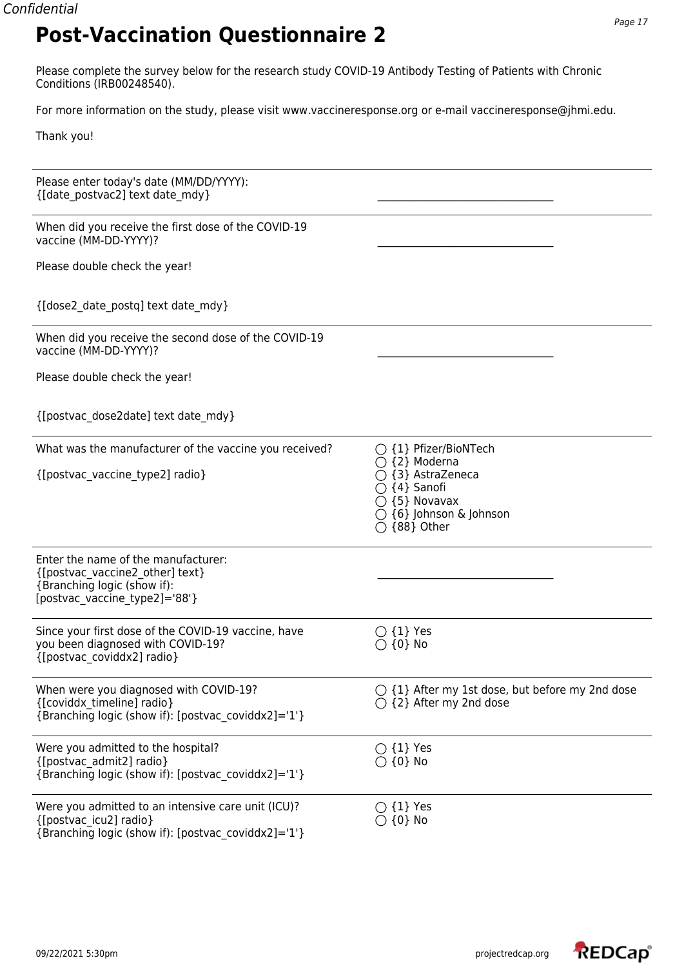Please complete the survey below for the research study COVID-19 Antibody Testing of Patients with Chronic Conditions (IRB00248540).

For more information on the study, please visit www.vaccineresponse.org or e-mail vaccineresponse@jhmi.edu.

Thank you!

| Please enter today's date (MM/DD/YYYY):<br>{[date postvac2] text date mdy}                                                             |                                                                                                                                                                                  |
|----------------------------------------------------------------------------------------------------------------------------------------|----------------------------------------------------------------------------------------------------------------------------------------------------------------------------------|
| When did you receive the first dose of the COVID-19<br>vaccine (MM-DD-YYYY)?                                                           |                                                                                                                                                                                  |
| Please double check the year!                                                                                                          |                                                                                                                                                                                  |
| {[dose2 date postq] text date mdy}                                                                                                     |                                                                                                                                                                                  |
| When did you receive the second dose of the COVID-19<br>vaccine (MM-DD-YYYY)?                                                          |                                                                                                                                                                                  |
| Please double check the year!                                                                                                          |                                                                                                                                                                                  |
| {[postvac_dose2date] text date_mdy}                                                                                                    |                                                                                                                                                                                  |
| What was the manufacturer of the vaccine you received?<br>{[postvac_vaccine_type2] radio}                                              | $\bigcirc$ {1} Pfizer/BioNTech<br>$\bigcirc$ {2} Moderna<br>{3} AstraZeneca<br>{4} Sanofi<br>$\bigcirc$ {5} Novavax<br>$\bigcirc$ {6} Johnson & Johnson<br>$\bigcirc$ {88} Other |
| Enter the name of the manufacturer:<br>{[postvac vaccine2 other] text}<br>{Branching logic (show if):<br>[postvac vaccine type2]='88'} |                                                                                                                                                                                  |
| Since your first dose of the COVID-19 vaccine, have<br>you been diagnosed with COVID-19?<br>{[postvac coviddx2] radio}                 | $\bigcirc$ {1} Yes<br>$\bigcirc$ {0} No                                                                                                                                          |
| When were you diagnosed with COVID-19?<br>{[coviddx timeline] radio}<br>{Branching logic (show if): [postvac coviddx2]='1'}            | $\bigcirc$ {1} After my 1st dose, but before my 2nd dose<br>$\bigcirc$ {2} After my 2nd dose                                                                                     |
| Were you admitted to the hospital?<br>{[postvac admit2] radio}<br>{Branching logic (show if): [postvac coviddx2]='1'}                  | $\bigcirc$ {1} Yes<br>$\bigcirc$ {0} No                                                                                                                                          |
| Were you admitted to an intensive care unit (ICU)?<br>{[postvac icu2] radio}<br>{Branching logic (show if): [postvac_coviddx2]='1'}    | $\bigcirc$ {1} Yes<br>$\{0\}$ No                                                                                                                                                 |

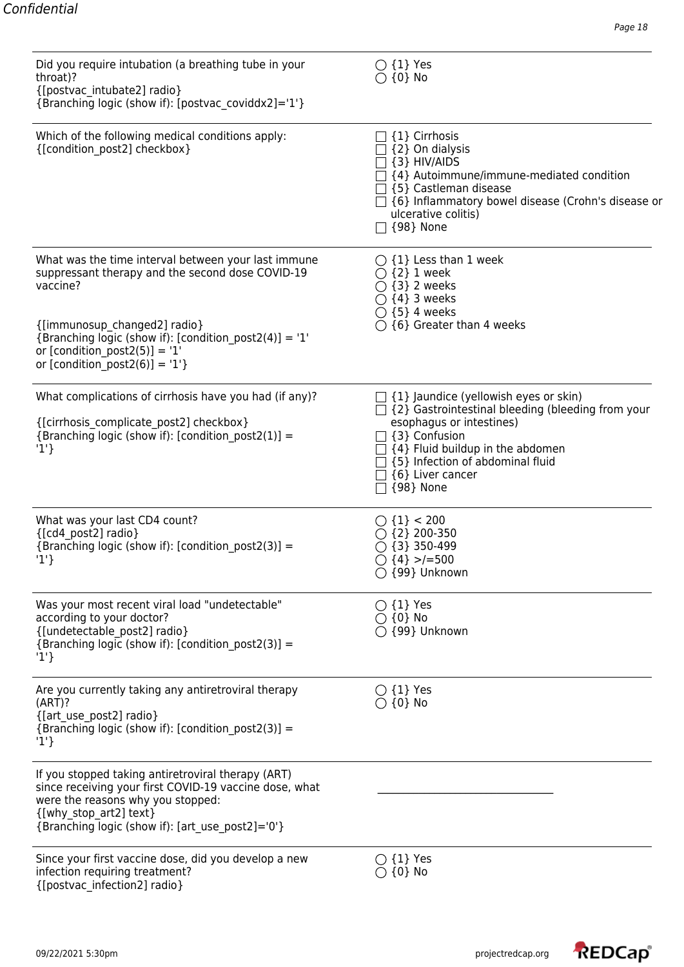| Did you require intubation (a breathing tube in your<br>throat)?<br>{[postvac intubate2] radio}<br>{Branching logic (show if): [postvac coviddx2]='1'}                                                                                                                           | $\bigcirc$ {1} Yes<br>$\bigcirc$ {0} No                                                                                                                                                                                                                                                       |
|----------------------------------------------------------------------------------------------------------------------------------------------------------------------------------------------------------------------------------------------------------------------------------|-----------------------------------------------------------------------------------------------------------------------------------------------------------------------------------------------------------------------------------------------------------------------------------------------|
| Which of the following medical conditions apply:<br>{[condition post2] checkbox}                                                                                                                                                                                                 | {1} Cirrhosis<br>{2} On dialysis<br>$\{3\}$ HIV/AIDS<br>{4} Autoimmune/immune-mediated condition<br>$\lceil$ {5} Castleman disease<br>$\Box$ {6} Inflammatory bowel disease (Crohn's disease or<br>ulcerative colitis)<br>$\Box$ {98} None                                                    |
| What was the time interval between your last immune<br>suppressant therapy and the second dose COVID-19<br>vaccine?<br>{[immunosup changed2] radio}<br>{Branching logic (show if): [condition_post2(4)] = '1'<br>or [condition post2(5)] = '1'<br>or [condition post2(6)] = '1'} | $\bigcirc$ {1} Less than 1 week<br>$\bigcirc$ {2} 1 week<br>$\bigcirc$ {3} 2 weeks<br>$\bigcirc$ {4} 3 weeks<br>$\bigcirc$ {5} 4 weeks<br>$\bigcirc$ {6} Greater than 4 weeks                                                                                                                 |
| What complications of cirrhosis have you had (if any)?<br>{[cirrhosis complicate post2] checkbox}<br>{Branching logic (show if): [condition post2(1)] =<br>'1'                                                                                                                   | $\Box$ {1} Jaundice (yellowish eyes or skin)<br>$\Box$ {2} Gastrointestinal bleeding (bleeding from your<br>esophagus or intestines)<br>$\exists$ {3} Confusion<br>$\Box$ {4} Fluid buildup in the abdomen<br>{5} Infection of abdominal fluid<br>$\Box$ {6} Liver cancer<br>$\Box$ {98} None |
| What was your last CD4 count?<br>{[cd4 post2] radio}<br>{Branching logic (show if): [condition post2(3)] =<br>$'1'\}$                                                                                                                                                            | $\bigcirc$ {1} < 200<br>$\bigcirc$ {2} 200-350<br>$\bigcirc$ {3} 350-499<br>$\bigcirc$ {4} >/=500<br>○ {99} Unknown                                                                                                                                                                           |
| Was your most recent viral load "undetectable"<br>according to your doctor?<br>{[undetectable_post2] radio}<br>{Branching logic (show if): [condition post2(3)] =<br>$'1'\}$                                                                                                     | $\bigcirc$ {1} Yes<br>$\bigcirc$ {0} No<br>$\bigcirc$ {99} Unknown                                                                                                                                                                                                                            |
| Are you currently taking any antiretroviral therapy<br>(ART)?<br>{[art use post2] radio}<br>{Branching logic (show if): [condition post2(3)] =<br>'1'                                                                                                                            | $\bigcirc$ {1} Yes<br>$\bigcirc$ {0} No                                                                                                                                                                                                                                                       |
| If you stopped taking antiretroviral therapy (ART)<br>since receiving your first COVID-19 vaccine dose, what<br>were the reasons why you stopped:<br>{[why stop art2] text}<br>{Branching logic (show if): [art use post2]='0'}                                                  |                                                                                                                                                                                                                                                                                               |
| Since your first vaccine dose, did you develop a new<br>infection requiring treatment?<br>{[postvac infection2] radio}                                                                                                                                                           | $\bigcirc$ {1} Yes<br>$\bigcirc$ {0} No                                                                                                                                                                                                                                                       |

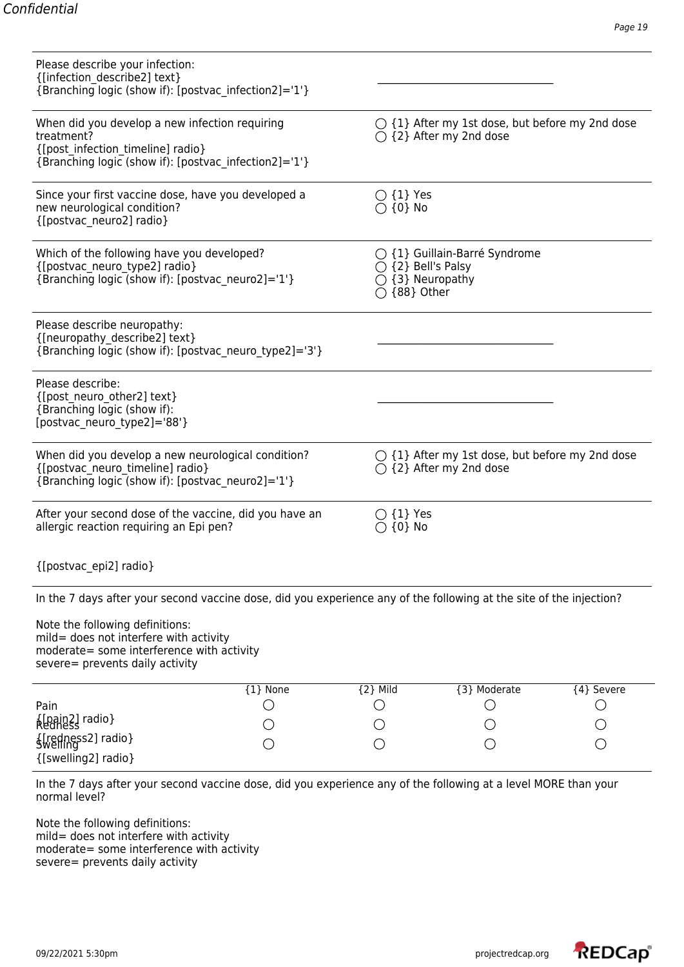| Please describe your infection:<br>{[infection describe2] text}<br>{Branching logic (show if): [postvac infection2]='1'}                                                                                                                                                         |          |                                           |                                                                                              |            |
|----------------------------------------------------------------------------------------------------------------------------------------------------------------------------------------------------------------------------------------------------------------------------------|----------|-------------------------------------------|----------------------------------------------------------------------------------------------|------------|
| When did you develop a new infection requiring<br>treatment?<br>{[post infection timeline] radio}<br>{Branching logic (show if): [postvac infection2]='1'}                                                                                                                       |          |                                           | $\bigcirc$ {1} After my 1st dose, but before my 2nd dose<br>$\bigcirc$ {2} After my 2nd dose |            |
| Since your first vaccine dose, have you developed a<br>new neurological condition?<br>{[postvac_neuro2] radio}                                                                                                                                                                   |          | $\bigcirc$ {1} Yes<br>$\bigcirc$ {0} No   |                                                                                              |            |
| Which of the following have you developed?<br>{[postvac_neuro_type2] radio}<br>{Branching logic (show if): [postvac neuro2]='1'}                                                                                                                                                 |          | $\bigcirc$ {2} Bell's Palsy<br>{88} Other | $\bigcirc$ {1} Guillain-Barré Syndrome<br>{3} Neuropathy                                     |            |
| Please describe neuropathy:<br>{[neuropathy_describe2] text}<br>{Branching logic (show if): [postvac_neuro_type2]='3'}                                                                                                                                                           |          |                                           |                                                                                              |            |
| Please describe:<br>{[post_neuro_other2] text}<br>{Branching logic (show if):<br>[postvac neuro type2]='88'}                                                                                                                                                                     |          |                                           |                                                                                              |            |
| When did you develop a new neurological condition?<br>{[postvac neuro timeline] radio}<br>{Branching logic (show if): [postvac neuro2]='1'}                                                                                                                                      |          |                                           | $\bigcirc$ {1} After my 1st dose, but before my 2nd dose<br>$\bigcirc$ {2} After my 2nd dose |            |
| After your second dose of the vaccine, did you have an<br>allergic reaction requiring an Epi pen?                                                                                                                                                                                |          | $\bigcirc$ {1} Yes<br>$\{0\}$ No          |                                                                                              |            |
| {[postvac epi2] radio}                                                                                                                                                                                                                                                           |          |                                           |                                                                                              |            |
| In the 7 days after your second vaccine dose, did you experience any of the following at the site of the injection?<br>Note the following definitions:<br>mild= does not interfere with activity<br>moderate= some interference with activity<br>severe= prevents daily activity |          |                                           |                                                                                              |            |
| Pain                                                                                                                                                                                                                                                                             | {1} None | ${2}$ Mild                                | {3} Moderate                                                                                 | {4} Severe |
| <b>Alpain21</b> radio}                                                                                                                                                                                                                                                           |          |                                           |                                                                                              |            |
| {redness2] radio}<br>{[swelling2] radio}                                                                                                                                                                                                                                         |          |                                           |                                                                                              |            |

In the 7 days after your second vaccine dose, did you experience any of the following at a level MORE than your normal level?

Note the following definitions: mild= does not interfere with activity moderate= some interference with activity severe= prevents daily activity

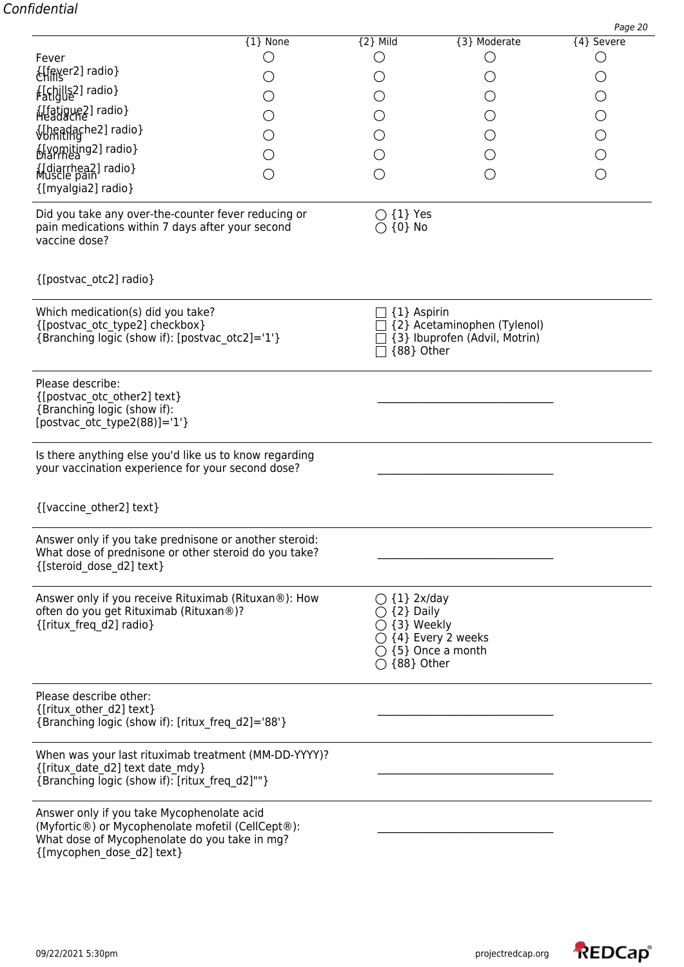| <b>LEAGL</b><br>Elfever2] radio}                                                                                                                                              |   |                                                                                                                                                     |                                                              |            |
|-------------------------------------------------------------------------------------------------------------------------------------------------------------------------------|---|-----------------------------------------------------------------------------------------------------------------------------------------------------|--------------------------------------------------------------|------------|
| {[chills2] radio}                                                                                                                                                             |   |                                                                                                                                                     |                                                              | О          |
| {Ifatigue2] radio}                                                                                                                                                            |   |                                                                                                                                                     |                                                              | $\bigcirc$ |
| {Uneadache2] radio}                                                                                                                                                           |   |                                                                                                                                                     |                                                              | $\bigcirc$ |
| {[vomiting2] radio}                                                                                                                                                           |   |                                                                                                                                                     |                                                              | $\bigcirc$ |
| {Idiarrhea2] radio}                                                                                                                                                           | ◯ | O                                                                                                                                                   |                                                              | $\bigcirc$ |
| {[myalgia2] radio}                                                                                                                                                            |   |                                                                                                                                                     |                                                              |            |
| Did you take any over-the-counter fever reducing or<br>pain medications within 7 days after your second<br>vaccine dose?                                                      |   | $\bigcirc$ {1} Yes<br>$\bigcirc$ {0} No                                                                                                             |                                                              |            |
| {[postvac_otc2] radio}                                                                                                                                                        |   |                                                                                                                                                     |                                                              |            |
| Which medication(s) did you take?<br>{[postvac otc type2] checkbox}<br>{Branching logic (show if): [postvac otc2]='1'}                                                        |   | $\exists$ {1} Aspirin<br>{88} Other                                                                                                                 | {2} Acetaminophen (Tylenol)<br>{3} Ibuprofen (Advil, Motrin) |            |
| Please describe:<br>{[postvac_otc_other2] text}<br>{Branching logic (show if):<br>[postvac otc type2 $(88)$ ]='1'}                                                            |   |                                                                                                                                                     |                                                              |            |
| Is there anything else you'd like us to know regarding<br>your vaccination experience for your second dose?                                                                   |   |                                                                                                                                                     |                                                              |            |
| {[vaccine other2] text}                                                                                                                                                       |   |                                                                                                                                                     |                                                              |            |
| Answer only if you take prednisone or another steroid:<br>What dose of prednisone or other steroid do you take?<br>{[steroid dose d2] text}                                   |   |                                                                                                                                                     |                                                              |            |
| Answer only if you receive Rituximab (Rituxan®): How<br>often do you get Rituximab (Rituxan®)?<br>{[ritux freq d2] radio}                                                     |   | $\bigcirc$ {1} 2x/day<br>{2} Daily<br>$\bigcirc$ {3} Weekly<br>$\bigcirc$ {4} Every 2 weeks<br>$\bigcirc$ {5} Once a month<br>$\bigcirc$ {88} Other |                                                              |            |
| Please describe other:<br>{[ritux other d2] text}<br>{Branching logic (show if): [ritux freq d2]='88'}                                                                        |   |                                                                                                                                                     |                                                              |            |
| When was your last rituximab treatment (MM-DD-YYYY)?<br>{[ritux date d2] text date mdy}<br>{Branching logic (show if): [ritux freq d2]""}                                     |   |                                                                                                                                                     |                                                              |            |
| Answer only if you take Mycophenolate acid<br>(Myfortic®) or Mycophenolate mofetil (CellCept®):<br>What dose of Mycophenolate do you take in mg?<br>{[mycophen_dose_d2] text} |   |                                                                                                                                                     |                                                              |            |

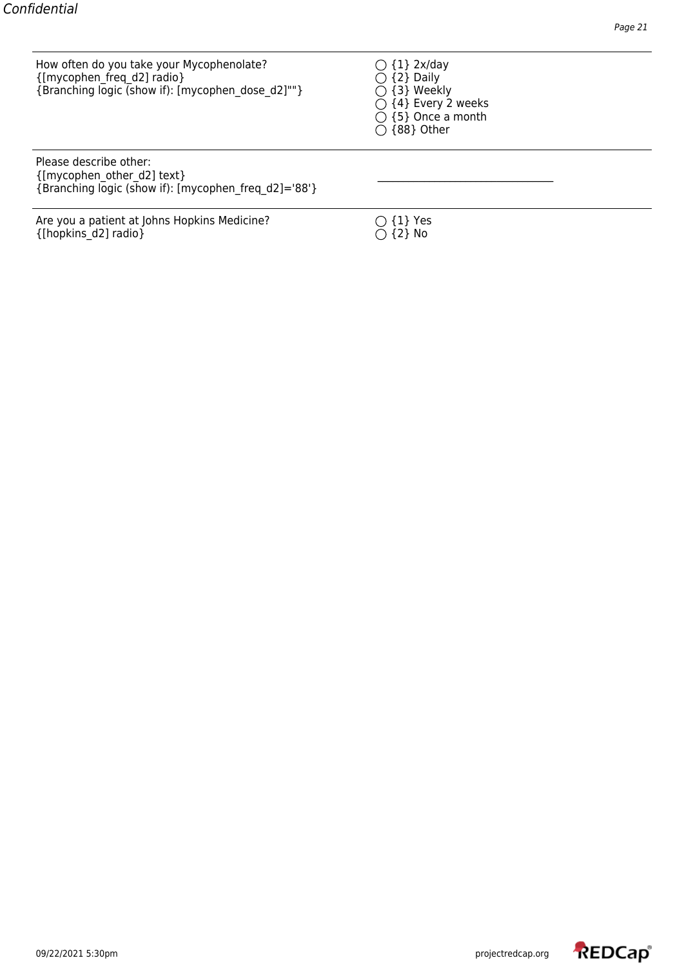How often do you take your Mycophenolate?  $\bigcirc$  {1} 2x/day {[mycophen\_freq\_d2] radio}  $\bigcirc$  {2} Daily {[mycophen\_freq\_d2] radio}<br>{Branching logic (show if): [mycophen\_dose\_d2]""}  $O$  {3} Weekly {Branching logic (show if): [mycophen\_dose\_d2]""}

 $\overline{O}$  {4} Every 2 weeks  $\overline{O}$  {5} Once a month  ${\rm O}$  {88} Other

Please describe other: {[mycophen\_other\_d2] text} \_\_\_\_\_\_\_\_\_\_\_\_\_\_\_\_\_\_\_\_\_\_\_\_\_\_\_\_\_\_\_\_\_\_ {Branching logic (show if): [mycophen\_freq\_d2]='88'}

Are you a patient at Johns Hopkins Medicine?  $\bigcirc$  {1} Yes {[hopkins\_d2] radio}  $\bigcirc$  {2} No  ${[hopkins_d2] \text{ radio}]}$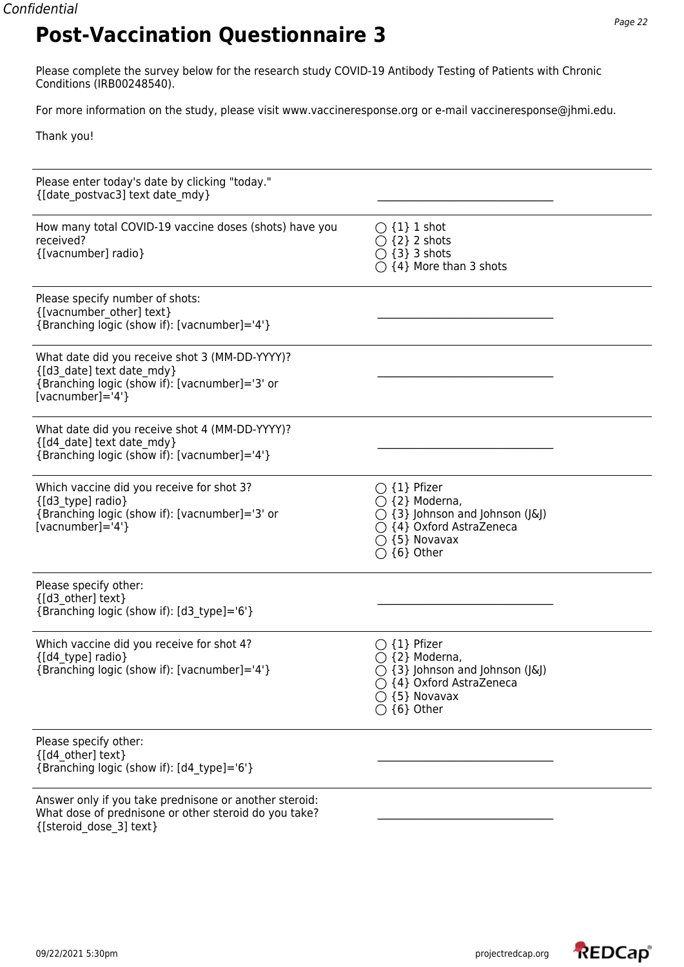Please complete the survey below for the research study COVID-19 Antibody Testing of Patients with Chronic Conditions (IRB00248540).

For more information on the study, please visit www.vaccineresponse.org or e-mail vaccineresponse@jhmi.edu.

Thank you!

| Please enter today's date by clicking "today."<br>{[date postvac3] text date mdy}                                                                                |                                                                                                                                                                                     |  |
|------------------------------------------------------------------------------------------------------------------------------------------------------------------|-------------------------------------------------------------------------------------------------------------------------------------------------------------------------------------|--|
| How many total COVID-19 vaccine doses (shots) have you<br>received?<br>{[vacnumber] radio}                                                                       | $\bigcirc$ {1} 1 shot<br>$\bigcirc$ {2} 2 shots<br>$\bigcirc$ {3} 3 shots<br>$\bigcirc$ {4} More than 3 shots                                                                       |  |
| Please specify number of shots:<br>{[vacnumber other] text}<br>{Branching logic (show if): [vacnumber]='4'}                                                      |                                                                                                                                                                                     |  |
| What date did you receive shot 3 (MM-DD-YYYY)?<br>{[d3 date] text date mdy}<br>{Branching logic (show if): [vacnumber]='3' or<br>[vacnumber]= $4$ <sup>'</sup> } |                                                                                                                                                                                     |  |
| What date did you receive shot 4 (MM-DD-YYYY)?<br>{[d4 date] text date mdy}<br>{Branching logic (show if): [vacnumber]='4'}                                      |                                                                                                                                                                                     |  |
| Which vaccine did you receive for shot 3?<br>{[d3 type] radio}<br>{Branching logic (show if): [vacnumber]='3' or<br>[vacnumber]= $4$ <sup>'</sup> }              | $\bigcirc$ {1} Pfizer<br>$\bigcirc$ {2} Moderna,<br>$\bigcirc$ {3} Johnson and Johnson (J&J)<br>$\bigcirc$ {4} Oxford AstraZeneca<br>$\bigcirc$ {5} Novavax<br>$\bigcirc$ {6} Other |  |
| Please specify other:<br>{[d3 other] text}<br>{Branching logic (show if): [d3 type]='6'}                                                                         |                                                                                                                                                                                     |  |
| Which vaccine did you receive for shot 4?<br>{[d4_type] radio}<br>{Branching logic (show if): [vacnumber]='4'}                                                   | $\bigcirc$ {1} Pfizer<br>$\bigcirc$ {2} Moderna,<br>$\bigcirc$ {3} Johnson and Johnson (J&J)<br>◯ {4} Oxford AstraZeneca<br>$\bigcirc$ {5} Novavax<br>$\bigcirc$ {6} Other          |  |
| Please specify other:<br>{[d4 other] text}<br>{Branching logic (show if): [d4 type]='6'}                                                                         |                                                                                                                                                                                     |  |
| Answer only if you take prednisone or another steroid:<br>What dose of prednisone or other steroid do you take?<br>{[steroid dose 3] text}                       |                                                                                                                                                                                     |  |

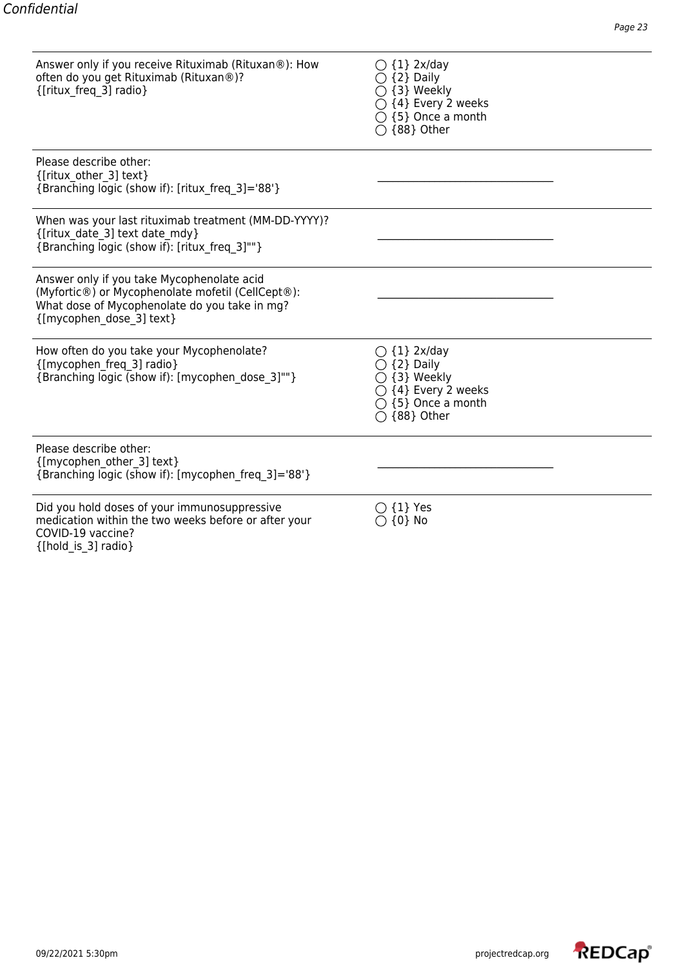Answer only if you receive Rituximab (Rituxan®): How  $\qquad \qquad \bigcirc$  {1} 2x/day often do you get Rituximab (Rituxan®)? {2} Daily  $\{\text{[ritux\_freq\_3]} \text{ radio}\}\$   $\bigcirc$   $\{3\}$  Weekly

| ( ) {1} 2x/day               |
|------------------------------|
| $\bigcirc$ {2} Daily         |
| $\bigcirc$ {3} Weekly        |
| $\bigcirc$ {4} Every 2 weeks |
| $\bigcirc$ {5} Once a month  |
| ◯ {88} Other                 |

| Please describe other:<br>{[ritux other 3] text}<br>{Branching logic (show if): [ritux freq 3]='88'}                                                                         |                                                                                                                               |
|------------------------------------------------------------------------------------------------------------------------------------------------------------------------------|-------------------------------------------------------------------------------------------------------------------------------|
| When was your last rituximab treatment (MM-DD-YYYY)?<br>{[ritux date 3] text date mdy}<br>{Branching logic (show if): [ritux freq 3]""}                                      |                                                                                                                               |
| Answer only if you take Mycophenolate acid<br>(Myfortic®) or Mycophenolate mofetil (CellCept®):<br>What dose of Mycophenolate do you take in mg?<br>{[mycophen dose 3] text} |                                                                                                                               |
| How often do you take your Mycophenolate?<br>{[mycophen_freq_3] radio}<br>{Branching logic (show if): [mycophen_dose_3]""}                                                   | $\bigcirc$ {1} 2x/day<br>{2} Daily<br>{3} Weekly<br>$\bigcirc$ {4} Every 2 weeks<br>{5} Once a month<br>$\bigcirc$ {88} Other |
| Please describe other:<br>{[mycophen other 3] text}<br>{Branching logic (show if): [mycophen_freq_3]='88'}                                                                   |                                                                                                                               |
| Did you hold doses of your immunosuppressive<br>medication within the two weeks before or after your<br>COVID-19 vaccine?<br>{[hold is 3] radio}                             | $\{1\}$ Yes<br>$\{0\}$ No                                                                                                     |

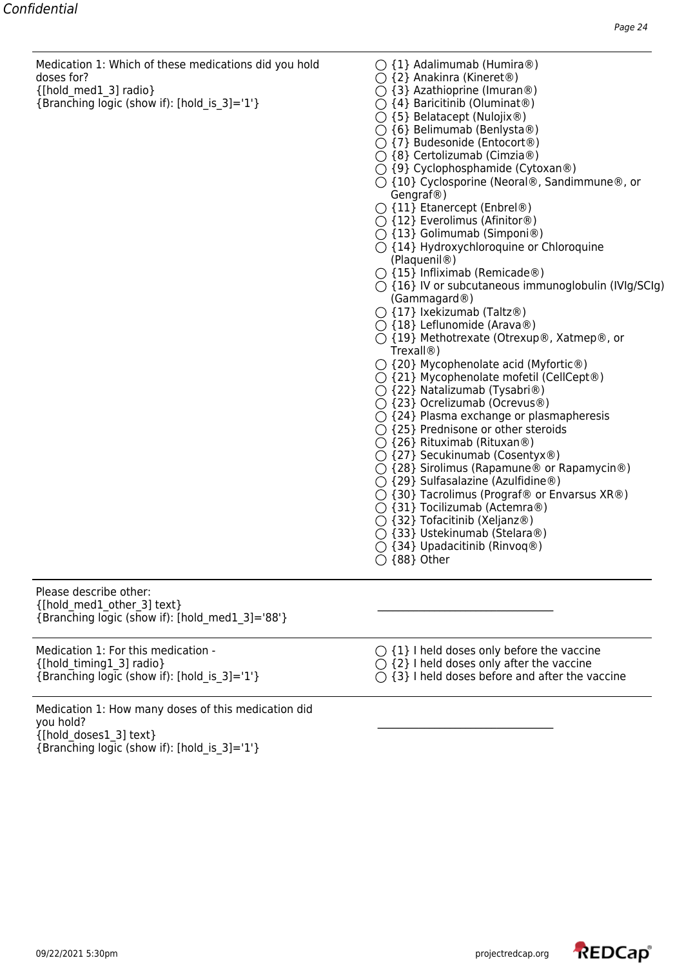Medication 1: Which of these medications did you hold  $\bigcirc$  {1} Adalimumab (Humira®) doses for?  $\bigcirc$  and  $\bigcirc$  and  $\bigcirc$  and  $\bigcirc$  and  $\bigcirc$  and  $\bigcirc$  and  $\bigcirc$  and  $\bigcirc$  and  $\bigcirc$  and  $\bigcirc$  and  $\bigcirc$  and  $\bigcirc$  and  $\bigcirc$  and  $\bigcirc$  and  $\bigcirc$  and  $\bigcirc$  and  $\bigcirc$  and  $\bigcirc$  and  $\bigcirc$  and  $\bigcirc$  and  $\bigcirc$  and

- {Branching logic (show if): [hold is 3]='1'}  $\bigcirc$  {4} Baricitinib (Oluminat®)
- 
- 
- $\{\}$  and  $\{\}$  and  $\{\}$  and  $\{\}$  and  $\{\}$  Azathioprine (Imuran®)
	-
	- $\bigcirc$  {5} Belatacept (Nulojix®)
	- $\bigcirc$  {6} Belimumab (Benlysta®)
	- {7} Budesonide (Entocort®)
	- {8} Certolizumab (Cimzia®)
	- $\bigcirc$  {9} Cyclophosphamide (Cytoxan®)
	- ${\rm O}$  {10} Cyclosporine (Neoral®, Sandimmune®, or Gengraf®)
	- $\bigcirc$  {11} Etanercept (Enbrel®)
	- {12} Everolimus (Afinitor®)
	- {13} Golimumab (Simponi®)
	- ${\bigcirc}$  {14} Hydroxychloroquine or Chloroquine (Plaquenil®)
	- $\bigcirc$  {15} Infliximab (Remicade®)
	- $\bigcirc$  {16} IV or subcutaneous immunoglobulin (IVIg/SCIg) (Gammagard®)
	- $\bigcirc$  {17} Ixekizumab (Taltz®)
	- {18} Leflunomide (Arava®)
	- {19} Methotrexate (Otrexup®, Xatmep®, or Trexall®)
	- ${\bigcirc}$  {20} Mycophenolate acid (Myfortic®)
	- ${\bigcirc}$  {21} Mycophenolate mofetil (CellCept®)
	- $\bigcirc$  {22} Natalizumab (Tysabri®)
	- {23} Ocrelizumab (Ocrevus®)
	- ${ }^\frown$  {24} Plasma exchange or plasmapheresis
	- $\bigcirc$  {25} Prednisone or other steroids
	- $\bigcirc$  {26} Rituximab (Rituxan®)
	- {27} Secukinumab (Cosentyx®)
	- ◯ {28} Sirolimus (Rapamune® or Rapamycin®)
	- {29} Sulfasalazine (Azulfidine®)
	- ${\rm O}$  {30} Tacrolimus (Prograf® or Envarsus XR®)
	- $\bigcap$  {31} Tocilizumab (Actemra®)
	- $\bigcap$  {32} Tofacitinib (Xeljanz®)
	- $\bigcap$  {33} Ustekinumab (Stelara®)
	- $\bigcirc$  {34} Upadacitinib (Rinvoq®)

|  | $\bigcirc$ {88} Other |
|--|-----------------------|
|  |                       |

Please describe other:  $\{[\text{hold med1 other 3] text}\}$ {Branching logic (show if): [hold\_med1\_3]='88'}

{[hold\_timing1\_3] radio}  $\bigcirc$  {2} I held doses only after the vaccine {Branching logic (show if): [hold\_is\_3]='1'}  $\bigcirc$  {3} I held doses before and after the v

Medication 1: For this medication -  $\bigcirc$   $\{1\}$  I held doses only before the vaccine

- 
- ${\rm O}$  {3} I held doses before and after the vaccine

Medication 1: How many doses of this medication did you hold? \_\_\_\_\_\_\_\_\_\_\_\_\_\_\_\_\_\_\_\_\_\_\_\_\_\_\_\_\_\_\_\_\_\_ {[hold\_doses1\_3] text} {Branching logic (show if): [hold\_is\_3]='1'}

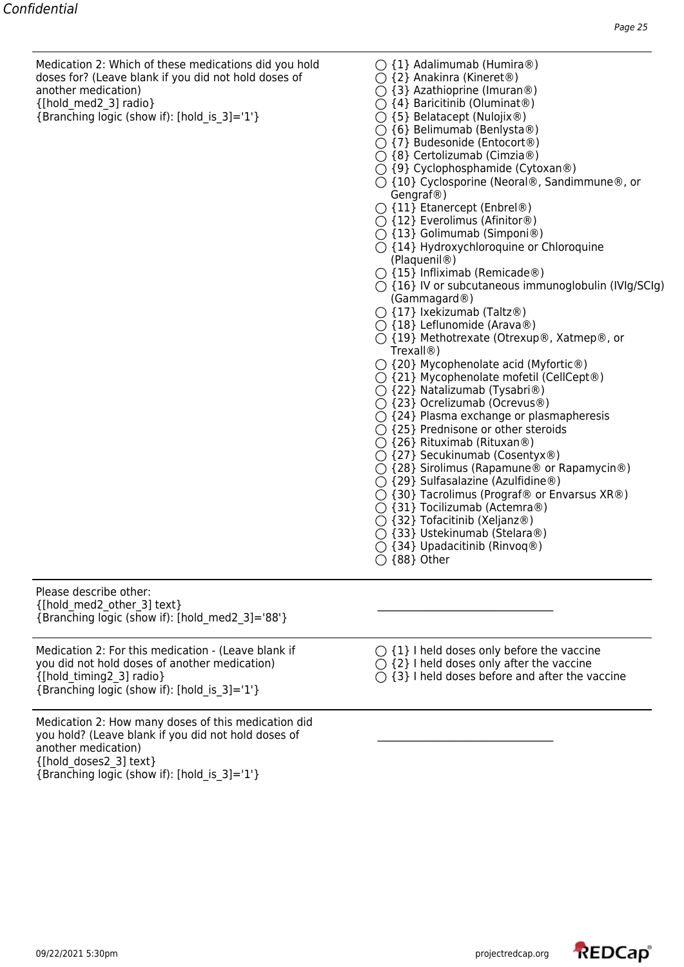Medication 2: Which of these medications did you hold  $\bigcap$  {1} Adalimumab (Humira®) doses for? (Leave blank if you did not hold doses of  $\bigcap$  {2} Anakinra (Kineret®) another medication)  $\bigcirc$  {3} Azathioprine (Imuran®)<br>
{[hold med2 3] radio}  $\bigcirc$  {4} Baricitinib (Oluminat®)

{Branching logic (show if): [hold is 3]='1'}  $\bigcirc$  {5} Belatacept (Nulojix®)

- 
- 
- 
- $\bigcirc$  {4} Baricitinib (Oluminat®)
- 
- $\bigcirc$  {6} Belimumab (Benlysta®)
- {7} Budesonide (Entocort®)
- $\bigcirc$  {8} Certolizumab (Cimzia®)
- $\bigcirc$  {9} Cyclophosphamide (Cytoxan®)
- ${\rm O}$  {10} Cyclosporine (Neoral®, Sandimmune®, or Gengraf®)
- $\bigcirc$  {11} Etanercept (Enbrel®)
- {12} Everolimus (Afinitor®)
- {13} Golimumab (Simponi®)
- ${\bigcirc}$  {14} Hydroxychloroquine or Chloroquine (Plaquenil®)
- $\bigcirc$  {15} Infliximab (Remicade®)
- $\bigcirc$  {16} IV or subcutaneous immunoglobulin (IVIg/SCIg) (Gammagard®)
- $\bigcirc$  {17} Ixekizumab (Taltz®)
- {18} Leflunomide (Arava®)
- {19} Methotrexate (Otrexup®, Xatmep®, or Trexall®)
- ${\bigcirc}$  {20} Mycophenolate acid (Myfortic®)
- ${\bigcirc}$  {21} Mycophenolate mofetil (CellCept®)
- $\bigcirc$  {22} Natalizumab (Tysabri®)
- {23} Ocrelizumab (Ocrevus®)
- ${ }^\frown$  {24} Plasma exchange or plasmapheresis
- $\bigcirc$  {25} Prednisone or other steroids
- $\bigcirc$  {26} Rituximab (Rituxan®)
- {27} Secukinumab (Cosentyx®)
- ◯ {28} Sirolimus (Rapamune® or Rapamycin®)
- {29} Sulfasalazine (Azulfidine®)
- ${\rm O}$  {30} Tacrolimus (Prograf® or Envarsus XR®)
- $\bigcirc$  {31} Tocilizumab (Actemra®)
- $\bigcirc$  {32} Tofacitinib (Xeljanz®)
- $\bigcap$  {33} Ustekinumab (Stelara®)
- $\bigcirc$  {34} Upadacitinib (Rinvoq®)
- $\bigcirc$  {88} Other

Please describe other:  $\{[\text{hold med2 other}]$  text} {Branching logic (show if): [hold\_med2\_3]='88'}

Medication 2: For this medication - (Leave blank if  $\bigcirc$  {1} I held doses only before the vaccine you did not hold doses of another medication)  $\bigcirc$  {2} I held doses only after the vaccine you did not hold doses of another medication)  $\{\text{[hold\_timing2_3]} \text{ radio}\}$   $\bigcirc$   $\{3\}$  I held doses before and after the vaccine  ${Branching logic (show if): [hold is 3]=1'}$ 

Medication 2: How many doses of this medication did you hold? (Leave blank if you did not hold doses of \_\_\_\_\_\_\_\_\_\_\_\_\_\_\_\_\_\_\_\_\_\_\_\_\_\_\_\_\_\_\_\_\_\_ another medication) {[hold\_doses2\_3] text} {Branching logic (show if): [hold\_is\_3]='1'}

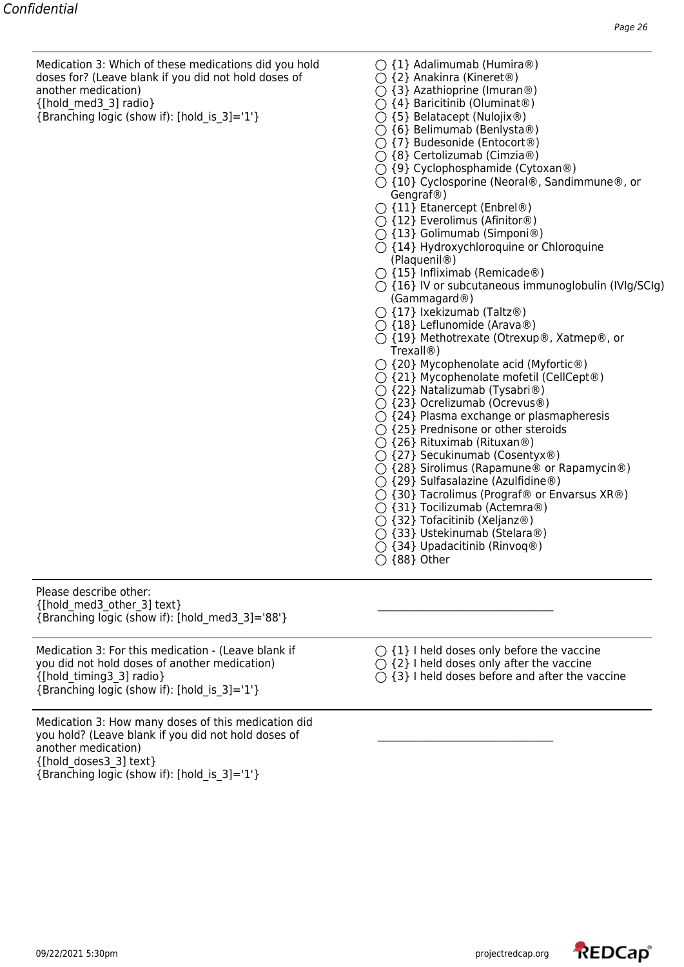Medication 3: Which of these medications did you hold  $\bigcap$  {1} Adalimumab (Humira®) doses for? (Leave blank if you did not hold doses of  $\bigcap$  {2} Anakinra (Kineret®) another medication)  $\bigcirc$  {3} Azathioprine (Imuran®)<br>
{[hold med3 3] radio}  $\bigcirc$  {4} Baricitinib (Oluminat®)

{Branching logic (show if): [hold is 3]='1'}  $\bigcirc$  {5} Belatacept (Nulojix®)

- 
- 
- 
- $\bigcirc$  {4} Baricitinib (Oluminat®)
- 
- $\bigcirc$  {6} Belimumab (Benlysta®)
- {7} Budesonide (Entocort®)
- $\bigcirc$  {8} Certolizumab (Cimzia®)
- $\bigcirc$  {9} Cyclophosphamide (Cytoxan®)
- ${\rm O}$  {10} Cyclosporine (Neoral®, Sandimmune®, or Gengraf®)
- $\bigcirc$  {11} Etanercept (Enbrel®)
- {12} Everolimus (Afinitor®)
- {13} Golimumab (Simponi®)
- ${\bigcirc}$  {14} Hydroxychloroquine or Chloroquine (Plaquenil®)
- $\bigcirc$  {15} Infliximab (Remicade®)
- $\bigcirc$  {16} IV or subcutaneous immunoglobulin (IVIg/SCIg) (Gammagard®)
- $\bigcirc$  {17} Ixekizumab (Taltz®)
- {18} Leflunomide (Arava®)
- {19} Methotrexate (Otrexup®, Xatmep®, or Trexall®)
- ${\bigcirc}$  {20} Mycophenolate acid (Myfortic®)
- ${\bigcirc}$  {21} Mycophenolate mofetil (CellCept®)
- $\bigcirc$  {22} Natalizumab (Tysabri®)
- {23} Ocrelizumab (Ocrevus®)
- ${ }^\frown$  {24} Plasma exchange or plasmapheresis
- $\bigcirc$  {25} Prednisone or other steroids
- $\bigcirc$  {26} Rituximab (Rituxan®)
- {27} Secukinumab (Cosentyx®)
- ◯ {28} Sirolimus (Rapamune® or Rapamycin®)
- {29} Sulfasalazine (Azulfidine®)
- ${\rm O}$  {30} Tacrolimus (Prograf® or Envarsus XR®)
- $\bigcirc$  {31} Tocilizumab (Actemra®)
- $\bigcirc$  {32} Tofacitinib (Xeljanz®)
- $\bigcap$  {33} Ustekinumab (Stelara®)
- $\bigcirc$  {34} Upadacitinib (Rinvoq®)
- $\bigcirc$  {88} Other

Please describe other:  $\{[\text{hold med3 other 3] text}\}$ {Branching logic (show if): [hold\_med3\_3]='88'}

Medication 3: For this medication - (Leave blank if  $\bigcirc$  {1} I held doses only before the vaccine you did not hold doses of another medication)  $\bigcirc$  {2} I held doses only after the vaccine you did not hold doses of another medication)  $\{\text{[hold\_timing3\_3]} \text{ radio}\}$   $\bigcirc$   $\{3\}$  I held doses before and after the vaccine  ${Branching logic (show if): [hold is 3]=1'}$ 

Medication 3: How many doses of this medication did you hold? (Leave blank if you did not hold doses of \_\_\_\_\_\_\_\_\_\_\_\_\_\_\_\_\_\_\_\_\_\_\_\_\_\_\_\_\_\_\_\_\_\_ another medication) {[hold\_doses3\_3] text} {Branching logic (show if): [hold\_is\_3]='1'}

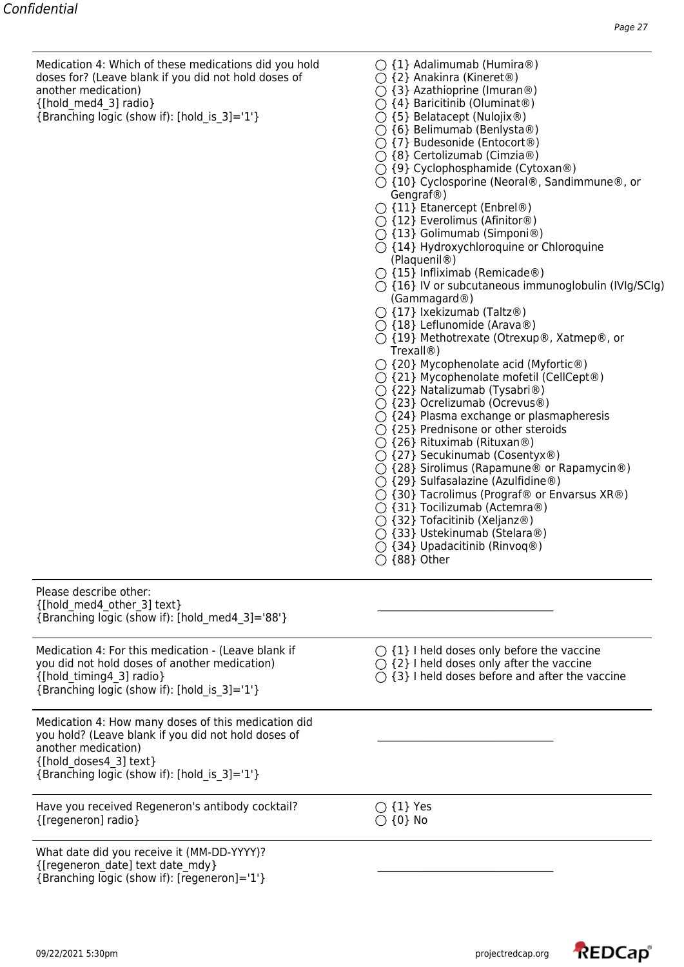Medication 4: Which of these medications did you hold  $\bigcap$  {1} Adalimumab (Humira®) doses for? (Leave blank if you did not hold doses of  $\bigcap$  {2} Anakinra (Kineret®) another medication)  $\bigcirc$  {3} Azathioprine (Imuran®)<br>
{[hold med4 3] radio}  $\bigcirc$  {4} Baricitinib (Oluminat®)

{Branching logic (show if): [hold is 3]='1'}  $\bigcirc$  {5} Belatacept (Nulojix®)

- 
- 
- 
- $\bigcirc$  {4} Baricitinib (Oluminat®)
- 
- ${\bigcirc}$  {6} Belimumab (Benlysta®)
- {7} Budesonide (Entocort®)
- {8} Certolizumab (Cimzia®)
- $\bigcirc$  {9} Cyclophosphamide (Cytoxan®)
- ${\rm O}$  {10} Cyclosporine (Neoral®, Sandimmune®, or Gengraf®)
- $\bigcirc$  {11} Etanercept (Enbrel®)
- {12} Everolimus (Afinitor®)
- {13} Golimumab (Simponi®)
- ${\bigcirc}$  {14} Hydroxychloroquine or Chloroquine (Plaquenil®)
- $\bigcirc$  {15} Infliximab (Remicade®)
- $\bigcirc$  {16} IV or subcutaneous immunoglobulin (IVIg/SCIg) (Gammagard®)
- $\bigcirc$  {17} Ixekizumab (Taltz®)
- {18} Leflunomide (Arava®)
- {19} Methotrexate (Otrexup®, Xatmep®, or Trexall®)
- ${\bigcirc}$  {20} Mycophenolate acid (Myfortic®)
- ${\bigcirc}$  {21} Mycophenolate mofetil (CellCept®)
- $\bigcirc$  {22} Natalizumab (Tysabri®)
- {23} Ocrelizumab (Ocrevus®)
- ${ }^\frown$  {24} Plasma exchange or plasmapheresis
- $\bigcirc$  {25} Prednisone or other steroids
- $\bigcirc$  {26} Rituximab (Rituxan®)
- {27} Secukinumab (Cosentyx®)
- ◯ {28} Sirolimus (Rapamune® or Rapamycin®)
- $\bigcirc$  {29} Sulfasalazine (Azulfidine®)
- ${\rm O}$  {30} Tacrolimus (Prograf® or Envarsus XR®)
- {31} Tocilizumab (Actemra®)
- {32} Tofacitinib (Xeljanz®)
- $\bigcap$  {33} Ustekinumab (Stelara®)
- $\bigcirc$  {34} Upadacitinib (Rinvoq®)

| $\bigcirc$ {88} Other |  |
|-----------------------|--|
|-----------------------|--|

| Please describe other:<br>{[hold med4 other 3] text}<br>{Branching logic (show if): [hold med4 3]='88'}                                                                                                     |                                                                                                                                                                       |
|-------------------------------------------------------------------------------------------------------------------------------------------------------------------------------------------------------------|-----------------------------------------------------------------------------------------------------------------------------------------------------------------------|
| Medication 4: For this medication - (Leave blank if<br>you did not hold doses of another medication)<br>{[hold timing4 3] radio}<br>{Branching logic (show if): [hold is 3]='1'}                            | $\bigcirc$ {1} I held doses only before the vaccine<br>$\bigcirc$ {2} I held doses only after the vaccine<br>$\bigcirc$ {3} I held doses before and after the vaccine |
| Medication 4: How many doses of this medication did<br>you hold? (Leave blank if you did not hold doses of<br>another medication)<br>{[hold doses4 3] text}<br>{Branching logic (show if): [hold_is_3]='1'} |                                                                                                                                                                       |
| Have you received Regeneron's antibody cocktail?<br>{[regeneron] radio}                                                                                                                                     | $\bigcirc$ {1} Yes<br>$\bigcirc$ {0} No                                                                                                                               |
| What date did you receive it (MM-DD-YYYY)?<br>{[regeneron date] text date mdy}                                                                                                                              |                                                                                                                                                                       |

{Branching logic (show if): [regeneron]='1'}

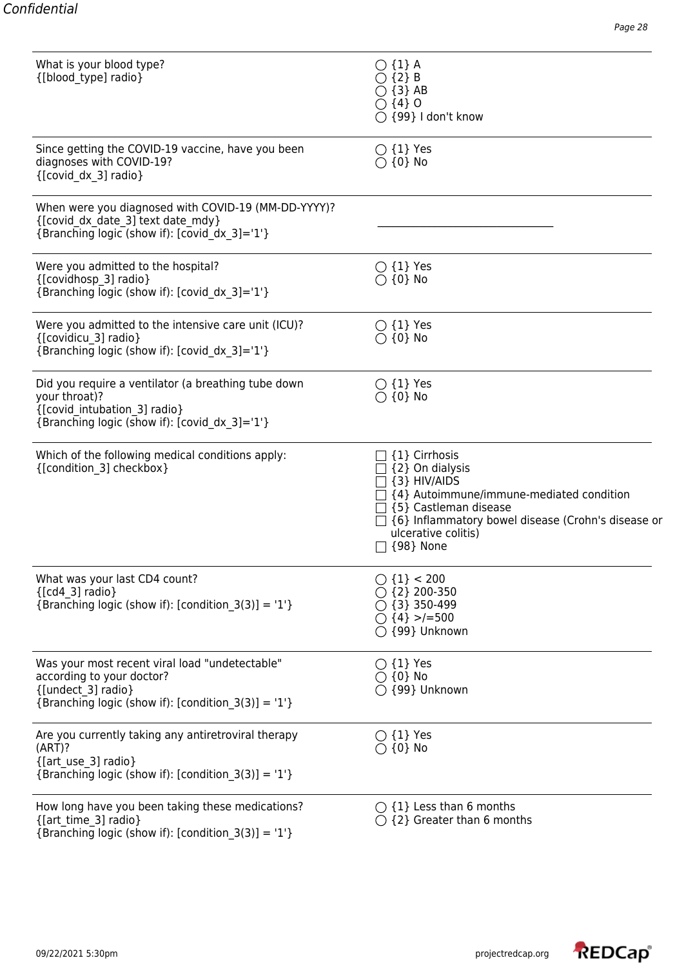| What is your blood type?<br>{[blood type] radio}                                                                                                         | $\bigcirc$ {1} A<br>$\bigcirc$ {2} B<br>$\bigcirc$ {3} AB<br>$\bigcirc$ {4} 0<br>$\bigcirc$ {99} I don't know                                                                                                                               |
|----------------------------------------------------------------------------------------------------------------------------------------------------------|---------------------------------------------------------------------------------------------------------------------------------------------------------------------------------------------------------------------------------------------|
| Since getting the COVID-19 vaccine, have you been<br>diagnoses with COVID-19?<br>{[covid dx 3] radio}                                                    | $\bigcirc$ {1} Yes<br>$\bigcirc$ {0} No                                                                                                                                                                                                     |
| When were you diagnosed with COVID-19 (MM-DD-YYYY)?<br>{[covid_dx_date_3] text date_mdy}<br>{Branching logic (show if): [covid dx 3]='1'}                |                                                                                                                                                                                                                                             |
| Were you admitted to the hospital?<br>{[covidhosp 3] radio}<br>{Branching logic (show if): [covid_dx_3]='1'}                                             | $\bigcirc$ {1} Yes<br>$\bigcirc$ {0} No                                                                                                                                                                                                     |
| Were you admitted to the intensive care unit (ICU)?<br>{[covidicu 3] radio}<br>{Branching logic (show if): [covid_dx_3]='1'}                             | $\bigcirc$ {1} Yes<br>$\bigcirc$ {0} No                                                                                                                                                                                                     |
| Did you require a ventilator (a breathing tube down<br>your throat)?<br>{[covid intubation 3] radio}<br>{Branching logic (show if): [covid dx 3]='1'}    | $\bigcirc$ {1} Yes<br>$\bigcirc$ {0} No                                                                                                                                                                                                     |
| Which of the following medical conditions apply:<br>{[condition 3] checkbox}                                                                             | {1} Cirrhosis<br>$\Box$ {2} On dialysis<br>$\Box$ {3} HIV/AIDS<br>$\Box$ {4} Autoimmune/immune-mediated condition<br>{5} Castleman disease<br>{6} Inflammatory bowel disease (Crohn's disease or<br>ulcerative colitis)<br>$\Box$ {98} None |
| What was your last CD4 count?<br>${[cd4 3] radio}$<br>{Branching logic (show if): [condition_3(3)] = '1'}                                                | $()$ {1} < 200<br>$\bigcirc$ {2} 200-350<br>$\bigcirc$ {3} 350-499<br>$\bigcirc$ {4} >/=500<br>$\bigcirc$ {99} Unknown                                                                                                                      |
| Was your most recent viral load "undetectable"<br>according to your doctor?<br>{[undect_3] radio}<br>{Branching logic (show if): [condition_3(3)] = '1'} | $\bigcirc$ {1} Yes<br>$\bigcirc$ {0} No<br>○ {99} Unknown                                                                                                                                                                                   |
| Are you currently taking any antiretroviral therapy<br>(ART)?<br>{[art use 3] radio}<br>{Branching logic (show if): $[condition_3(3)] = '1'$ }           | $\bigcirc$ {1} Yes<br>$\bigcirc$ {0} No                                                                                                                                                                                                     |
| How long have you been taking these medications?<br>{[art time 3] radio}<br>{Branching logic (show if): [condition_3(3)] = '1'}                          | $\bigcirc$ {1} Less than 6 months<br>$\bigcirc$ {2} Greater than 6 months                                                                                                                                                                   |

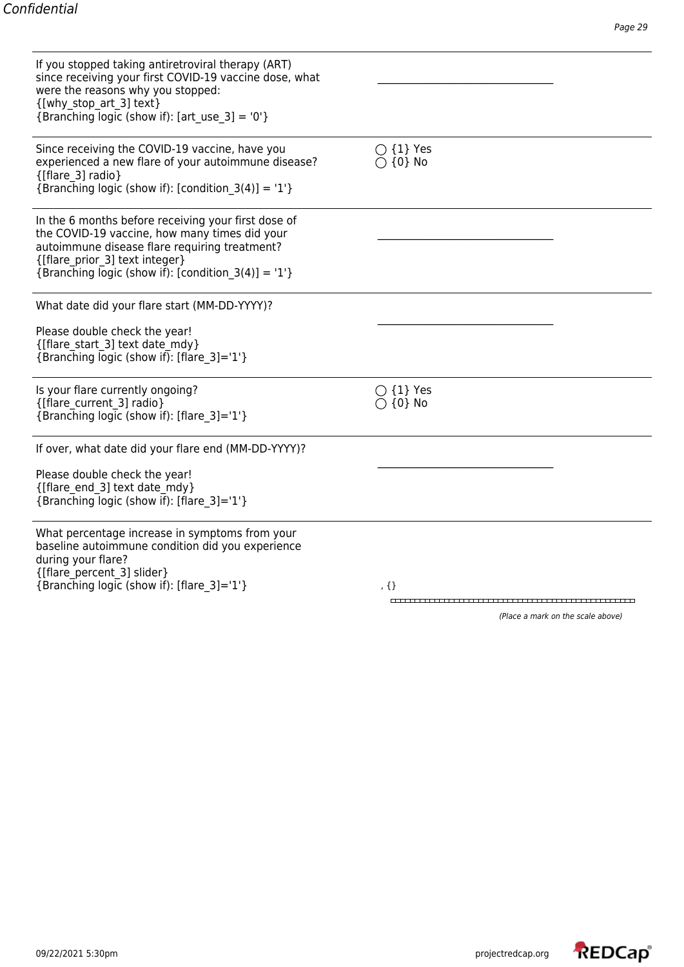| If you stopped taking antiretroviral therapy (ART)<br>since receiving your first COVID-19 vaccine dose, what<br>were the reasons why you stopped:<br>{[why stop art 3] text}<br>{Branching logic (show if): [art use $3$ ] = '0'}                 |                                         |
|---------------------------------------------------------------------------------------------------------------------------------------------------------------------------------------------------------------------------------------------------|-----------------------------------------|
| Since receiving the COVID-19 vaccine, have you<br>experienced a new flare of your autoimmune disease?<br>{[flare 3] radio}<br>{Branching logic (show if): [condition $3(4)$ ] = '1'}                                                              | $\bigcirc$ {1} Yes<br>$\bigcirc$ {0} No |
| In the 6 months before receiving your first dose of<br>the COVID-19 vaccine, how many times did your<br>autoimmune disease flare requiring treatment?<br>{[flare prior 3] text integer}<br>{Branching logic (show if): [condition $3(4)$ ] = '1'} |                                         |
| What date did your flare start (MM-DD-YYYY)?                                                                                                                                                                                                      |                                         |
| Please double check the year!<br>{[flare start 3] text date mdy}<br>{Branching logic (show if): [flare $3$ ]='1'}                                                                                                                                 |                                         |
| Is your flare currently ongoing?<br>{[flare current 3] radio}<br>{Branching logic (show if): [flare 3]='1'}                                                                                                                                       | $\bigcirc$ {1} Yes<br>$\bigcirc$ {0} No |
| If over, what date did your flare end (MM-DD-YYYY)?                                                                                                                                                                                               |                                         |
| Please double check the year!<br>{[flare end 3] text date mdy}<br>{Branching logic (show if): [flare 3]='1'}                                                                                                                                      |                                         |
| What percentage increase in symptoms from your<br>baseline autoimmune condition did you experience<br>during your flare?<br>{[flare_percent_3] slider}                                                                                            |                                         |
| {Branching logic (show if): [flare 3]='1'}                                                                                                                                                                                                        | $, \{\}$                                |
|                                                                                                                                                                                                                                                   |                                         |

(Place a mark on the scale above)

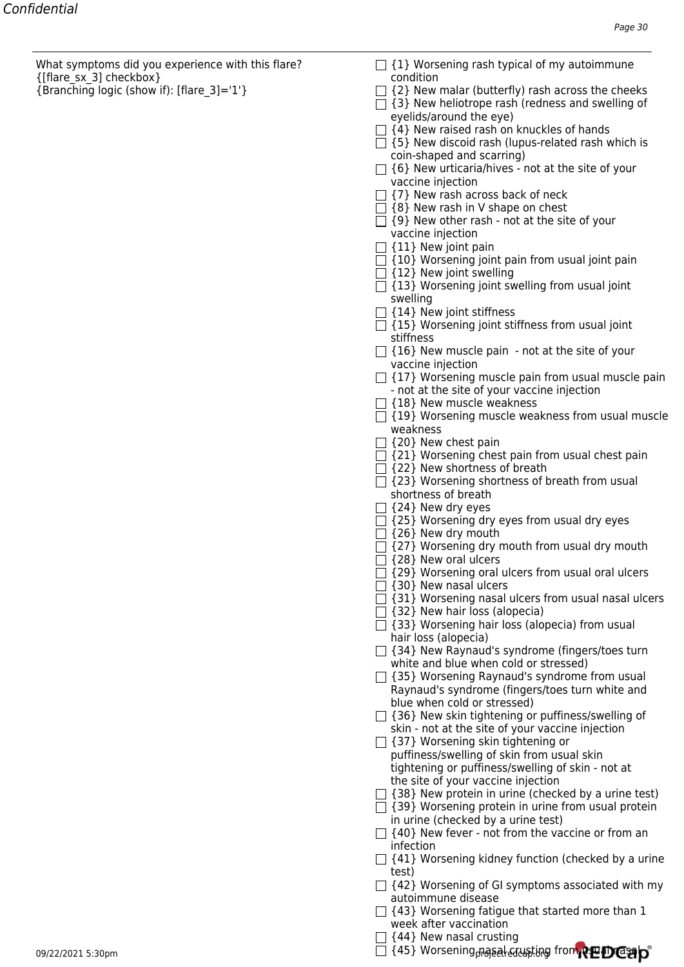What symptoms did you experience with this flare?  $\Box$  {1} Worsening rash typical of my autoimmune {[flare\_sx\_3] checkbox} condition

- 
- ${[Branching logic (show if): [flare 3] = '1'}$   $\Box$   $\Box$   $\Box$   $\Box$   $\Box$  New malar (butterfly) rash across the cheeks
	- $\Box$  {3} New heliotrope rash (redness and swelling of eyelids/around the eye)
	- $\Box$  {4} New raised rash on knuckles of hands
	- $\Box$  {5} New discoid rash (lupus-related rash which is coin-shaped and scarring)
	- $\Box$  {6} New urticaria/hives not at the site of your vaccine injection
	- $\Box$  {7} New rash across back of neck
	- $\Box$  {8} New rash in V shape on chest
	- $\Box$  {9} New other rash not at the site of your vaccine injection
	- $\Box$  {11} New joint pain
	- $\Box$  {10} Worsening joint pain from usual joint pain
	- $\Box$  {12} New joint swelling
	- $\Box$  {13} Worsening joint swelling from usual joint swelling
	- $\Box$  {14} New joint stiffness
	- $\Box$  {15} Worsening joint stiffness from usual joint stiffness
	- $\Box$  {16} New muscle pain not at the site of your vaccine injection
	- $\Box$  {17} Worsening muscle pain from usual muscle pain - not at the site of your vaccine injection
	- $\Box$  {18} New muscle weakness
	- $\Box$  {19} Worsening muscle weakness from usual muscle weakness
	- $\Box$  {20} New chest pain
	- $\Box$  {21} Worsening chest pain from usual chest pain
	- $\Box$  {22} New shortness of breath
	- $\Box$  {23} Worsening shortness of breath from usual shortness of breath
	- $\Box$  {24} New dry eyes
	- $\Box$  {25} Worsening dry eyes from usual dry eyes
	- $\Box$  {26} New dry mouth
	- $\Box$  {27} Worsening dry mouth from usual dry mouth
	- $\Box$  {28} New oral ulcers
	- $\Box$  {29} Worsening oral ulcers from usual oral ulcers
	- $\Box$  {30} New nasal ulcers
	- $\Box$  {31} Worsening nasal ulcers from usual nasal ulcers
	- $\Box$  {32} New hair loss (alopecia)
	- $\Box$  {33} Worsening hair loss (alopecia) from usual hair loss (alopecia)
	- $\Box$  {34} New Raynaud's syndrome (fingers/toes turn white and blue when cold or stressed)
	- $\Box$  {35} Worsening Raynaud's syndrome from usual Raynaud's syndrome (fingers/toes turn white and blue when cold or stressed)
	- $\Box$  {36} New skin tightening or puffiness/swelling of skin - not at the site of your vaccine injection
	- $\Box$  {37} Worsening skin tightening or puffiness/swelling of skin from usual skin tightening or puffiness/swelling of skin - not at the site of your vaccine injection
	- $\Box$  {38} New protein in urine (checked by a urine test)
	- $\Box$  {39} Worsening protein in urine from usual protein
	- in urine (checked by a urine test)  $\Box$  {40} New fever - not from the vaccine or from an infection
	- $\Box$  {41} Worsening kidney function (checked by a urine test)
	- $\Box$  {42} Worsening of GI symptoms associated with my autoimmune disease
	- $\Box$  {43} Worsening fatigue that started more than 1 week after vaccination
	- $\Box$  {44} New nasal crusting

09/22/2021 5:30pm projectredcap.org {45} Worsening nasal crusting from usual nasal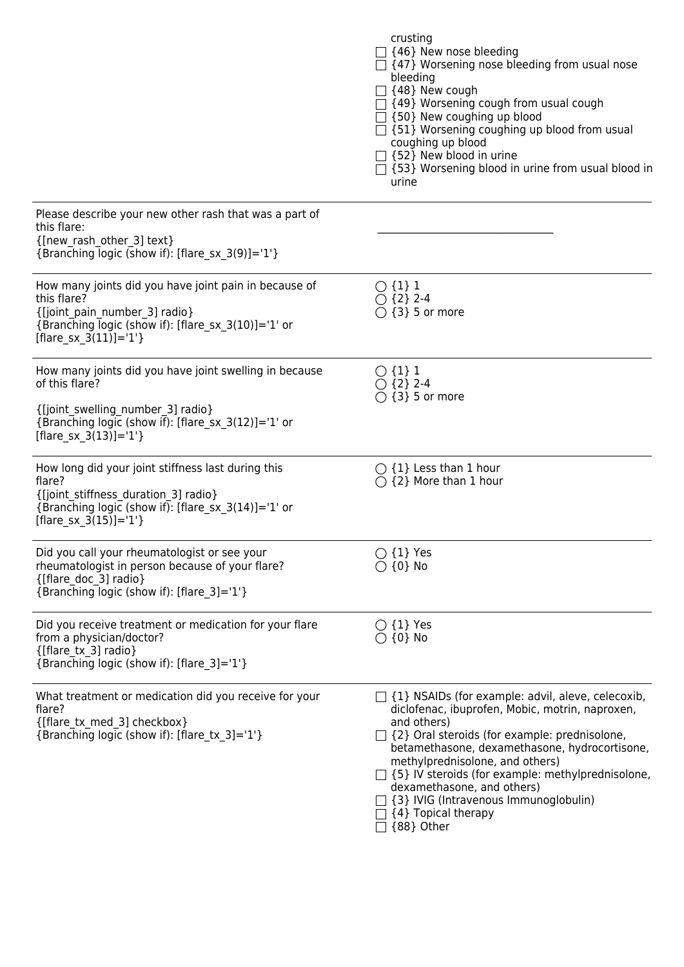|                                                                                                                                                                                                  | crusting<br>$\Box$ {46} New nose bleeding<br>$\Box$ {47} Worsening nose bleeding from usual nose<br>bleeding<br>$\Box$ {48} New cough<br>$\Box$ {49} Worsening cough from usual cough<br>$\Box$ {50} New coughing up blood<br>$\Box$ {51} Worsening coughing up blood from usual<br>coughing up blood<br>$\Box$ {52} New blood in urine<br>□ {53} Worsening blood in urine from usual blood in<br>urine                                        |
|--------------------------------------------------------------------------------------------------------------------------------------------------------------------------------------------------|------------------------------------------------------------------------------------------------------------------------------------------------------------------------------------------------------------------------------------------------------------------------------------------------------------------------------------------------------------------------------------------------------------------------------------------------|
| Please describe your new other rash that was a part of<br>this flare:<br>{[new rash other 3] text}<br>{Branching logic (show if): [flare_sx_3(9)]='1'}                                           |                                                                                                                                                                                                                                                                                                                                                                                                                                                |
| How many joints did you have joint pain in because of<br>this flare?<br>{[joint_pain_number_3] radio}<br>{Branching logic (show if): [flare_sx_3(10)]='1' or<br>[flare sx $3(11)$ ]='1'}         | $\bigcirc$ {1} 1<br>$\bigcirc$ {2} 2-4<br>$\bigcirc$ {3} 5 or more                                                                                                                                                                                                                                                                                                                                                                             |
| How many joints did you have joint swelling in because<br>of this flare?<br>{[joint_swelling_number_3] radio}<br>{Branching logic (show if): [flare_sx_3(12)]='1' or<br>[flare sx $3(13)$ ]='1'} | $\bigcirc$ {1} 1<br>$\bigcirc$ {2} 2-4<br>$\bigcirc$ {3} 5 or more                                                                                                                                                                                                                                                                                                                                                                             |
| How long did your joint stiffness last during this<br>flare?<br>{[joint_stiffness_duration_3] radio}<br>{Branching logic (show if): [flare_sx_3(14)]='1' or<br>[flare sx $3(15)$ ]='1'}          | $\bigcirc$ {1} Less than 1 hour<br>$\bigcap$ {2} More than 1 hour                                                                                                                                                                                                                                                                                                                                                                              |
| Did you call your rheumatologist or see your<br>rheumatologist in person because of your flare?<br>{[flare doc 3] radio}<br>{Branching logic (show if): [flare_3]='1'}                           | $\bigcirc$ {1} Yes<br>$\bigcirc$ {0} No                                                                                                                                                                                                                                                                                                                                                                                                        |
| Did you receive treatment or medication for your flare<br>from a physician/doctor?<br>{[flare_tx_3] radio}<br>{Branching logic (show if): [flare_3]='1'}                                         | $\bigcirc$ {1} Yes<br>$\bigcirc$ {0} No                                                                                                                                                                                                                                                                                                                                                                                                        |
| What treatment or medication did you receive for your<br>flare?<br>{[flare_tx_med_3] checkbox}<br>{Branching logic (show if): [flare_tx_3]='1'}                                                  | $\Box$ {1} NSAIDs (for example: advil, aleve, celecoxib,<br>diclofenac, ibuprofen, Mobic, motrin, naproxen,<br>and others)<br>{2} Oral steroids (for example: prednisolone,<br>betamethasone, dexamethasone, hydrocortisone,<br>methylprednisolone, and others)<br>$\Box$ {5} IV steroids (for example: methylprednisolone,<br>dexamethasone, and others)<br>$\Box$ {3} IVIG (Intravenous Immunoglobulin)<br>{4} Topical therapy<br>{88} Other |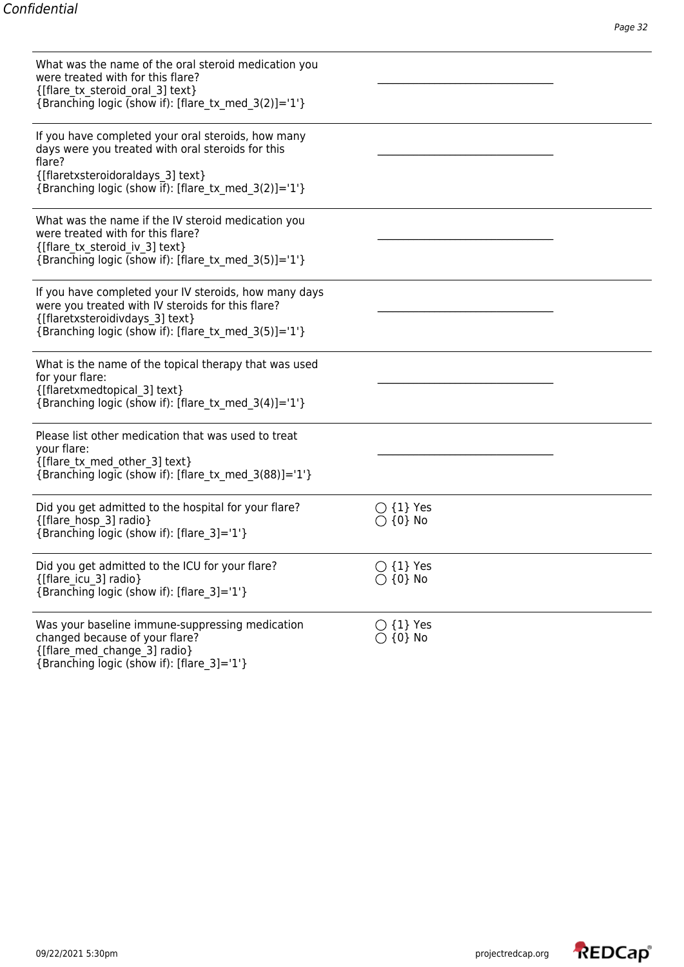| What was the name of the oral steroid medication you<br>were treated with for this flare?<br>{[flare tx steroid oral 3] text}<br>{Branching logic (show if): [flare tx med 3(2)]='1'}                          |                                         |  |
|----------------------------------------------------------------------------------------------------------------------------------------------------------------------------------------------------------------|-----------------------------------------|--|
| If you have completed your oral steroids, how many<br>days were you treated with oral steroids for this<br>flare?<br>{[flaretxsteroidoraldays 3] text}<br>{Branching logic (show if): [flare tx med 3(2)]='1'} |                                         |  |
| What was the name if the IV steroid medication you<br>were treated with for this flare?<br>{[flare tx steroid iv 3] text}<br>{Branching logic (show if): [flare tx med 3(5)]='1'}                              |                                         |  |
| If you have completed your IV steroids, how many days<br>were you treated with IV steroids for this flare?<br>{[flaretxsteroidivdays 3] text}<br>{Branching logic (show if): [flare tx med 3(5)]='1'}          |                                         |  |
| What is the name of the topical therapy that was used<br>for your flare:<br>{[flaretxmedtopical 3] text}<br>{Branching logic (show if): [flare tx med $3(4)$ ]='1'}                                            |                                         |  |
| Please list other medication that was used to treat<br>your flare:<br>{[flare tx med other 3] text}<br>{Branching logic (show if): [flare_tx_med_3(88)]='1'}                                                   |                                         |  |
| Did you get admitted to the hospital for your flare?<br>{[flare hosp 3] radio}<br>{Branching logic (show if): [flare 3]='1'}                                                                                   | $\bigcirc$ {1} Yes<br>$\bigcirc$ {0} No |  |
| Did you get admitted to the ICU for your flare?<br>{[flare_icu_3] radio}<br>{Branching logic (show if): [flare_3]='1'}                                                                                         | $\bigcirc$ {1} Yes<br>$\bigcirc$ {0} No |  |
| Was your baseline immune-suppressing medication<br>changed because of your flare?<br>{[flare med change 3] radio}<br>{Branching logic (show if): [flare 3]='1'}                                                | $\bigcirc$ {1} Yes<br>$\bigcirc$ {0} No |  |

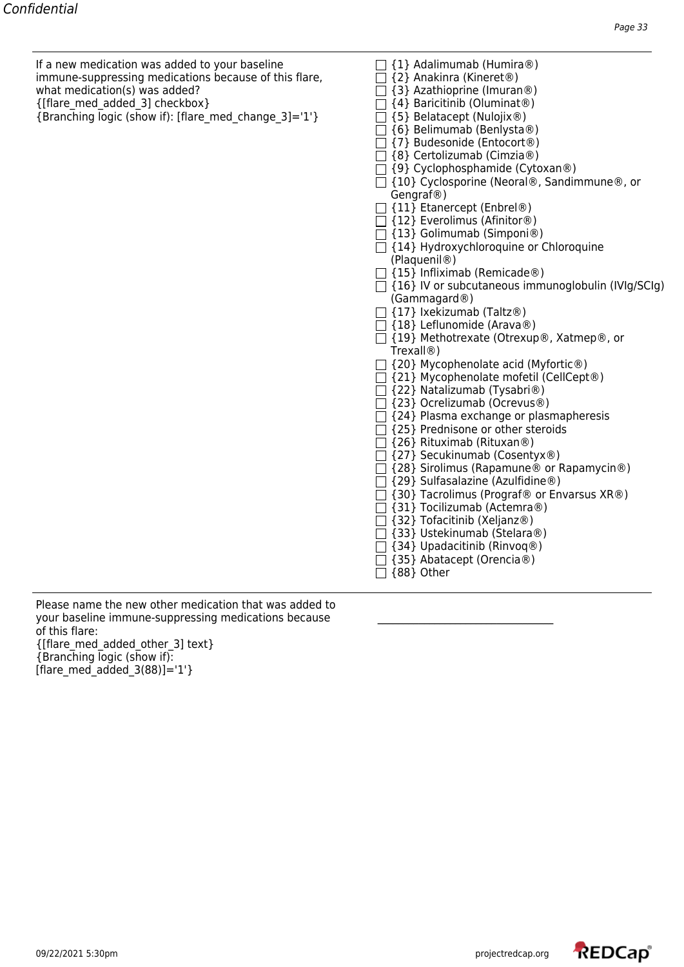If a new medication was added to your baseline  $\Box$  {1} Adalimumab (Humira®) immune-suppressing medications because of this flare, what medication(s) was added? {3} Azathioprine (Imuran®) {[flare\_med\_added\_3] checkbox} {4} Baricitinib (Oluminat®)

| $\Box$ {5} Belatacept (Nulojix®)<br>{Branching logic (show if): [flare_med_change_3]='1'} |  |  |  |  |
|-------------------------------------------------------------------------------------------|--|--|--|--|
|                                                                                           |  |  |  |  |

| {2} Anakinra (Kineret®)                                   |
|-----------------------------------------------------------|
| □ {3} Azathioprine (Imuran®)                              |
| □ {4} Baricitinib (Oluminat®)                             |
| □ {5} Belatacept (Nulojix®)                               |
| □ {6} Belimumab (Benlysta®)                               |
| □ {7} Budesonide (Entocort®)                              |
| □ {8} Certolizumab (Cimzia®)                              |
| □ {9} Cyclophosphamide (Cytoxan®)                         |
| □ {10} Cyclosporine (Neoral®, Sandimmune®, or             |
| Gengraf <sup>®</sup> )                                    |
| $\Box$ {11} Etanercept (Enbrel®)                          |
| $\Box$ {12} Everolimus (Afinitor®)                        |
| $\Box$ {13} Golimumab (Simponi®)                          |
| □ {14} Hydroxychloroquine or Chloroquine                  |
| (Plaquenil <sup>®</sup> )                                 |
| $\Box$ {15} Infliximab (Remicade®)                        |
| $\Box$ {16} IV or subcutaneous immunoglobulin (IVIg/SCIg) |
| (Gammagard@)                                              |
| □ {17} Ixekizumab (Taltz®)                                |
| □ {18} Leflunomide (Arava®)                               |
| □ {19} Methotrexate (Otrexup®, Xatmep®, or                |
| Trexall <sup>®</sup> )                                    |
| $\exists$ {20} Mycophenolate acid (Myfortic®)             |
| □ {21} Mycophenolate mofetil (CellCept®)                  |
| □ {22} Natalizumab (Tysabri®)                             |
| □ {23} Ocrelizumab (Ocrevus®)                             |
| $\Box$ {24} Plasma exchange or plasmapheresis             |
| $\Box$ {25} Prednisone or other steroids                  |
| □ {26} Rituximab (Rituxan®)                               |
| □ {27} Secukinumab (Cosentyx®)                            |
| □ {28} Sirolimus (Rapamune® or Rapamycin®)                |
| □ {29} Sulfasalazine (Azulfidine®)                        |
| $\Box$ {30} Tacrolimus (Prograf® or Envarsus XR®)         |
| □ {31} Tocilizumab (Actemra®)                             |
| □ {32} Tofacitinib (Xeljanz®)                             |
| □ {33} Ustekinumab (Stelara®)                             |
| □ {34} Upadacitinib (Rinvoq®)                             |
| □ {35} Abatacept (Orencia®)                               |
| $\Box$ {88} Other                                         |

Please name the new other medication that was added to your baseline immune-suppressing medications because of this flare: {[flare\_med\_added\_other\_3] text} {Branching logic (show if):  $[$ flare med added  $3(88)$ ]='1'}

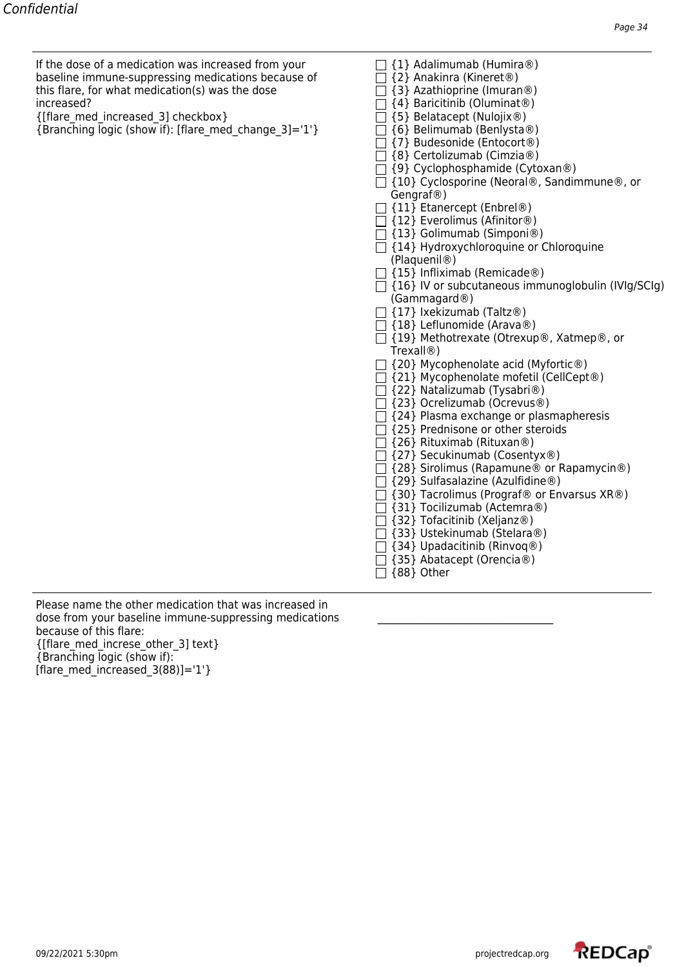| If the dose of a medication was increased from your | $\Box$ {1} Adalimumab (Humira®)             |
|-----------------------------------------------------|---------------------------------------------|
| baseline immune-suppressing medications because of  | $\Box$ {2} Anakinra (Kineret <sup>®</sup> ) |
| this flare, for what medication(s) was the dose     | $\Box$ {3} Azathioprine (Imuran®)           |
| increased?                                          | $\Box$ {4} Baricitinib (Oluminat®)          |
|                                                     |                                             |

| {[flare med increased 3] checkbox} |  |
|------------------------------------|--|
|------------------------------------|--|

{Branching logic (show if): [flare\_med\_change\_3]='1'} {6} Belimumab (Benlysta®)

| $\Box$ {1} Adalimumab (Humira®) |  |  |  |
|---------------------------------|--|--|--|
|---------------------------------|--|--|--|

- $\Box$  {2} Anakinra (Kineret®)
- $\Box$  {3} Azathioprine (Imuran®)
- $\Box$  {4} Baricitinib (Oluminat®)
- $\Box$  {5} Belatacept (Nulojix®)
- 
- {7} Budesonide (Entocort®)
- $\Box$  {8} Certolizumab (Cimzia®)
- $\Box$  {9} Cyclophosphamide (Cytoxan®)
- □ {10} Cyclosporine (Neoral®, Sandimmune®, or Gengraf®)
- □ {11} Etanercept (Enbrel®)
- $\Box$  {12} Everolimus (Afinitor®)
- $\Box$  {13} Golimumab (Simponi®)
- $\Box$  {14} Hydroxychloroquine or Chloroquine (Plaquenil®)
- $\Box$  {15} Infliximab (Remicade®)
- $\Box$  {16} IV or subcutaneous immunoglobulin (IVIg/SCIg) (Gammagard®)
- $\Box$  {17} Ixekizumab (Taltz®)
- $\Box$  {18} Leflunomide (Arava®)
- {19} Methotrexate (Otrexup®, Xatmep®, or Trexall®)
- $\Box$  {20} Mycophenolate acid (Myfortic®)
- $\Box$  {21} Mycophenolate mofetil (CellCept®)
- $\Box$  {22} Natalizumab (Tysabri®)
- {23} Ocrelizumab (Ocrevus®)
- $\Box$  {24} Plasma exchange or plasmapheresis
- $\Box$  {25} Prednisone or other steroids
- $\Box$  {26} Rituximab (Rituxan®)
- {27} Secukinumab (Cosentyx®)
- □ {28} Sirolimus (Rapamune<sup>®</sup> or Rapamycin<sup>®</sup>)
- $\Box$  {29} Sulfasalazine (Azulfidine®)
- $\Box$  {30} Tacrolimus (Prograf® or Envarsus XR®)
- {31} Tocilizumab (Actemra®)
- $\Box$  {32} Tofacitinib (Xeljanz®)
- $\Box$  {33} Ustekinumab (Stelara®)  $\Box$  {34} Upadacitinib (Rinvoq®)
- $\Box$  {35} Abatacept (Orencia®)
- 

 $\Box$  {88} Other

Please name the other medication that was increased in dose from your baseline immune-suppressing medications because of this flare: {[flare\_med\_increse\_other\_3] text} {Branching logic (show if): [flare med increased  $3(88)$ ]='1'}

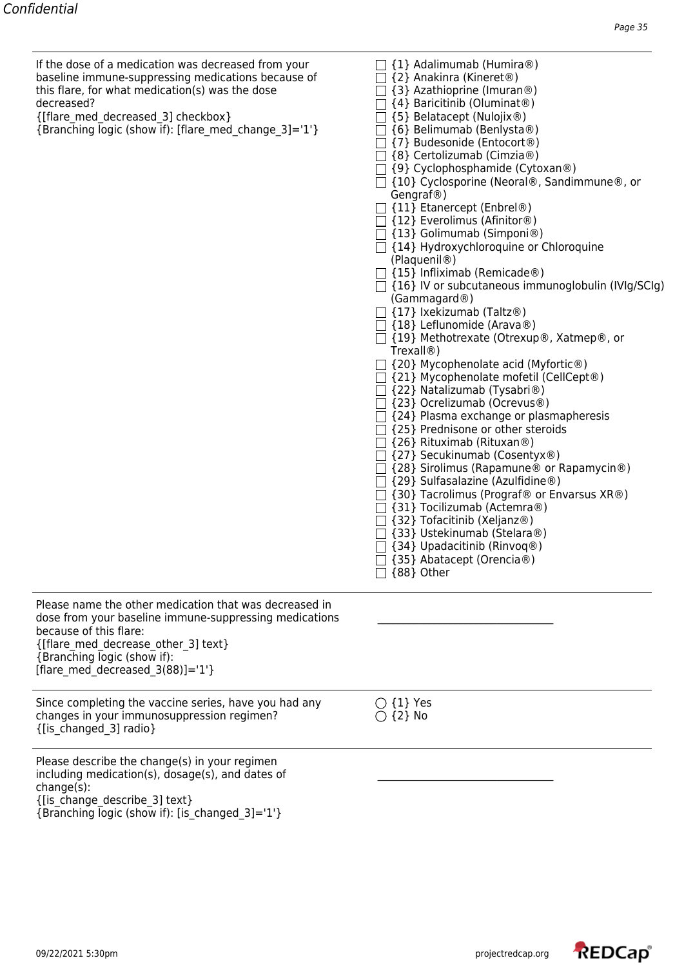| If the dose of a medication was decreased from your<br>baseline immune-suppressing medications because of<br>this flare, for what medication(s) was the dose<br>decreased?<br>{[flare med decreased 3] checkbox}<br>{Branching logic (show if): [flare med change 3]='1'} | {1} Adalimumab (Humira®)<br>{2} Anakinra (Kineret <sup>®</sup> )<br>{3} Azathioprine (Imuran <sup>®</sup> )<br>{4} Baricitinib (Oluminat <sup>®</sup> )<br>{5} Belatacept (Nulojix®)<br>{6} Belimumab (Benlysta®)<br>{7} Budesonide (Entocort®)<br>{8} Certolizumab (Cimzia®)<br>$\Box$ {9} Cyclophosphamide (Cytoxan®)<br>$\Box$ {10} Cyclosporine (Neoral®, Sandimmune®, or<br>Gengraf@)<br>$\Box$ {11} Etanercept (Enbrel®)<br>$\Box$ {12} Everolimus (Afinitor®)<br>$\Box$ {13} Golimumab (Simponi®)<br>$\Box$ {14} Hydroxychloroquine or Chloroquine<br>(Plaquenil <sup>®</sup> )<br>$\Box$ {15} Infliximab (Remicade®)<br>$\Box$ {16} IV or subcutaneous immunoglobulin (IVIg/SCIg)<br>(Gammagard@)<br>$\Box$ {17} Ixekizumab (Taltz®)<br>$\Box$ {18} Leflunomide (Arava®)<br>□ {19} Methotrexate (Otrexup®, Xatmep®, or<br>Trexall@)<br>{20} Mycophenolate acid (Myfortic®)<br>$\Box$ {21} Mycophenolate mofetil (CellCept®)<br>{22} Natalizumab (Tysabri <sup>®</sup> )<br>□ {23} Ocrelizumab (Ocrevus®)<br>{24} Plasma exchange or plasmapheresis<br>$\Box$ {25} Prednisone or other steroids<br>$\Box$ {26} Rituximab (Rituxan®)<br>{27} Secukinumab (Cosentyx®)<br>{28} Sirolimus (Rapamune <sup>®</sup> or Rapamycin <sup>®</sup> )<br>{29} Sulfasalazine (Azulfidine®)<br>{30} Tacrolimus (Prograf® or Envarsus XR®)<br>{31} Tocilizumab (Actemra®)<br>{32} Tofacitinib (Xeljanz®)<br>{33} Ustekinumab (Stelara®)<br>{34} Upadacitinib (Rinvoq®)<br>{35} Abatacept (Orencia®)<br>{88} Other |
|---------------------------------------------------------------------------------------------------------------------------------------------------------------------------------------------------------------------------------------------------------------------------|----------------------------------------------------------------------------------------------------------------------------------------------------------------------------------------------------------------------------------------------------------------------------------------------------------------------------------------------------------------------------------------------------------------------------------------------------------------------------------------------------------------------------------------------------------------------------------------------------------------------------------------------------------------------------------------------------------------------------------------------------------------------------------------------------------------------------------------------------------------------------------------------------------------------------------------------------------------------------------------------------------------------------------------------------------------------------------------------------------------------------------------------------------------------------------------------------------------------------------------------------------------------------------------------------------------------------------------------------------------------------------------------------------------------------------------------------------------------------------------------------------|
| Please name the other medication that was decreased in<br>dose from your baseline immune-suppressing medications<br>because of this flare:<br>{[flare_med_decrease_other_3] text}<br>{Branching logic (show if):<br>[flare med decreased $3(88)$ ]='1'}                   |                                                                                                                                                                                                                                                                                                                                                                                                                                                                                                                                                                                                                                                                                                                                                                                                                                                                                                                                                                                                                                                                                                                                                                                                                                                                                                                                                                                                                                                                                                          |
| Since completing the vaccine series, have you had any<br>changes in your immunosuppression regimen?<br>{[is_changed_3] radio}                                                                                                                                             | $\bigcirc$ {1} Yes<br>$\bigcirc$ {2} No                                                                                                                                                                                                                                                                                                                                                                                                                                                                                                                                                                                                                                                                                                                                                                                                                                                                                                                                                                                                                                                                                                                                                                                                                                                                                                                                                                                                                                                                  |
| Please describe the change(s) in your regimen<br>including medication(s), dosage(s), and dates of<br>change(s):<br>{[is_change_describe_3] text}                                                                                                                          |                                                                                                                                                                                                                                                                                                                                                                                                                                                                                                                                                                                                                                                                                                                                                                                                                                                                                                                                                                                                                                                                                                                                                                                                                                                                                                                                                                                                                                                                                                          |

{Branching logic (show if): [is\_changed\_3]='1'}

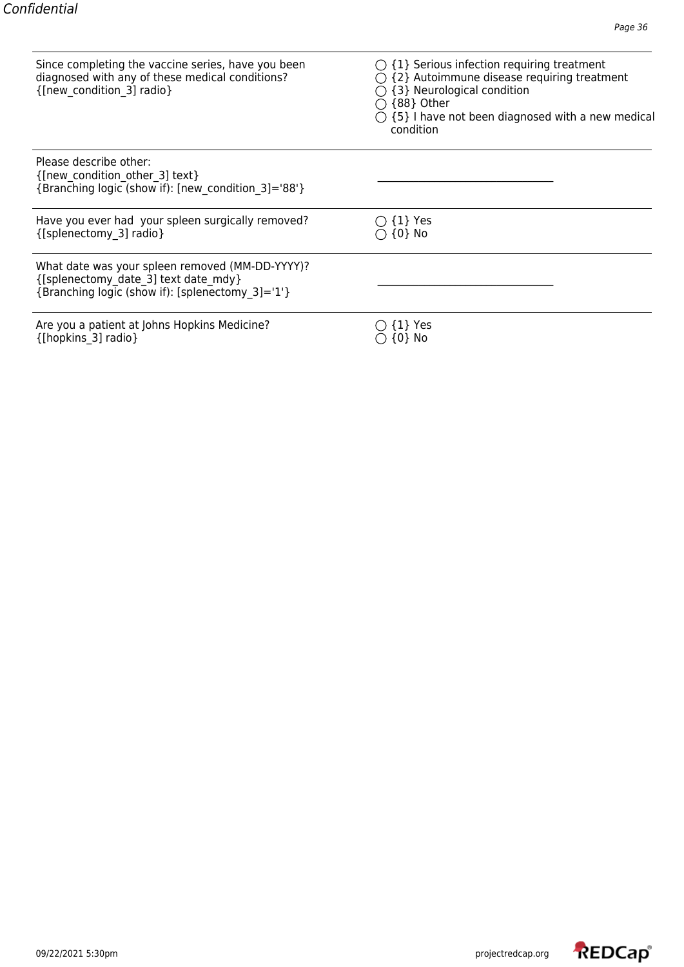| Since completing the vaccine series, have you been<br>diagnosed with any of these medical conditions?<br>{[new condition 3] radio}          | $\bigcirc$ {1} Serious infection requiring treatment<br>$\bigcirc$ {2} Autoimmune disease requiring treatment<br>{3} Neurological condition<br>{88} Other<br>$\bigcirc$ {5} I have not been diagnosed with a new medical<br>condition |
|---------------------------------------------------------------------------------------------------------------------------------------------|---------------------------------------------------------------------------------------------------------------------------------------------------------------------------------------------------------------------------------------|
| Please describe other:<br>{[new condition other 3] text}<br>{Branching logic (show if): [new condition 3]='88'}                             |                                                                                                                                                                                                                                       |
| Have you ever had your spleen surgically removed?<br>{[splenectomy_3] radio}                                                                | $\{1\}$ Yes<br>$\{0\}$ No                                                                                                                                                                                                             |
| What date was your spleen removed (MM-DD-YYYY)?<br>{[splenectomy date 3] text date mdy}<br>{Branching logic (show if): [splenectomy 3]='1'} |                                                                                                                                                                                                                                       |
| Are you a patient at Johns Hopkins Medicine?<br>{[hopkins 3] radio}                                                                         | {1} Yes<br>[0} No                                                                                                                                                                                                                     |

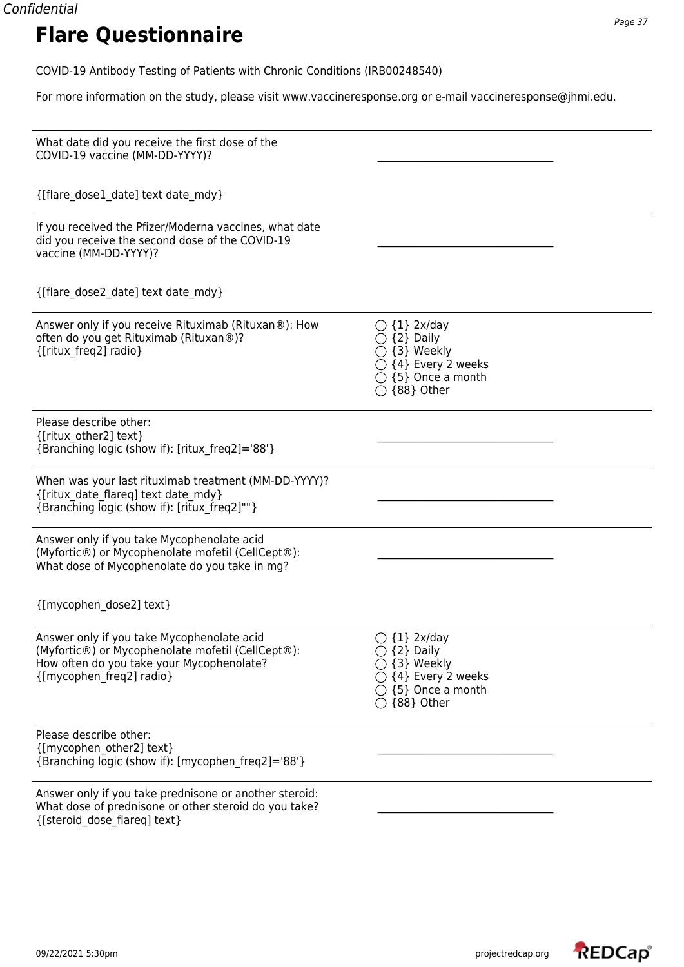For more information on the study, please visit www.vaccineresponse.org or e-mail vaccineresponse@jhmi.edu.

| What date did you receive the first dose of the<br>COVID-19 vaccine (MM-DD-YYYY)?                                                                                        |                                                                                                                                                                |
|--------------------------------------------------------------------------------------------------------------------------------------------------------------------------|----------------------------------------------------------------------------------------------------------------------------------------------------------------|
| {[flare dose1 date] text date mdy}                                                                                                                                       |                                                                                                                                                                |
| If you received the Pfizer/Moderna vaccines, what date<br>did you receive the second dose of the COVID-19<br>vaccine (MM-DD-YYYY)?                                       |                                                                                                                                                                |
| {[flare dose2 date] text date mdy}                                                                                                                                       |                                                                                                                                                                |
| Answer only if you receive Rituximab (Rituxan®): How<br>often do you get Rituximab (Rituxan®)?<br>{[ritux_freq2] radio}                                                  | $\bigcirc$ {1} 2x/day<br>$\bigcirc$ {2} Daily<br>$\bigcirc$ {3} Weekly<br>$\bigcirc$ {4} Every 2 weeks<br>$\bigcirc$ {5} Once a month<br>$\bigcirc$ {88} Other |
| Please describe other:<br>{[ritux other2] text}<br>{Branching logic (show if): [ritux freq2]='88'}                                                                       |                                                                                                                                                                |
| When was your last rituximab treatment (MM-DD-YYYY)?<br>{[ritux date flareq] text date mdy}<br>{Branching logic (show if): [ritux freq2]""}                              |                                                                                                                                                                |
| Answer only if you take Mycophenolate acid<br>(Myfortic®) or Mycophenolate mofetil (CellCept®):<br>What dose of Mycophenolate do you take in mg?                         |                                                                                                                                                                |
| {[mycophen_dose2] text}                                                                                                                                                  |                                                                                                                                                                |
| Answer only if you take Mycophenolate acid<br>(Myfortic®) or Mycophenolate mofetil (CellCept®):<br>How often do you take your Mycophenolate?<br>{[mycophen freq2] radio} | $\bigcirc$ {1} 2x/day<br>$\bigcirc$ {2} Daily<br>{3} Weekly<br>$\bigcirc$ {4} Every 2 weeks<br>$\bigcirc$ {5} Once a month<br>$\bigcirc$ {88} Other            |
| Please describe other:<br>{[mycophen other2] text}<br>{Branching logic (show if): [mycophen freq2]='88'}                                                                 |                                                                                                                                                                |
| Answer only if you take prednisone or another steroid:<br>What dose of prednisone or other steroid do you take?<br>{[steroid dose flareq] text}                          |                                                                                                                                                                |

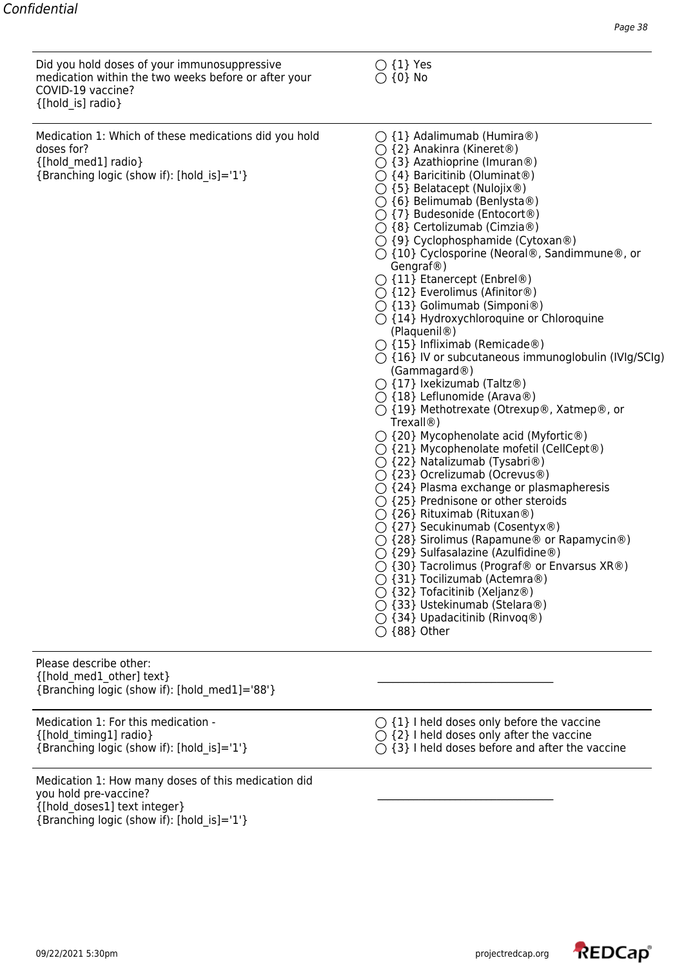Did you hold doses of your immunosuppressive  $\bigcirc$  {1} Yes medication within the two weeks before or after your  $\bigcirc$  {0} No COVID-19 vaccine? {[hold\_is] radio}

Medication 1: Which of these medications did you hold  $\bigcirc$  {1} Adalimumab (Humira®) doses for? <br> (2) Anakinra (Kineret®)  $\bigcirc$  {2} Anakinra (Kineret®)  $\{\text{[hold med1]} \text{ radio}\}$   $\{\text{3}\}$  Azathioprine (Imuran®) {Branching logic (show if): [hold\_is]='1'} {4} Baricitinib (Oluminat®)

- 
- 
- 
- ${\bigcirc}$  {5} Belatacept (Nulojix®)
- $\bigcirc$  {6} Belimumab (Benlysta®)
- $\bigcirc$  {7} Budesonide (Entocort<sup>®</sup>)
- {8} Certolizumab (Cimzia®)
- $\bigcirc$  {9} Cyclophosphamide (Cytoxan®)
- {10} Cyclosporine (Neoral®, Sandimmune®, or Gengraf®)
- $\bigcirc$  {11} Etanercept (Enbrel®)
- $\bigcirc$  {12} Everolimus (Afinitor®)
- {13} Golimumab (Simponi®)
- ◯ {14} Hydroxychloroquine or Chloroquine (Plaquenil®)
- $\bigcirc$  {15} Infliximab (Remicade®)
- $\bigcirc$  {16} IV or subcutaneous immunoglobulin (IVIg/SCIg) (Gammagard®)
- $\bigcirc$  {17} Ixekizumab (Taltz®)
- $\bigcirc$  {18} Leflunomide (Arava®)
- {19} Methotrexate (Otrexup®, Xatmep®, or Trexall®)
- $\bigcirc$  {20} Mycophenolate acid (Myfortic®)
- ${\bigcirc}$  {21} Mycophenolate mofetil (CellCept®)
- {22} Natalizumab (Tysabri®)
- {23} Ocrelizumab (Ocrevus®)
- ${ }^\frown$  {24} Plasma exchange or plasmapheresis
- $\bigcirc$  {25} Prednisone or other steroids
- $\bigcirc$  {26} Rituximab (Rituxan®)
- $\bigcirc$  {27} Secukinumab (Cosentyx®)
- ${\rm O}$  {28} Sirolimus (Rapamune® or Rapamycin®)
- $\bigcirc$  {29} Sulfasalazine (Azulfidine®)
- ${\rm O}$  {30} Tacrolimus (Prograf® or Envarsus XR®)
- $\bigcirc$  {31} Tocilizumab (Actemra®)
- $\bigcirc$  {32} Tofacitinib (Xeljanz®)
- {33} Ustekinumab (Stelara®)
- $\bigcirc$  {34} Upadacitinib (Rinvoq®)
- ${\bigcirc}$  {88} Other

Please describe other:  $_{\{[\text{hold\_med1\_other]\ text\}}$ {Branching logic (show if): [hold\_med1]='88'}

 $\{\text{[hold timing1]} \text{ radio}\}$   $\bigcirc \{2\}$  I held doses only after the vaccine

- Medication 1: How many doses of this medication did you hold pre-vaccine? {[hold\_doses1] text integer} {Branching logic (show if): [hold\_is]='1'}
- Medication 1: For this medication  ${\bigcirc}$   $\{1\}$  I held doses only before the vaccine
	-
- {Branching logic (show if): [hold is]='1'}  ${\bigcirc}$  {3} I held doses before and after the vaccine

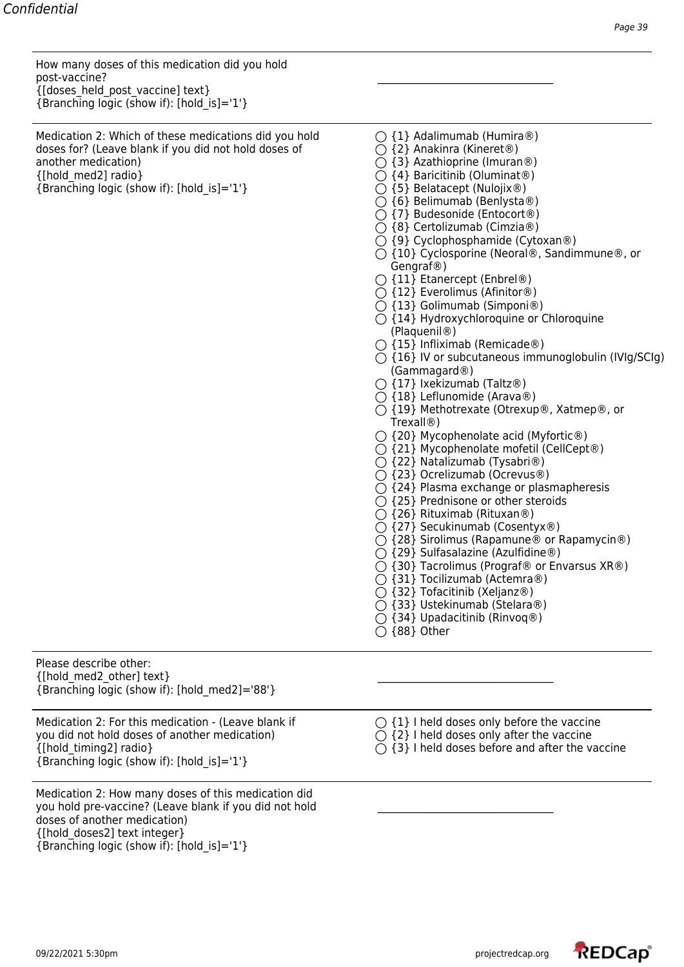How many doses of this medication did you hold post-vaccine? \_\_\_\_\_\_\_\_\_\_\_\_\_\_\_\_\_\_\_\_\_\_\_\_\_\_\_\_\_\_\_\_\_\_ {[doses\_held\_post\_vaccine] text}  ${Branching logic}$  (show if): [hold is]='1'}

Medication 2: Which of these medications did you hold  $\bigcirc$  {1} Adalimumab (Humira®) doses for? (Leave blank if you did not hold doses of  $\bigcirc$  {2} Anakinra (Kineret®) another medication)  $\bigcirc$  {3} Azathioprine (Imuran®)  $\{\{\text{hold med2}\}$  radio}  $\{\{\}$  Baricitinib (Oluminat®)

- 
- 
- 
- 
- {Branching logic (show if): [hold\_is]='1'} {5} Belatacept (Nulojix®)
	- $\bigcirc$  {6} Belimumab (Benlysta®)
	- $\bigcirc$  {7} Budesonide (Entocort<sup>®</sup>)
	- {8} Certolizumab (Cimzia®)
	- $\bigcirc$  {9} Cyclophosphamide (Cytoxan®)
	- {10} Cyclosporine (Neoral®, Sandimmune®, or Gengraf®)
	- $\bigcirc$  {11} Etanercept (Enbrel®)
	- $\bigcirc$  {12} Everolimus (Afinitor®)
	- {13} Golimumab (Simponi®)
	- ${\bigcirc}$  {14} Hydroxychloroquine or Chloroquine (Plaquenil®)
	- $\bigcirc$  {15} Infliximab (Remicade®)
	- $\bigcirc$  {16} IV or subcutaneous immunoglobulin (IVIg/SCIg) (Gammagard®)
	- $\bigcirc$  {17} Ixekizumab (Taltz®)
	- $\bigcirc$  {18} Leflunomide (Arava®)
	- {19} Methotrexate (Otrexup®, Xatmep®, or Trexall®)
	- $\bigcirc$  {20} Mycophenolate acid (Myfortic®)
	- ${\bigcirc}$  {21} Mycophenolate mofetil (CellCept®)
	- {22} Natalizumab (Tysabri®)
	- {23} Ocrelizumab (Ocrevus®)
	- ${ }^\frown$  {24} Plasma exchange or plasmapheresis
	- $\bigcirc$  {25} Prednisone or other steroids
	- $\bigcirc$  {26} Rituximab (Rituxan®)
	- $\bigcirc$  {27} Secukinumab (Cosentyx®)
	- {28} Sirolimus (Rapamune® or Rapamycin®)
	- $\bigcirc$  {29} Sulfasalazine (Azulfidine®)
	- ${\rm O}$  {30} Tacrolimus (Prograf® or Envarsus XR®)
	- $\bigcirc$  {31} Tocilizumab (Actemra®)
	- $\bigcirc$  {32} Tofacitinib (Xeljanz®)
	- {33} Ustekinumab (Stelara®)
	- $\bigcirc$  {34} Upadacitinib (Rinvoq®)
	- ${\bigcirc}$  {88} Other

Please describe other:  $_{\{[\text{hold\_med2\_other]\ text\}}$ {Branching logic (show if): [hold\_med2]='88'}

Medication 2: For this medication - (Leave blank if  $\bigcirc$  {1} I held doses only before the vaccine you did not hold doses of another medication)  $\bigcirc$  {2} I held doses only after the vaccine {[hold\_timing2] radio}  ${\bigcirc}$  {3} I held doses before and after the vaccine {Branching logic (show if): [hold\_is]='1'}

Medication 2: How many doses of this medication did you hold pre-vaccine? (Leave blank if you did not hold doses of another medication) {[hold\_doses2] text integer} {Branching logic (show if): [hold\_is]='1'}

- -
	-

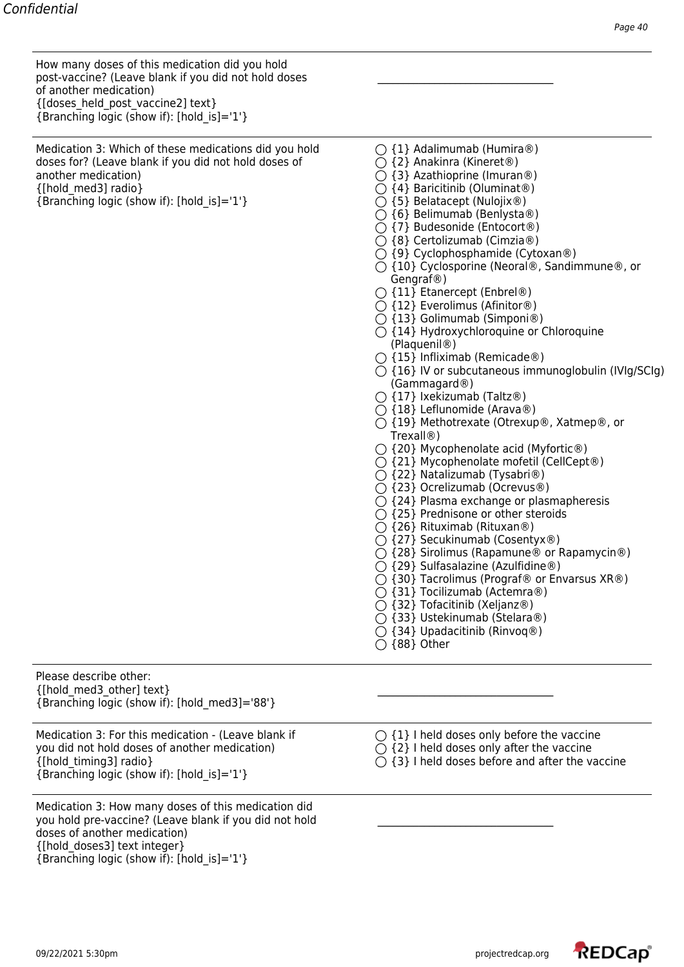How many doses of this medication did you hold post-vaccine? (Leave blank if you did not hold doses \_\_\_\_\_\_\_\_\_\_\_\_\_\_\_\_\_\_\_\_\_\_\_\_\_\_\_\_\_\_\_\_\_\_ of another medication) {[doses\_held\_post\_vaccine2] text}  ${Branching logic (show if): [hold is]=1'}$ 

Medication 3: Which of these medications did you hold  $\bigcirc$  {1} Adalimumab (Humira®) doses for? (Leave blank if you did not hold doses of  $\bigcirc$  {2} Anakinra (Kineret®) another medication)  $\bigcirc$  {3} Azathioprine (Imuran®) {[hold\_med3] radio} {4} Baricitinib (Oluminat®) {Branching logic (show if): [hold is]='1'}  $\bigcirc$  {5} Belatacept (Nulojix®)

- 
- 
- 
- 
- 
- $\bigcirc$  {6} Belimumab (Benlysta®)
- {7} Budesonide (Entocort®)
- {8} Certolizumab (Cimzia®)
- $\bigcirc$  {9} Cyclophosphamide (Cytoxan®)
- ${\bigcirc}$  {10} Cyclosporine (Neoral®, Sandimmune®, or Gengraf®)
- {11} Etanercept (Enbrel®)
- ${\bigcirc}$  {12} Everolimus (Afinitor®)
- $\bigcirc$  {13} Golimumab (Simponi®)
- ${\bigcirc}$  {14} Hydroxychloroquine or Chloroquine (Plaquenil®)
- $\bigcap$  {15} Infliximab (Remicade®)
- $\bigcirc$  {16} IV or subcutaneous immunoglobulin (IVIg/SCIg) (Gammagard®)
- ${\bigcirc}$  {17} Ixekizumab (Taltz®)
- $\bigcirc$  {18} Leflunomide (Arava®)
- ${\bigcirc}$  {19} Methotrexate (Otrexup®, Xatmep®, or Trexall®)
- ${\bigcirc}$  {20} Mycophenolate acid (Myfortic®)
- {21} Mycophenolate mofetil (CellCept®)
- $\bigcirc$  {22} Natalizumab (Tysabri®)
- {23} Ocrelizumab (Ocrevus®)
- $\bigcirc$  {24} Plasma exchange or plasmapheresis
- $\bigcirc$  {25} Prednisone or other steroids
- $\bigcirc$  {26} Rituximab (Rituxan®)
- $\bigcirc$  {27} Secukinumab (Cosentyx®)
- $\bigcirc$  {28} Sirolimus (Rapamune® or Rapamycin®)
- $\bigcirc$  {29} Sulfasalazine (Azulfidine®)
- ${\rm O}$  {30} Tacrolimus (Prograf® or Envarsus XR®)
- $\bigcirc$  {31} Tocilizumab (Actemra®)
- {32} Tofacitinib (Xeljanz®)
- {33} Ustekinumab (Stelara®)
- ${\bigcirc}$  {34} Upadacitinib (Rinvoq®)
- ${\bigcirc}$  {88} Other

Please describe other:  $_{[hold~med3~other] \text{text}}$ {Branching logic (show if): [hold\_med3]='88'}

Medication 3: For this medication - (Leave blank if  $\bigcirc$  {1} I held doses only before the vaccine you did not hold doses of another medication)  $\bigcirc$  {2} I held doses only after the vaccine  $\{\text{[hold timing3]} \text{ radio}\}$  {3} I held doses before and after the vaccine {Branching logic (show if): [hold\_is]='1'}

Medication 3: How many doses of this medication did you hold pre-vaccine? (Leave blank if you did not hold doses of another medication) {[hold\_doses3] text integer} {Branching logic (show if): [hold\_is]='1'}

- -
	-

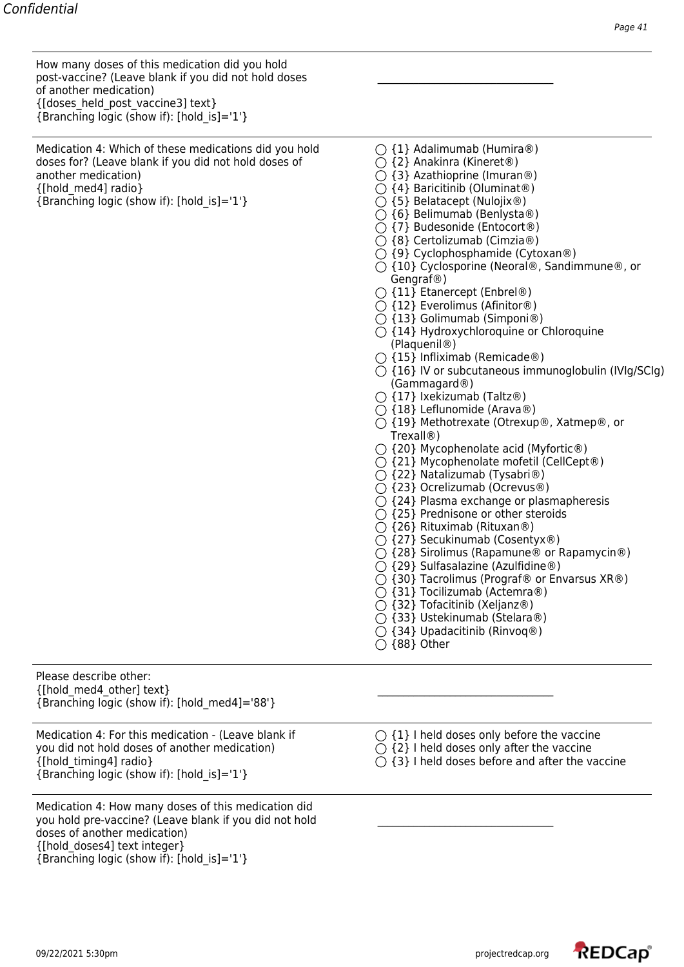How many doses of this medication did you hold post-vaccine? (Leave blank if you did not hold doses \_\_\_\_\_\_\_\_\_\_\_\_\_\_\_\_\_\_\_\_\_\_\_\_\_\_\_\_\_\_\_\_\_\_ of another medication) {[doses\_held\_post\_vaccine3] text}  ${Branching logic (show if): [hold is]=1'}$ 

Medication 4: Which of these medications did you hold  $\bigcirc$  {1} Adalimumab (Humira®) doses for? (Leave blank if you did not hold doses of  $\bigcirc$  {2} Anakinra (Kineret®) another medication)  $\bigcirc$  {3} Azathioprine (Imuran®) {[hold\_med4] radio} {4} Baricitinib (Oluminat®) {Branching logic (show if): [hold is]='1'}  $\bigcirc$  {5} Belatacept (Nulojix®)

- 
- 
- 
- 
- 
- $\bigcirc$  {6} Belimumab (Benlysta®)
- {7} Budesonide (Entocort®)
- {8} Certolizumab (Cimzia®)
- $\bigcirc$  {9} Cyclophosphamide (Cytoxan®)
- ${\bigcirc}$  {10} Cyclosporine (Neoral®, Sandimmune®, or Gengraf®)
- {11} Etanercept (Enbrel®)
- ${\bigcirc}$  {12} Everolimus (Afinitor®)
- $\bigcirc$  {13} Golimumab (Simponi®)
- ${\bigcirc}$  {14} Hydroxychloroquine or Chloroquine (Plaquenil®)
- $\bigcap$  {15} Infliximab (Remicade®)
- $\bigcirc$  {16} IV or subcutaneous immunoglobulin (IVIg/SCIg) (Gammagard®)
- ${\bigcirc}$  {17} Ixekizumab (Taltz®)
- $\bigcirc$  {18} Leflunomide (Arava®)
- ${\bigcirc}$  {19} Methotrexate (Otrexup®, Xatmep®, or Trexall®)
- ${\bigcirc}$  {20} Mycophenolate acid (Myfortic®)
- {21} Mycophenolate mofetil (CellCept®)
- $\bigcirc$  {22} Natalizumab (Tysabri®)
- {23} Ocrelizumab (Ocrevus®)
- $\bigcirc$  {24} Plasma exchange or plasmapheresis
- $\bigcirc$  {25} Prednisone or other steroids
- $\bigcirc$  {26} Rituximab (Rituxan®)
- $\bigcirc$  {27} Secukinumab (Cosentyx®)
- $\bigcirc$  {28} Sirolimus (Rapamune® or Rapamycin®)
- $\bigcirc$  {29} Sulfasalazine (Azulfidine®)
- ${\rm O}$  {30} Tacrolimus (Prograf® or Envarsus XR®)
- $\bigcirc$  {31} Tocilizumab (Actemra®)
- {32} Tofacitinib (Xeljanz®)
- {33} Ustekinumab (Stelara®)
- ${\bigcirc}$  {34} Upadacitinib (Rinvoq®)
- ${\bigcirc}$  {88} Other

Please describe other:  $_{\{[\text{hold med4 other}] \text{ text}\}}$ {Branching logic (show if): [hold\_med4]='88'}

Medication 4: For this medication - (Leave blank if  $\bigcirc$  {1} I held doses only before the vaccine you did not hold doses of another medication)  $\bigcirc$  {2} I held doses only after the vaccine  $\{\text{[hold timing4]} \text{ radio}\}$  {3} I held doses before and after the vaccine {Branching logic (show if): [hold\_is]='1'}

Medication 4: How many doses of this medication did you hold pre-vaccine? (Leave blank if you did not hold doses of another medication) {[hold\_doses4] text integer} {Branching logic (show if): [hold\_is]='1'}

- -
	-

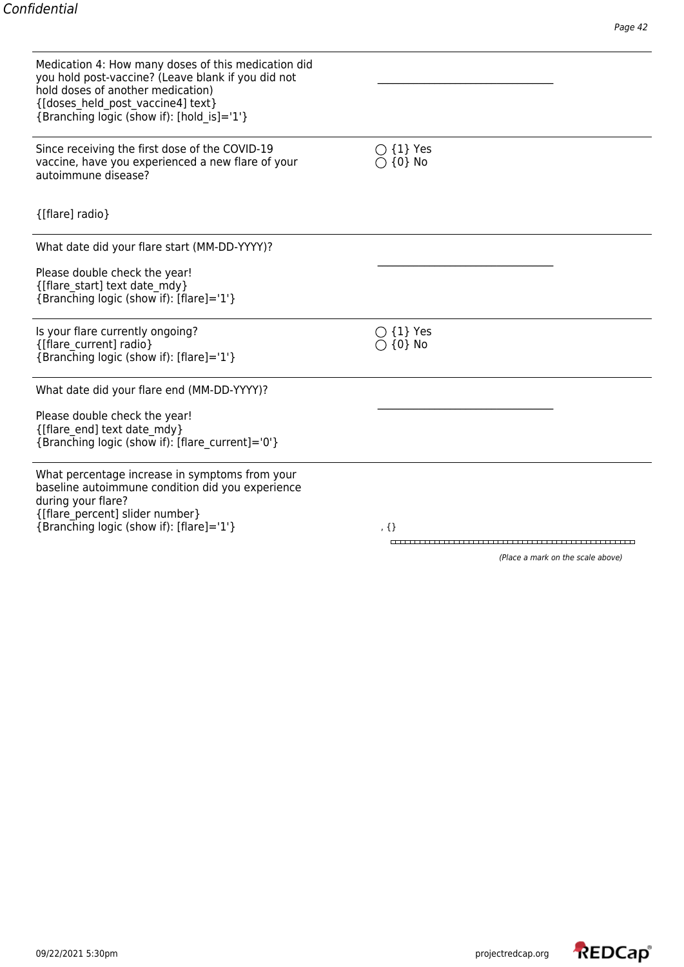| Medication 4: How many doses of this medication did<br>you hold post-vaccine? (Leave blank if you did not<br>hold doses of another medication)<br>{[doses held post vaccine4] text}<br>{Branching logic (show if): [hold is]='1'} |                                         |
|-----------------------------------------------------------------------------------------------------------------------------------------------------------------------------------------------------------------------------------|-----------------------------------------|
| Since receiving the first dose of the COVID-19<br>vaccine, have you experienced a new flare of your<br>autoimmune disease?                                                                                                        | $\bigcirc$ {1} Yes<br>$\bigcirc$ {0} No |
| {[flare] radio}                                                                                                                                                                                                                   |                                         |
| What date did your flare start (MM-DD-YYYY)?                                                                                                                                                                                      |                                         |
| Please double check the year!<br>{[flare start] text date mdy}<br>{Branching logic (show if): [flare]='1'}                                                                                                                        |                                         |
| Is your flare currently ongoing?<br>{[flare current] radio}<br>{Branching logic (show if): [flare]='1'}                                                                                                                           | $\bigcirc$ {1} Yes<br>$\{0\}$ No        |
| What date did your flare end (MM-DD-YYYY)?                                                                                                                                                                                        |                                         |
| Please double check the year!<br>{[flare_end] text date_mdy}<br>{Branching logic (show if): [flare current]='0'}                                                                                                                  |                                         |
| What percentage increase in symptoms from your<br>baseline autoimmune condition did you experience<br>during your flare?<br>{[flare percent] slider number}                                                                       |                                         |
| {Branching logic (show if): [flare]='1'}                                                                                                                                                                                          | , $\{\}$                                |

(Place a mark on the scale above)

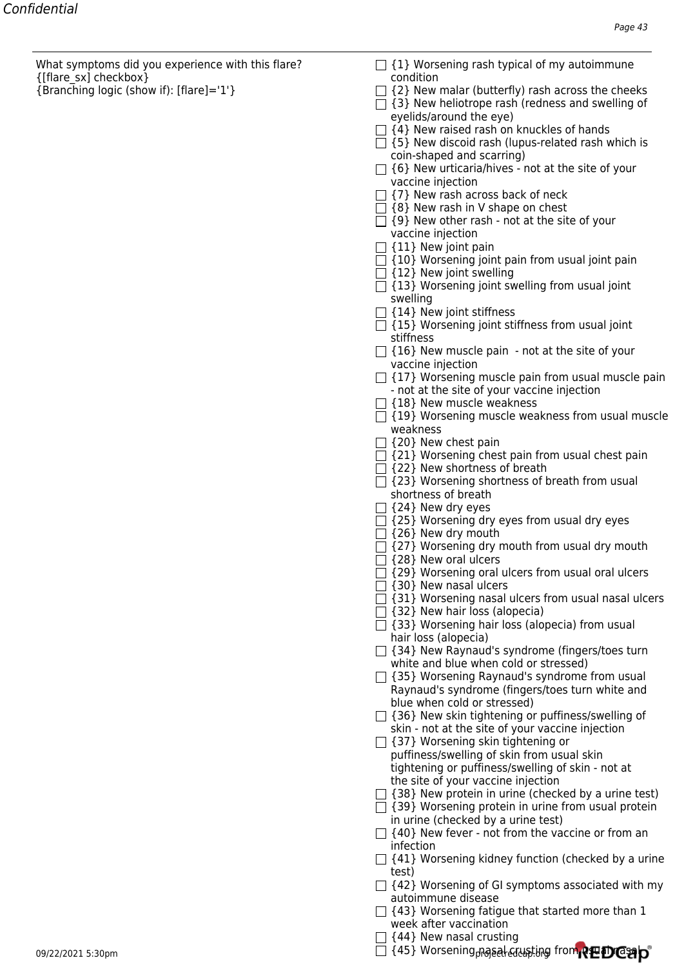What symptoms did you experience with this flare?  $\Box$  {1} Worsening rash typical of my autoimmune {[flare\_sx] checkbox} condition

- 
- {Branching logic (show if): [flare]='1'} {2} New malar (butterfly) rash across the cheeks
	- $\Box$  {3} New heliotrope rash (redness and swelling of eyelids/around the eye)
	- $\Box$  {4} New raised rash on knuckles of hands
	- $\Box$  {5} New discoid rash (lupus-related rash which is coin-shaped and scarring)
	- $\Box$  {6} New urticaria/hives not at the site of your vaccine injection
	- $\Box$  {7} New rash across back of neck
	- $\Box$  {8} New rash in V shape on chest
	- $\Box$  {9} New other rash not at the site of your vaccine injection
	- $\Box$  {11} New joint pain
	- $\Box$  {10} Worsening joint pain from usual joint pain
	- $\Box$  {12} New joint swelling
	- $\Box$  {13} Worsening joint swelling from usual joint swelling
	- $\Box$  {14} New joint stiffness
	- $\Box$  {15} Worsening joint stiffness from usual joint stiffness
	- $\Box$  {16} New muscle pain not at the site of your vaccine injection
	- $\Box$  {17} Worsening muscle pain from usual muscle pain - not at the site of your vaccine injection
	- $\Box$  {18} New muscle weakness
	- $\Box$  {19} Worsening muscle weakness from usual muscle weakness
	- $\Box$  {20} New chest pain
	- $\Box$  {21} Worsening chest pain from usual chest pain
	- $\Box$  {22} New shortness of breath
	- $\Box$  {23} Worsening shortness of breath from usual shortness of breath
	- $\Box$  {24} New dry eyes
	- $\Box$  {25} Worsening dry eyes from usual dry eyes
	- $\Box$  {26} New dry mouth
	- $\Box$  {27} Worsening dry mouth from usual dry mouth
	- $\Box$  {28} New oral ulcers
	- $\Box$  {29} Worsening oral ulcers from usual oral ulcers
	- $\Box$  {30} New nasal ulcers
	- $\Box$  {31} Worsening nasal ulcers from usual nasal ulcers
	- $\Box$  {32} New hair loss (alopecia)
	- $\Box$  {33} Worsening hair loss (alopecia) from usual hair loss (alopecia)
	- $\Box$  {34} New Raynaud's syndrome (fingers/toes turn white and blue when cold or stressed)
	- $\Box$  {35} Worsening Raynaud's syndrome from usual Raynaud's syndrome (fingers/toes turn white and blue when cold or stressed)
	- $\Box$  {36} New skin tightening or puffiness/swelling of skin - not at the site of your vaccine injection
	- $\Box$  {37} Worsening skin tightening or puffiness/swelling of skin from usual skin tightening or puffiness/swelling of skin - not at the site of your vaccine injection
	- $\Box$  {38} New protein in urine (checked by a urine test)
	- $\Box$  {39} Worsening protein in urine from usual protein
		- in urine (checked by a urine test)
	- $\Box$  {40} New fever not from the vaccine or from an infection
	- $\Box$  {41} Worsening kidney function (checked by a urine test)
	- $\Box$  {42} Worsening of GI symptoms associated with my autoimmune disease
	- $\Box$  {43} Worsening fatigue that started more than 1 week after vaccination
	- $\Box$  {44} New nasal crusting

09/22/2021 5:30pm projectredcap.org {45} Worsening nasal crusting from usual nasal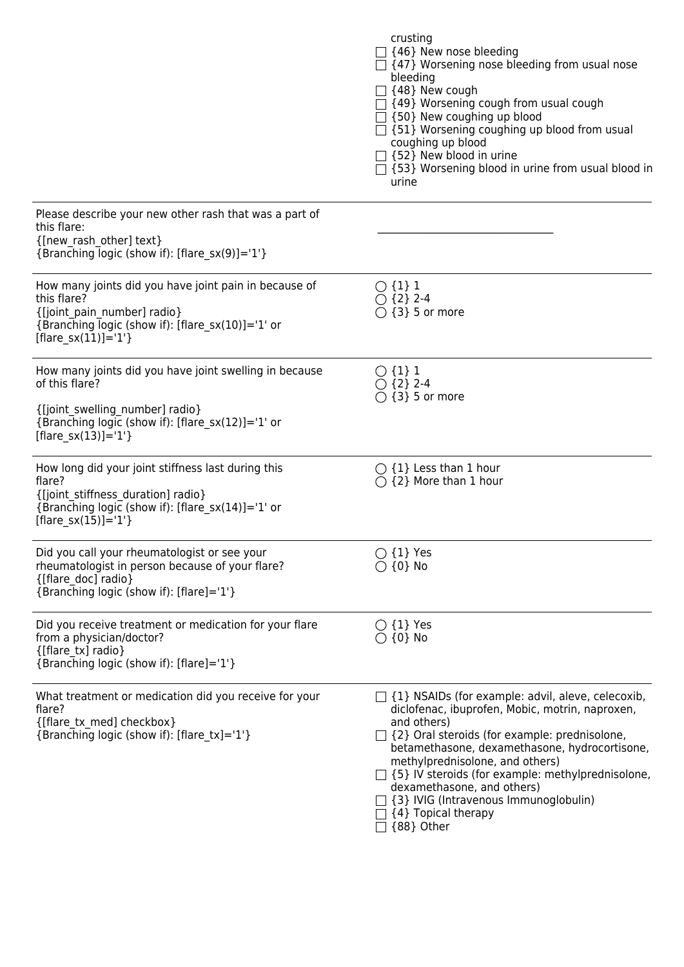|                                                                                                                                                                                             | crusting<br>$\Box$ {46} New nose bleeding<br>$\Box$ {47} Worsening nose bleeding from usual nose<br>bleeding<br>$\Box$ {48} New cough<br>$\Box$ {49} Worsening cough from usual cough<br>$\Box$ {50} New coughing up blood<br>$\Box$ {51} Worsening coughing up blood from usual<br>coughing up blood<br>$\Box$ {52} New blood in urine<br>□ {53} Worsening blood in urine from usual blood in<br>urine                                                      |
|---------------------------------------------------------------------------------------------------------------------------------------------------------------------------------------------|--------------------------------------------------------------------------------------------------------------------------------------------------------------------------------------------------------------------------------------------------------------------------------------------------------------------------------------------------------------------------------------------------------------------------------------------------------------|
| Please describe your new other rash that was a part of<br>this flare:<br>{[new rash other] text}<br>{Branching logic (show if): [flare_sx(9)]='1'}                                          |                                                                                                                                                                                                                                                                                                                                                                                                                                                              |
| How many joints did you have joint pain in because of<br>this flare?<br>{[joint_pain_number] radio}<br>{Branching logic (show if): [flare_sx(10)]='1' or<br>[flare $sx(11)]=1'$ ]           | $\bigcirc$ {1} 1<br>$\bigcirc$ {2} 2-4<br>$\bigcirc$ {3} 5 or more                                                                                                                                                                                                                                                                                                                                                                                           |
| How many joints did you have joint swelling in because<br>of this flare?<br>{[joint_swelling_number] radio}<br>{Branching logic (show if): [flare_sx(12)]='1' or<br>[flare_sx(13)]= $'1'$ } | $\bigcirc$ {1} 1<br>$\bigcirc$ {2} 2-4<br>$\bigcirc$ {3} 5 or more                                                                                                                                                                                                                                                                                                                                                                                           |
| How long did your joint stiffness last during this<br>flare?<br>{[joint_stiffness_duration] radio}<br>{Branching logic (show if): [flare_sx(14)]='1' or<br>[flare_sx(15)]= $'1'$ }          | $\bigcirc$ {1} Less than 1 hour<br>$\bigcirc$ {2} More than 1 hour                                                                                                                                                                                                                                                                                                                                                                                           |
| Did you call your rheumatologist or see your<br>rheumatologist in person because of your flare?<br>{[flare doc] radio}<br>{Branching logic (show if): [flare]='1'}                          | $\bigcirc$ {1} Yes<br>$\bigcirc$ {0} No                                                                                                                                                                                                                                                                                                                                                                                                                      |
| Did you receive treatment or medication for your flare<br>from a physician/doctor?<br>{[flare tx] radio}<br>{Branching logic (show if): [flare]='1'}                                        | $\bigcirc$ {1} Yes<br>$\bigcirc$ {0} No                                                                                                                                                                                                                                                                                                                                                                                                                      |
| What treatment or medication did you receive for your<br>flare?<br>{[flare tx med] checkbox}<br>{Branching logic (show if): [flare_tx]='1'}                                                 | $\Box$ {1} NSAIDs (for example: advil, aleve, celecoxib,<br>diclofenac, ibuprofen, Mobic, motrin, naproxen,<br>and others)<br>$\Box$ {2} Oral steroids (for example: prednisolone,<br>betamethasone, dexamethasone, hydrocortisone,<br>methylprednisolone, and others)<br>$\Box$ {5} IV steroids (for example: methylprednisolone,<br>dexamethasone, and others)<br>$\Box$ {3} IVIG (Intravenous Immunoglobulin)<br>$\Box$ {4} Topical therapy<br>{88} Other |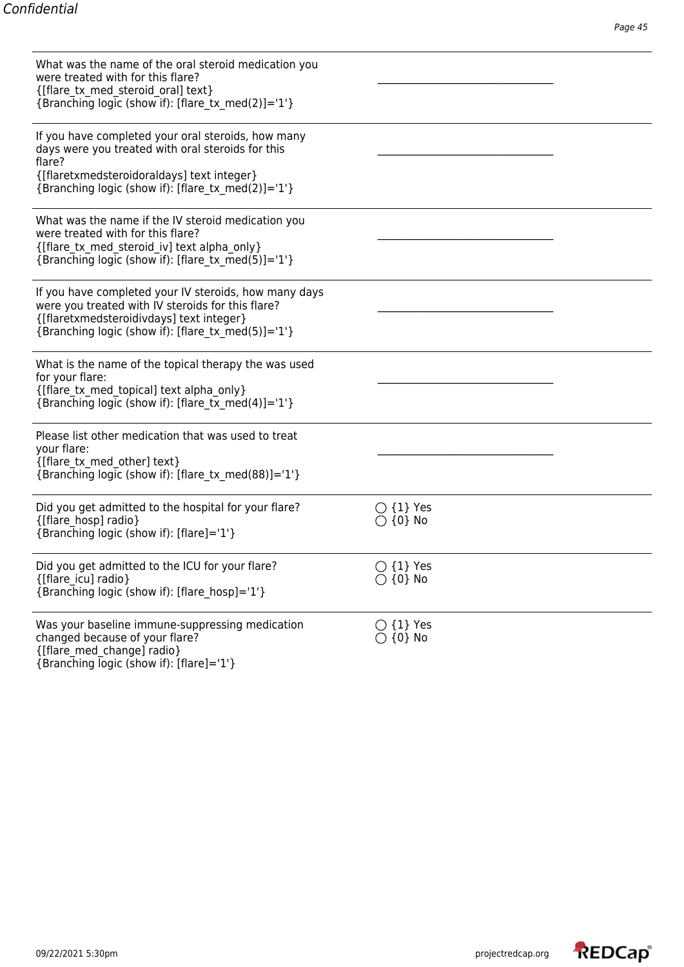| What was the name of the oral steroid medication you<br>were treated with for this flare?<br>{[flare tx med steroid oral] text}<br>{Branching logic (show if): [flare tx med(2)]='1'}                                 |                                         |  |
|-----------------------------------------------------------------------------------------------------------------------------------------------------------------------------------------------------------------------|-----------------------------------------|--|
| If you have completed your oral steroids, how many<br>days were you treated with oral steroids for this<br>flare?<br>{[flaretxmedsteroidoraldays] text integer}<br>{Branching logic (show if): [flare tx med(2)]='1'} |                                         |  |
| What was the name if the IV steroid medication you<br>were treated with for this flare?<br>{[flare tx med steroid iv] text alpha only}<br>{Branching logic (show if): [flare tx med(5)]='1'}                          |                                         |  |
| If you have completed your IV steroids, how many days<br>were you treated with IV steroids for this flare?<br>{[flaretxmedsteroidivdays] text integer}<br>{Branching logic (show if): [flare tx med(5)]='1'}          |                                         |  |
| What is the name of the topical therapy the was used<br>for your flare:<br>{[flare tx med topical] text alpha only}<br>{Branching logic (show if): [flare tx med(4)]='1'}                                             |                                         |  |
| Please list other medication that was used to treat<br>your flare:<br>{[flare tx med other] text}<br>{Branching logic (show if): [flare_tx_med(88)]='1'}                                                              |                                         |  |
| Did you get admitted to the hospital for your flare?<br>{[flare hosp] radio}<br>{Branching logic (show if): [flare]='1'}                                                                                              | $\bigcirc$ {1} Yes<br>$\bigcirc$ {0} No |  |
| Did you get admitted to the ICU for your flare?<br>{[flare icu] radio}<br>{Branching logic (show if): [flare_hosp]='1'}                                                                                               | $\bigcirc$ {1} Yes<br>$\bigcirc$ {0} No |  |
| Was your baseline immune-suppressing medication<br>changed because of your flare?<br>{[flare med change] radio}<br>{Branching logic (show if): [flare]='1'}                                                           | $\bigcirc$ {1} Yes<br>$\bigcirc$ {0} No |  |

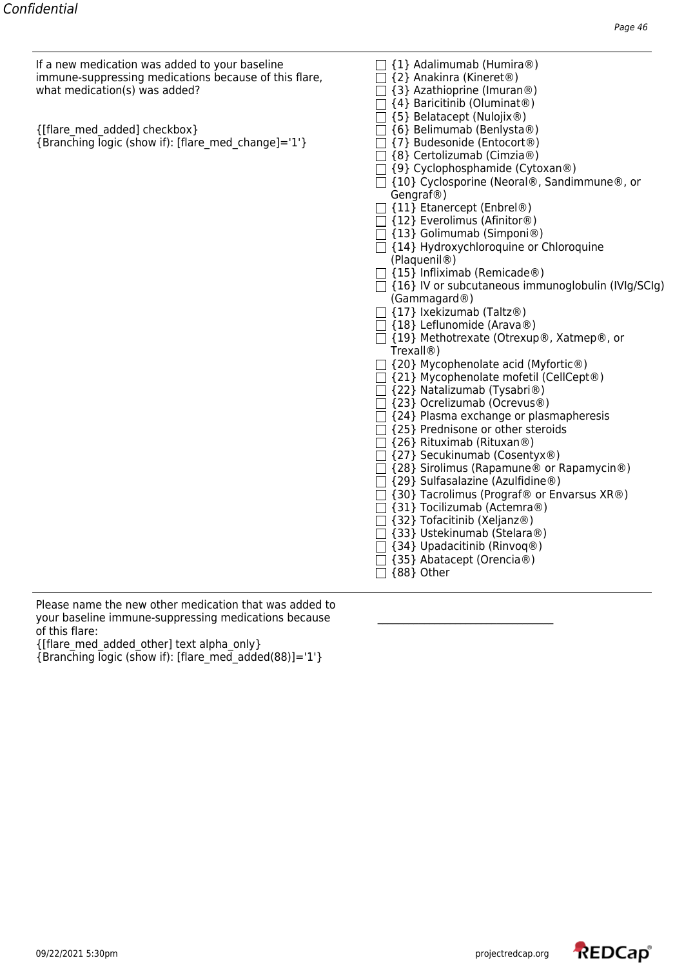If a new medication was added to your baseline  $\Box$  {1} Adalimumab (Humira®) immune-suppressing medications because of this flare, what medication(s) was added?

| {[flare med added] checkbox}                        | $\Box$ {6} Belimumab (Benlysta®)  |
|-----------------------------------------------------|-----------------------------------|
| {Branching logic (show if): [flare med change]='1'} | $\Box$ {7} Budesonide (Entocort®) |

| $\Box$ {2} Anakinra (Kineret®)                                                                                                                                                                                                                                                                                                                                                                                                                                                                                                                                                                                                                                                                                                                                                                                                                                                                                                                                             |
|----------------------------------------------------------------------------------------------------------------------------------------------------------------------------------------------------------------------------------------------------------------------------------------------------------------------------------------------------------------------------------------------------------------------------------------------------------------------------------------------------------------------------------------------------------------------------------------------------------------------------------------------------------------------------------------------------------------------------------------------------------------------------------------------------------------------------------------------------------------------------------------------------------------------------------------------------------------------------|
| $\Box$ {3} Azathioprine (Imuran <sup>®</sup> )                                                                                                                                                                                                                                                                                                                                                                                                                                                                                                                                                                                                                                                                                                                                                                                                                                                                                                                             |
| $\Box$ {4} Baricitinib (Oluminat®)                                                                                                                                                                                                                                                                                                                                                                                                                                                                                                                                                                                                                                                                                                                                                                                                                                                                                                                                         |
| $\Box$ {5} Belatacept (Nulojix®)                                                                                                                                                                                                                                                                                                                                                                                                                                                                                                                                                                                                                                                                                                                                                                                                                                                                                                                                           |
| $\Box$ {6} Belimumab (Benlysta®)                                                                                                                                                                                                                                                                                                                                                                                                                                                                                                                                                                                                                                                                                                                                                                                                                                                                                                                                           |
| □ {7} Budesonide (Entocort®)                                                                                                                                                                                                                                                                                                                                                                                                                                                                                                                                                                                                                                                                                                                                                                                                                                                                                                                                               |
|                                                                                                                                                                                                                                                                                                                                                                                                                                                                                                                                                                                                                                                                                                                                                                                                                                                                                                                                                                            |
|                                                                                                                                                                                                                                                                                                                                                                                                                                                                                                                                                                                                                                                                                                                                                                                                                                                                                                                                                                            |
|                                                                                                                                                                                                                                                                                                                                                                                                                                                                                                                                                                                                                                                                                                                                                                                                                                                                                                                                                                            |
|                                                                                                                                                                                                                                                                                                                                                                                                                                                                                                                                                                                                                                                                                                                                                                                                                                                                                                                                                                            |
|                                                                                                                                                                                                                                                                                                                                                                                                                                                                                                                                                                                                                                                                                                                                                                                                                                                                                                                                                                            |
|                                                                                                                                                                                                                                                                                                                                                                                                                                                                                                                                                                                                                                                                                                                                                                                                                                                                                                                                                                            |
|                                                                                                                                                                                                                                                                                                                                                                                                                                                                                                                                                                                                                                                                                                                                                                                                                                                                                                                                                                            |
|                                                                                                                                                                                                                                                                                                                                                                                                                                                                                                                                                                                                                                                                                                                                                                                                                                                                                                                                                                            |
|                                                                                                                                                                                                                                                                                                                                                                                                                                                                                                                                                                                                                                                                                                                                                                                                                                                                                                                                                                            |
|                                                                                                                                                                                                                                                                                                                                                                                                                                                                                                                                                                                                                                                                                                                                                                                                                                                                                                                                                                            |
|                                                                                                                                                                                                                                                                                                                                                                                                                                                                                                                                                                                                                                                                                                                                                                                                                                                                                                                                                                            |
|                                                                                                                                                                                                                                                                                                                                                                                                                                                                                                                                                                                                                                                                                                                                                                                                                                                                                                                                                                            |
|                                                                                                                                                                                                                                                                                                                                                                                                                                                                                                                                                                                                                                                                                                                                                                                                                                                                                                                                                                            |
|                                                                                                                                                                                                                                                                                                                                                                                                                                                                                                                                                                                                                                                                                                                                                                                                                                                                                                                                                                            |
|                                                                                                                                                                                                                                                                                                                                                                                                                                                                                                                                                                                                                                                                                                                                                                                                                                                                                                                                                                            |
| Trexall@                                                                                                                                                                                                                                                                                                                                                                                                                                                                                                                                                                                                                                                                                                                                                                                                                                                                                                                                                                   |
|                                                                                                                                                                                                                                                                                                                                                                                                                                                                                                                                                                                                                                                                                                                                                                                                                                                                                                                                                                            |
|                                                                                                                                                                                                                                                                                                                                                                                                                                                                                                                                                                                                                                                                                                                                                                                                                                                                                                                                                                            |
|                                                                                                                                                                                                                                                                                                                                                                                                                                                                                                                                                                                                                                                                                                                                                                                                                                                                                                                                                                            |
|                                                                                                                                                                                                                                                                                                                                                                                                                                                                                                                                                                                                                                                                                                                                                                                                                                                                                                                                                                            |
| $\Box$ {24} Plasma exchange or plasmapheresis                                                                                                                                                                                                                                                                                                                                                                                                                                                                                                                                                                                                                                                                                                                                                                                                                                                                                                                              |
| $\Box$ {25} Prednisone or other steroids                                                                                                                                                                                                                                                                                                                                                                                                                                                                                                                                                                                                                                                                                                                                                                                                                                                                                                                                   |
| $\Box$ {26} Rituximab (Rituxan®)                                                                                                                                                                                                                                                                                                                                                                                                                                                                                                                                                                                                                                                                                                                                                                                                                                                                                                                                           |
| □ {27} Secukinumab (Cosentyx®)                                                                                                                                                                                                                                                                                                                                                                                                                                                                                                                                                                                                                                                                                                                                                                                                                                                                                                                                             |
| □ {28} Sirolimus (Rapamune® or Rapamycin®)                                                                                                                                                                                                                                                                                                                                                                                                                                                                                                                                                                                                                                                                                                                                                                                                                                                                                                                                 |
|                                                                                                                                                                                                                                                                                                                                                                                                                                                                                                                                                                                                                                                                                                                                                                                                                                                                                                                                                                            |
|                                                                                                                                                                                                                                                                                                                                                                                                                                                                                                                                                                                                                                                                                                                                                                                                                                                                                                                                                                            |
|                                                                                                                                                                                                                                                                                                                                                                                                                                                                                                                                                                                                                                                                                                                                                                                                                                                                                                                                                                            |
|                                                                                                                                                                                                                                                                                                                                                                                                                                                                                                                                                                                                                                                                                                                                                                                                                                                                                                                                                                            |
|                                                                                                                                                                                                                                                                                                                                                                                                                                                                                                                                                                                                                                                                                                                                                                                                                                                                                                                                                                            |
| $\Box$ {34} Upadacitinib (Rinvoq®)                                                                                                                                                                                                                                                                                                                                                                                                                                                                                                                                                                                                                                                                                                                                                                                                                                                                                                                                         |
|                                                                                                                                                                                                                                                                                                                                                                                                                                                                                                                                                                                                                                                                                                                                                                                                                                                                                                                                                                            |
|                                                                                                                                                                                                                                                                                                                                                                                                                                                                                                                                                                                                                                                                                                                                                                                                                                                                                                                                                                            |
| □ {8} Certolizumab (Cimzia®)<br>□ {9} Cyclophosphamide (Cytoxan®)<br>$\Box$ {10} Cyclosporine (Neoral®, Sandimmune®, or<br>Gengraf <sup>®</sup> )<br>□ {11} Etanercept (Enbrel®)<br>□ {12} Everolimus (Afinitor®)<br>□ {13} Golimumab (Simponi®)<br>$\Box$ {14} Hydroxychloroquine or Chloroquine<br>(Plaquenil <sup>®</sup> )<br>$\Box$ {15} Infliximab (Remicade®)<br>$\Box$ {16} IV or subcutaneous immunoglobulin (IVIg/SCIg)<br>(Gammagard@)<br>$\Box$ {17} Ixekizumab (Taltz®)<br>$\Box$ {18} Leflunomide (Arava®)<br>□ {19} Methotrexate (Otrexup®, Xatmep®, or<br>□ {20} Mycophenolate acid (Myfortic®)<br>□ {21} Mycophenolate mofetil (CellCept®)<br>□ {22} Natalizumab (Tysabri®)<br>□ {23} Ocrelizumab (Ocrevus®)<br>□ {29} Sulfasalazine (Azulfidine®)<br>□ {30} Tacrolimus (Prograf® or Envarsus XR®)<br>□ {31} Tocilizumab (Actemra®)<br>□ {32} Tofacitinib (Xeljanz®)<br>□ {33} Ustekinumab (Stelara®)<br>□ {35} Abatacept (Orencia®)<br>$\Box$ {88} Other |

Please name the new other medication that was added to your baseline immune-suppressing medications because of this flare:

{[flare\_med\_added\_other] text alpha\_only}

{Branching logic (show if): [flare\_med\_added(88)]='1'}

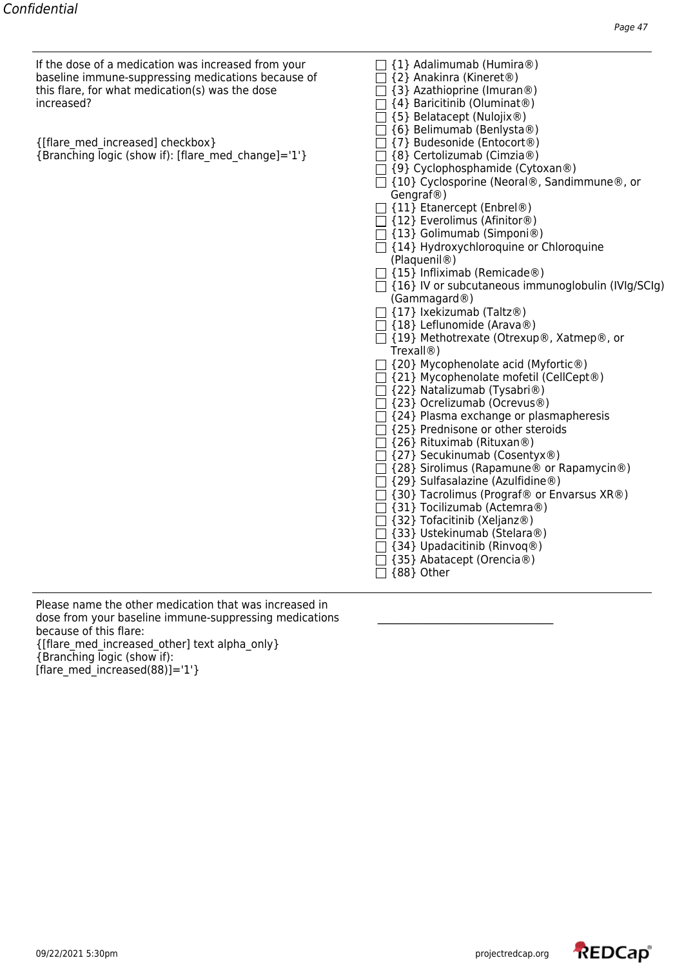If the dose of a medication was increased from your  $\Box$  {1} Adalimumab (Humira®)<br>baseline immune-suppressing medications because of  $\Box$  {2} Anakinra (Kineret®) baseline immune-suppressing medications because of this flare, for what medication(s) was the dose increased? increased?  $\Box$  {4} Baricitinib (Oluminat®)

| {[flare med increased] checkbox}                    | □ {7} Budesonide (Entocort®)      |
|-----------------------------------------------------|-----------------------------------|
| {Branching logic (show if): [flare med change]='1'} | $\Box$ {8} Certolizumab (Cimzia®) |

| $\{2f \text{ Minamula}\}$                                 |
|-----------------------------------------------------------|
| $\Box$ {3} Azathioprine (Imuran®)                         |
| $\Box$ {4} Baricitinib (Oluminat®)                        |
| □ {5} Belatacept (Nulojix®)                               |
| □ {6} Belimumab (Benlysta®)                               |
| □ {7} Budesonide (Entocort®)                              |
| □ {8} Certolizumab (Cimzia®)                              |
| □ {9} Cyclophosphamide (Cytoxan®)                         |
| $\Box$ {10} Cyclosporine (Neoral®, Sandimmune®, or        |
| Gengraf@)                                                 |
|                                                           |
| $\Box$ {11} Etanercept (Enbrel®)                          |
| $\Box$ {12} Everolimus (Afinitor®)                        |
| □ {13} Golimumab (Simponi®)                               |
| $\Box$ {14} Hydroxychloroquine or Chloroquine             |
| (Plaquenil <sup>®</sup> )                                 |
| $\Box$ {15} Infliximab (Remicade®)                        |
| $\Box$ {16} IV or subcutaneous immunoglobulin (IVIg/SCIg) |
| (Gammagard@)                                              |
| $\Box$ {17} Ixekizumab (Taltz®)                           |
| □ {18} Leflunomide (Arava®)                               |
| □ {19} Methotrexate (Otrexup®, Xatmep®, or                |
| Trexall <sup>®</sup> )                                    |
| $\exists$ {20} Mycophenolate acid (Myfortic®)             |
| $\Box$ {21} Mycophenolate mofetil (CellCept®)             |
| $\Box$ {22} Natalizumab (Tysabri®)                        |
| □ {23} Ocrelizumab (Ocrevus®)                             |
| $\Box$ {24} Plasma exchange or plasmapheresis             |
| $\exists$ {25} Prednisone or other steroids               |
| □ {26} Rituximab (Rituxan®)                               |
| □ {27} Secukinumab (Cosentyx®)                            |
| $\Box$ {28} Sirolimus (Rapamune® or Rapamycin®)           |
| □ {29} Sulfasalazine (Azulfidine®)                        |
|                                                           |
| $\Box$ {30} Tacrolimus (Prograf® or Envarsus XR®)         |
| □ {31} Tocilizumab (Actemra®)                             |
| □ {32} Tofacitinib (Xeljanz®)                             |
| □ {33} Ustekinumab (Stelara®)                             |
| $\Box$ {34} Upadacitinib (Rinvoq®)                        |
| ] {35} Abatacept (Orencia®)                               |
| {88} Other                                                |

Please name the other medication that was increased in dose from your baseline immune-suppressing medications \_\_\_\_\_\_\_\_\_\_\_\_\_\_\_\_\_\_\_\_\_\_\_\_\_ because of this flare: {[flare\_med\_increased\_other] text alpha\_only} {Branching logic (show if): [flare\_med\_increased(88)]='1'}

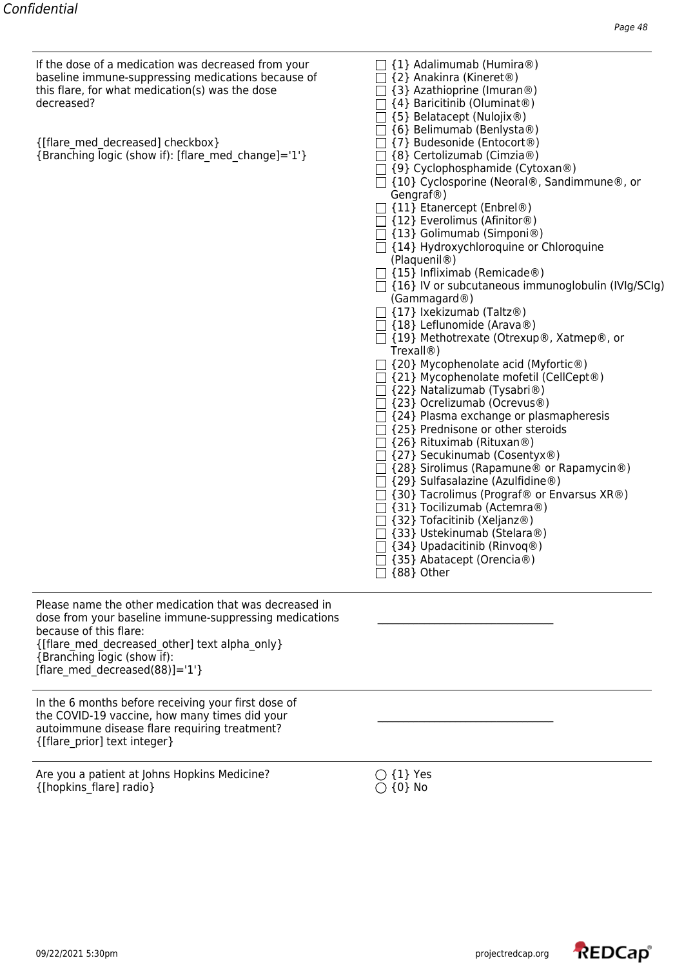If the dose of a medication was decreased from your  $\Box$  {1} Adalimumab (Humira®)<br>baseline immune-suppressing medications because of  $\Box$  {2} Anakinra (Kineret®)<br>this flare, for what medication(s) was the dose  $\Box$  {3} Az baseline immune-suppressing medications because of  $\hskip1cm \fbox{2}$  {2} Anakinra (Kineret®) this flare, for what medication(s) was the dose  $\hfill\Box$  {3} Azathioprine (Imuran®)

| chip hard, for what incarcation(b) was the abse<br>decreased?                                                                                                                                                                                                    | $\Box$ [5] Azuthlophilic (lilluiture)<br>$\Box$ {4} Baricitinib (Oluminat®)<br>$\Box$ {5} Belatacept (Nulojix®)                                                                                                                                                                                                                                                                                                                                                                                                                                                                                                                                                                                                                                                                                                                                                                                                                                                                                                                              |
|------------------------------------------------------------------------------------------------------------------------------------------------------------------------------------------------------------------------------------------------------------------|----------------------------------------------------------------------------------------------------------------------------------------------------------------------------------------------------------------------------------------------------------------------------------------------------------------------------------------------------------------------------------------------------------------------------------------------------------------------------------------------------------------------------------------------------------------------------------------------------------------------------------------------------------------------------------------------------------------------------------------------------------------------------------------------------------------------------------------------------------------------------------------------------------------------------------------------------------------------------------------------------------------------------------------------|
| {[flare med decreased] checkbox}<br>{Branching logic (show if): [flare med change]='1'}                                                                                                                                                                          | {6} Belimumab (Benlysta®)<br>{7} Budesonide (Entocort®)<br>{8} Certolizumab (Cimzia®)<br>□ {9} Cyclophosphamide (Cytoxan®)<br>{10} Cyclosporine (Neoral®, Sandimmune®, or<br>Gengraf@)<br>$\Box$ {11} Etanercept (Enbrel®)<br>$\Box$ {12} Everolimus (Afinitor®)<br>$\Box$ {13} Golimumab (Simponi®)<br>$\Box$ {14} Hydroxychloroquine or Chloroquine<br>(Plaquenil <sup>®</sup> )<br>$\Box$ {15} Infliximab (Remicade®)<br>$\Box$ {16} IV or subcutaneous immunoglobulin (IVIg/SCIg)<br>(Gammagard@)<br>$\Box$ {17} Ixekizumab (Taltz®)<br>$\Box$ {18} Leflunomide (Arava®)<br>□ {19} Methotrexate (Otrexup®, Xatmep®, or<br>Trexall <sup>®</sup> )<br>{20} Mycophenolate acid (Myfortic®)<br>□ {21} Mycophenolate mofetil (CellCept®)<br>{22} Natalizumab (Tysabri®)<br>□ {23} Ocrelizumab (Ocrevus®)<br>{24} Plasma exchange or plasmapheresis<br>{25} Prednisone or other steroids<br>{26} Rituximab (Rituxan®)<br>□ {27} Secukinumab (Cosentyx®)<br>$\Box$ {28} Sirolimus (Rapamune® or Rapamycin®)<br>{29} Sulfasalazine (Azulfidine®) |
|                                                                                                                                                                                                                                                                  | {30} Tacrolimus (Prograf <sup>®</sup> or Envarsus XR <sup>®</sup> )<br>{31} Tocilizumab (Actemra®)<br>$\Box$ {32} Tofacitinib (Xeljanz®)<br>{33} Ustekinumab (Stelara®)<br>$\Box$ {34} Upadacitinib (Rinvoq®)<br>$\Box$ {35} Abatacept (Orencia®)<br>$\Box$ {88} Other                                                                                                                                                                                                                                                                                                                                                                                                                                                                                                                                                                                                                                                                                                                                                                       |
| Please name the other medication that was decreased in<br>dose from your baseline immune-suppressing medications<br>because of this flare:<br>{[flare med decreased other] text alpha only}<br>{Branching logic (show if):<br>[flare med decreased(88)]= $'1'$ } |                                                                                                                                                                                                                                                                                                                                                                                                                                                                                                                                                                                                                                                                                                                                                                                                                                                                                                                                                                                                                                              |
| In the 6 months before receiving your first dose of<br>the COVID-19 vaccine, how many times did your<br>autoimmune disease flare requiring treatment?                                                                                                            |                                                                                                                                                                                                                                                                                                                                                                                                                                                                                                                                                                                                                                                                                                                                                                                                                                                                                                                                                                                                                                              |

Are you a patient at Johns Hopkins Medicine?  $\bigcirc$  {1} Yes {[hopkins\_flare] radio}  $\bigcirc$  {0} No {[hopkins\_flare] radio}

{[flare\_prior] text integer}

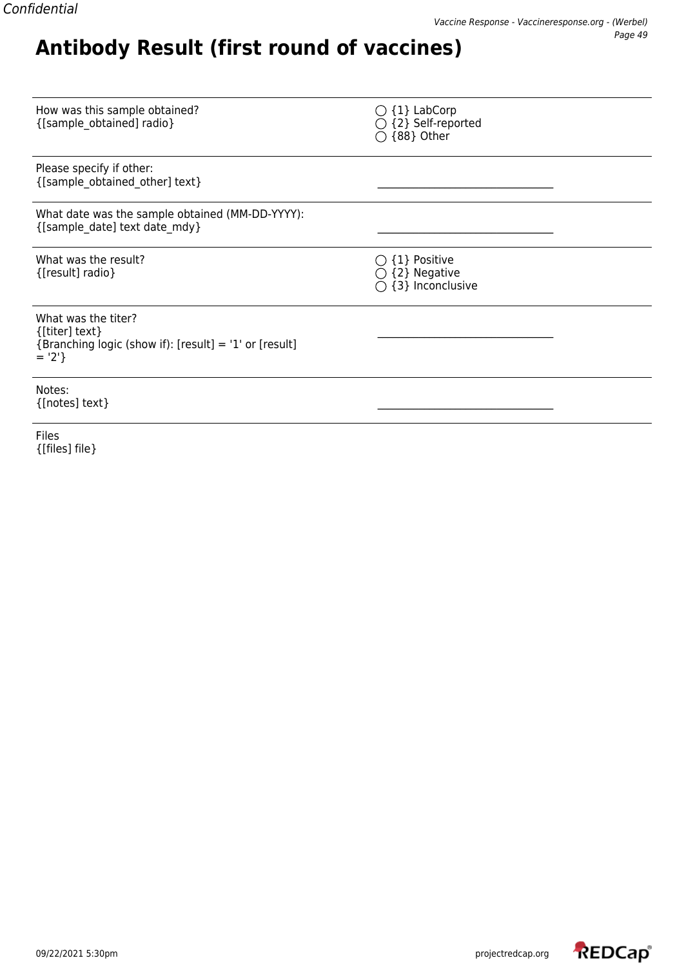### How was this sample obtained?<br>
{[sample\_obtained] radio}  $\bigcirc$  {2} Self-reported  $\bigcirc$  {2} Self-reported {[sample\_obtained] radio} {2} Self-reported  $\bigcirc$  {88} Other Please specify if other: {[sample\_obtained\_other] text} \_\_\_\_\_\_\_\_\_\_\_\_\_\_\_\_\_\_\_\_\_\_\_\_\_\_\_\_\_\_\_\_\_\_ What date was the sample obtained (MM-DD-YYYY): {[sample\_date] text date\_mdy} \_\_\_\_\_\_\_\_\_\_\_\_\_\_\_\_\_\_\_\_\_\_\_\_\_\_\_\_\_\_\_\_\_\_ What was the result?  $\bigcirc$  {1} Positive  $\{\text{[result] radio}\}\$  $\overline{)}$  {3} Inconclusive What was the titer?  ${[titer] text}$ {Branching logic (show if): [result] = '1' or [result]  $=$  '2'} Notes:  $\{[notes]$  text $\}$

**Antibody Result (first round of vaccines)**

Files {[files] file}

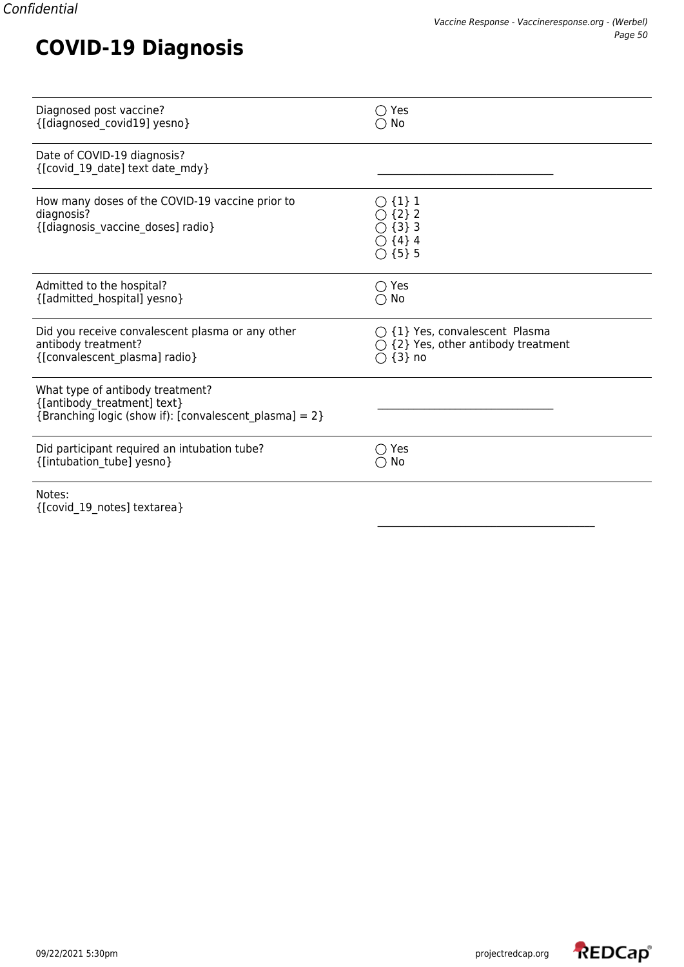## **COVID-19 Diagnosis**

| Diagnosed post vaccine?                                                                                                   | $\bigcirc$ Yes                                                                            |
|---------------------------------------------------------------------------------------------------------------------------|-------------------------------------------------------------------------------------------|
| {[diagnosed_covid19] yesno}                                                                                               | $\cap$ No                                                                                 |
| Date of COVID-19 diagnosis?<br>{[covid 19 date] text date mdy}                                                            |                                                                                           |
| How many doses of the COVID-19 vaccine prior to<br>diagnosis?<br>{[diagnosis_vaccine_doses] radio}                        | $\bigcirc$ {1} 1<br>$\bigcirc$ {2} 2<br>$\{3\}$ 3<br>$\bigcirc$ {4} 4<br>$\bigcirc$ {5} 5 |
| Admitted to the hospital?                                                                                                 | ◯ Yes                                                                                     |
| {[admitted hospital] yesno}                                                                                               | $\bigcirc$ No                                                                             |
| Did you receive convalescent plasma or any other                                                                          | $\bigcirc$ {1} Yes, convalescent Plasma                                                   |
| antibody treatment?                                                                                                       | {2} Yes, other antibody treatment                                                         |
| {[convalescent plasma] radio}                                                                                             | $\bigcirc$ {3} no                                                                         |
| What type of antibody treatment?<br>{[antibody_treatment] text}<br>{Branching logic (show if): [convalescent_plasma] = 2} |                                                                                           |
| Did participant required an intubation tube?                                                                              | Yes                                                                                       |
| {[intubation tube] yesno}                                                                                                 | No                                                                                        |
| Notes:<br>{[covid 19 notes] textarea}                                                                                     |                                                                                           |

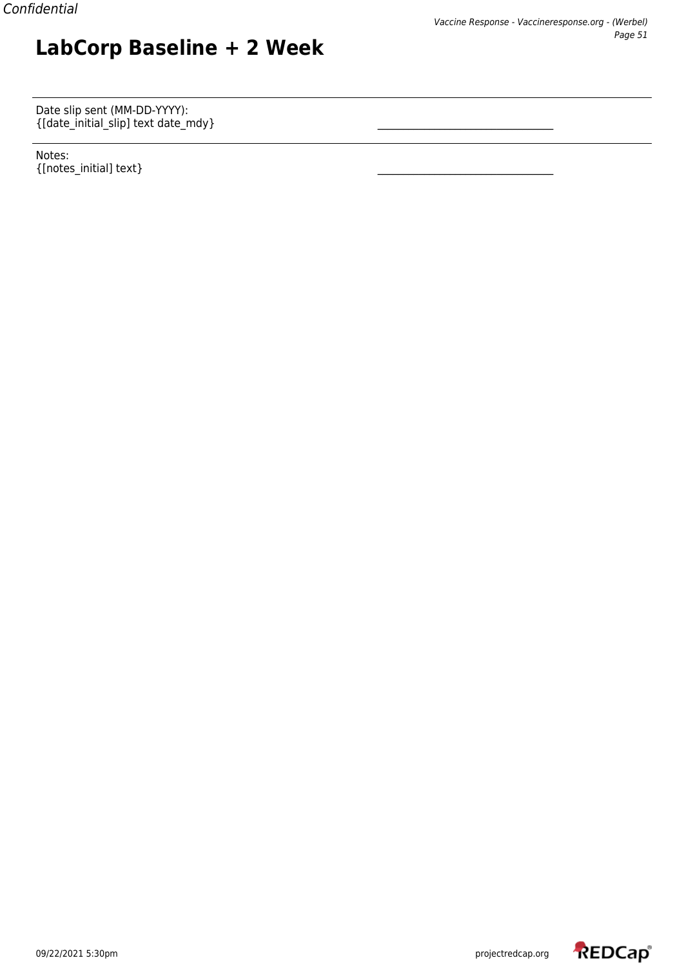Date slip sent (MM-DD-YYYY):  $\{[\text{date\_initial\_slip}] \text{ text date\_mdy}\}$   $\qquad \qquad \qquad \qquad$ 

**LabCorp Baseline + 2 Week**

Notes:  $\{$ [notes\_initial] text}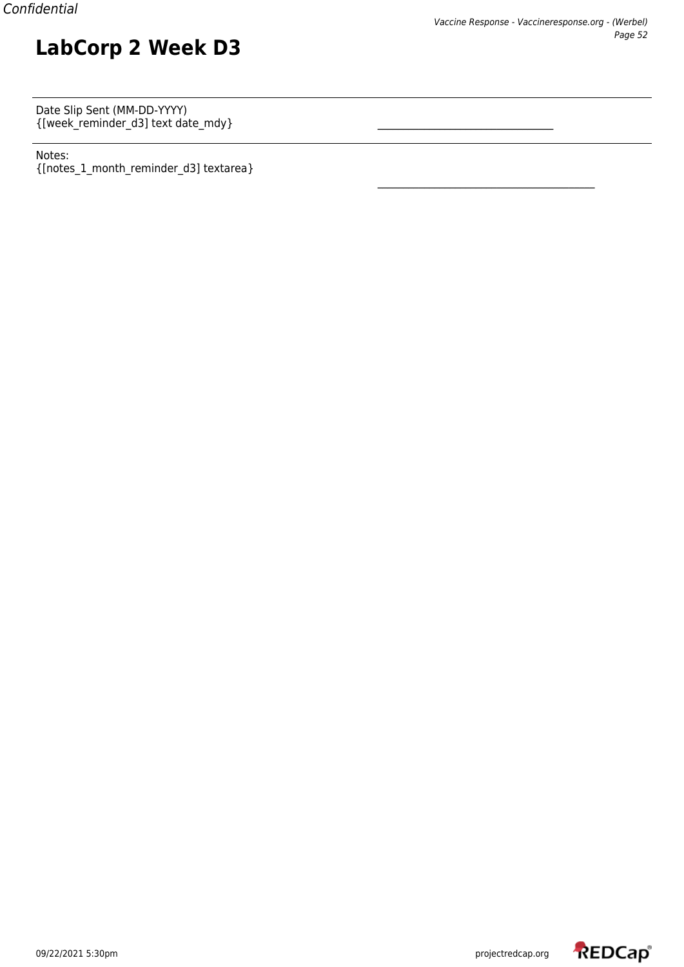Date Slip Sent (MM-DD-YYYY)  $\{[week\_reminder\_d3] \text{ text date\_mdy}\}$   $\qquad \qquad \qquad \qquad \qquad$ 

**LabCorp 2 Week D3**

Notes: {[notes\_1\_month\_reminder\_d3] textarea}

\_\_\_\_\_\_\_\_\_\_\_\_\_\_\_\_\_\_\_\_\_\_\_\_\_\_\_\_\_\_\_\_\_\_\_\_\_\_\_\_\_\_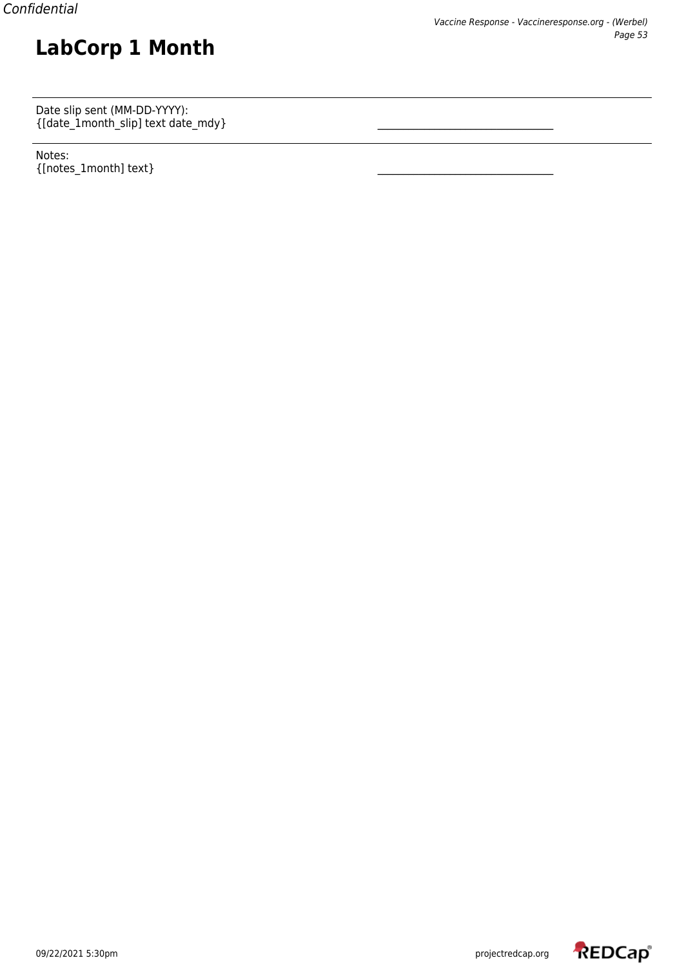Date slip sent (MM-DD-YYYY):  $\{[\text{date\_1month\_slip}] \text{ text date\_mdy}\}$   $\qquad \qquad \qquad \qquad$ 

**LabCorp 1 Month**

Notes:  $\{$ [notes\_1month] text}

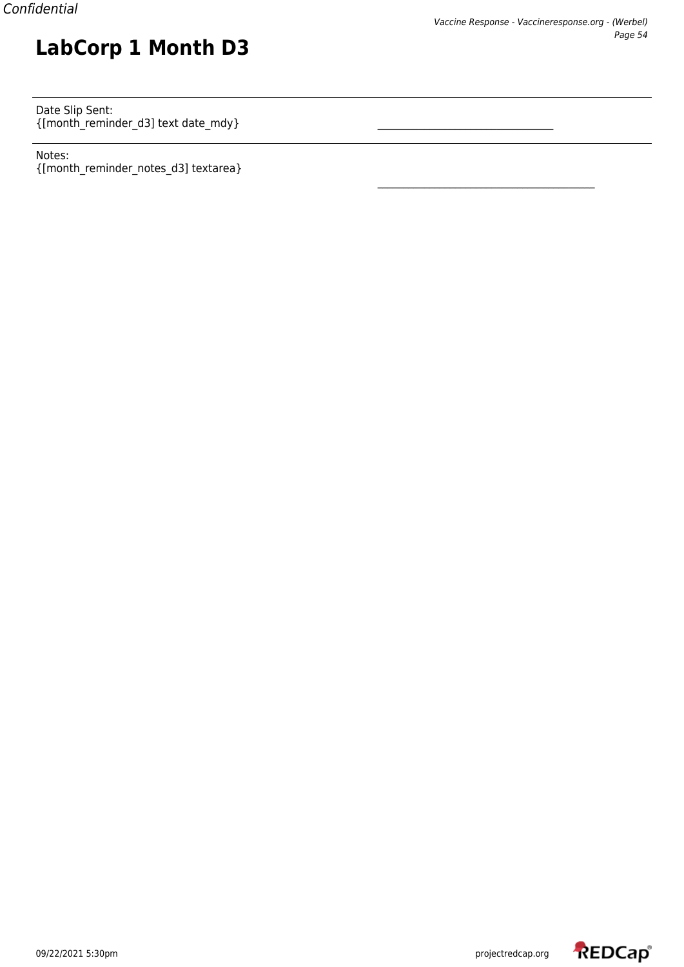Date Slip Sent: {[month\_reminder\_d3] text date\_mdy} \_\_\_\_\_\_\_\_\_\_\_\_\_\_\_\_\_\_\_\_\_\_\_\_\_\_\_\_\_\_\_\_\_\_

**LabCorp 1 Month D3**

Notes: {[month\_reminder\_notes\_d3] textarea}

\_\_\_\_\_\_\_\_\_\_\_\_\_\_\_\_\_\_\_\_\_\_\_\_\_\_\_\_\_\_\_\_\_\_\_\_\_\_\_\_\_\_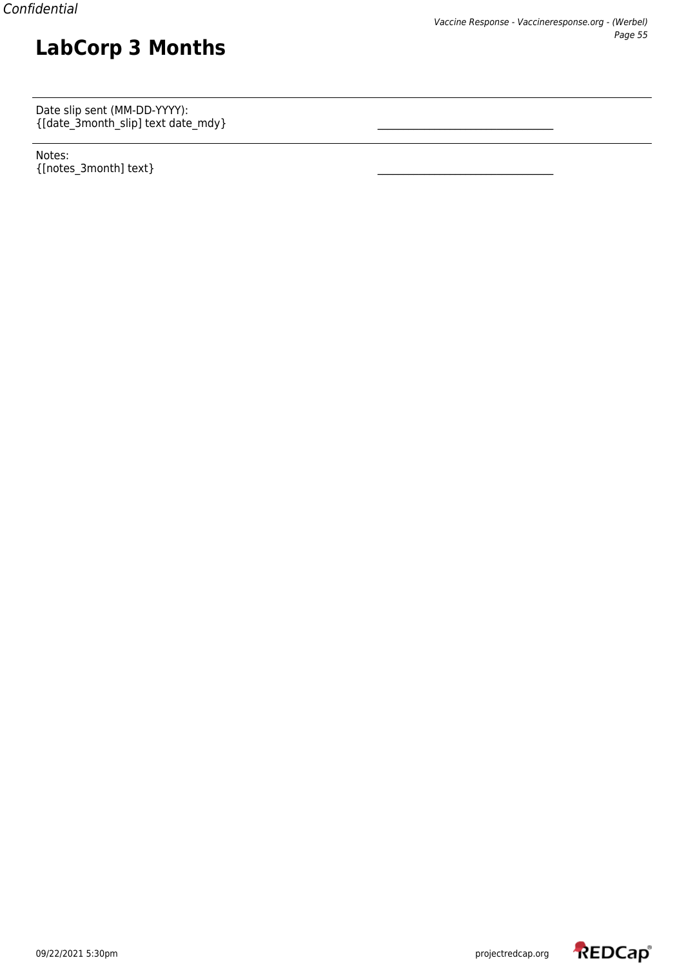Date slip sent (MM-DD-YYYY):  $\{[\text{date\_3month\_slip}] \text{ text date\_mdy}\}$   $\qquad \qquad \qquad \qquad$ 

**LabCorp 3 Months**

Notes: {[notes\_3month] text} \_\_\_\_\_\_\_\_\_\_\_\_\_\_\_\_\_\_\_\_\_\_\_\_\_\_\_\_\_\_\_\_\_\_

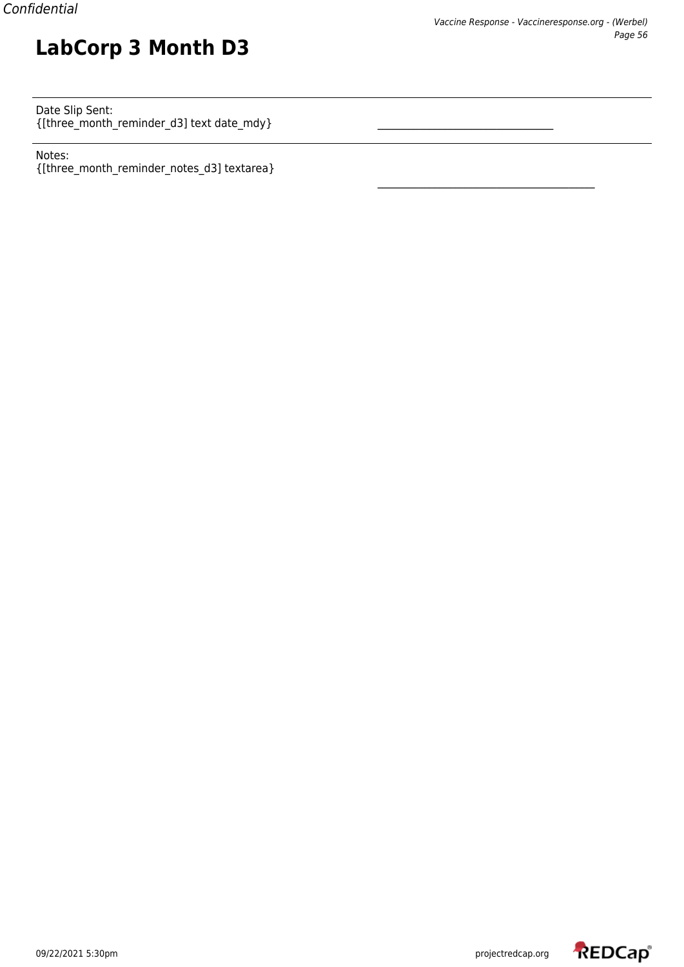#### Date Slip Sent:  $\{[three\_month\_remainder\_d3] \text{ text date\_mdy}\}$   $\qquad \qquad \qquad$

**LabCorp 3 Month D3**

Notes: {[three\_month\_reminder\_notes\_d3] textarea}

\_\_\_\_\_\_\_\_\_\_\_\_\_\_\_\_\_\_\_\_\_\_\_\_\_\_\_\_\_\_\_\_\_\_\_\_\_\_\_\_\_\_

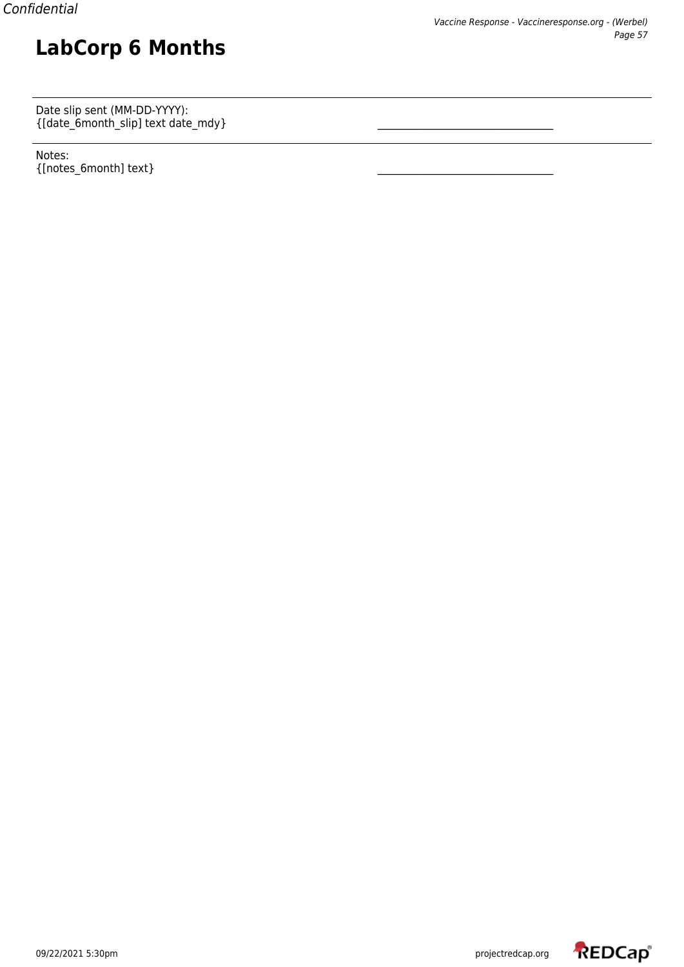Date slip sent (MM-DD-YYYY):  $\{[\text{date\_6month\_slip}] \text{ text date\_mdy}\}$   $\qquad \qquad \qquad \qquad$ 

**LabCorp 6 Months**

Notes:  $\{$ [notes\_6month] text}

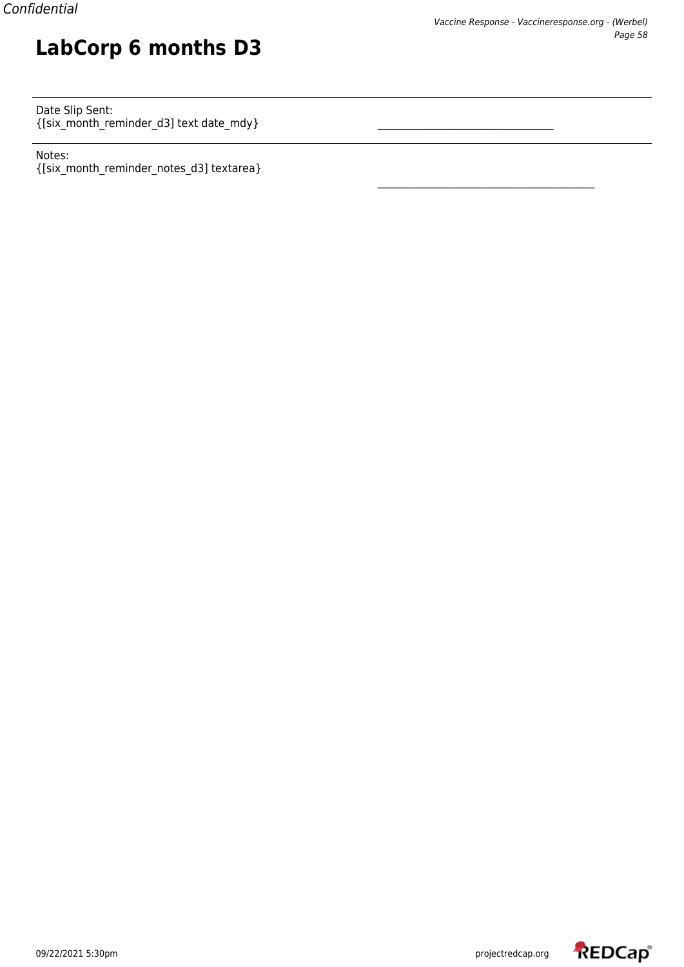Date Slip Sent: {[six\_month\_reminder\_d3] text date\_mdy} \_\_\_\_\_\_\_\_\_\_\_\_\_\_\_\_\_\_\_\_\_\_\_\_\_\_\_\_\_\_\_\_\_\_

**LabCorp 6 months D3**

Notes: {[six\_month\_reminder\_notes\_d3] textarea}

\_\_\_\_\_\_\_\_\_\_\_\_\_\_\_\_\_\_\_\_\_\_\_\_\_\_\_\_\_\_\_\_\_\_\_\_\_\_\_\_\_\_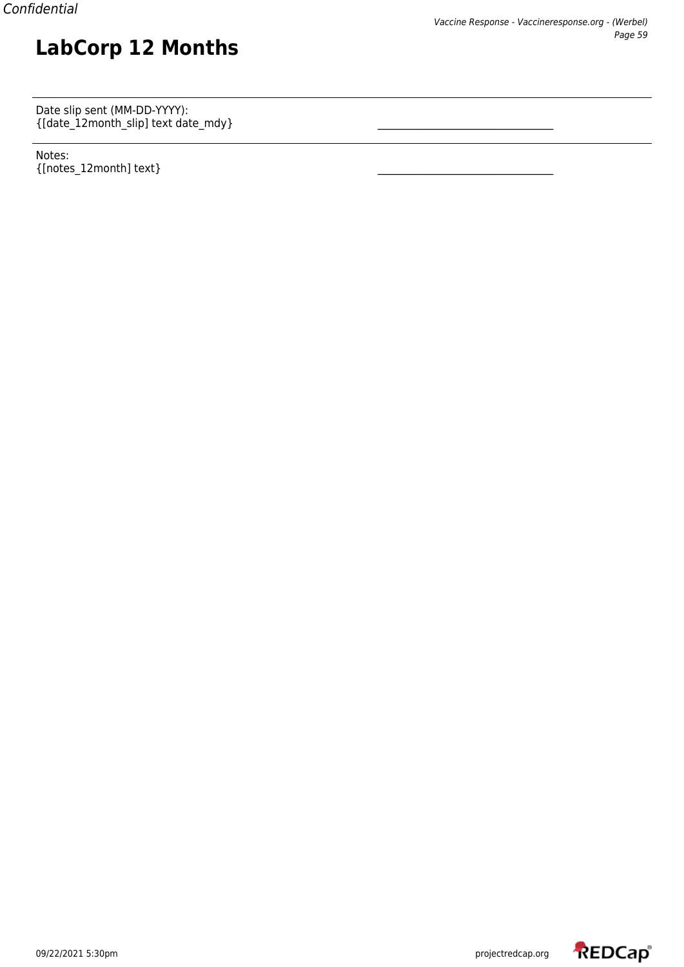Date slip sent (MM-DD-YYYY): {[date\_12month\_slip] text date\_mdy} \_\_\_\_\_\_\_\_\_\_\_\_\_\_\_\_\_\_\_\_\_\_\_\_\_\_\_\_\_\_\_\_\_\_

**LabCorp 12 Months**

Notes:  $_{\{[notes\_12month] \text{ text}\}}$ 

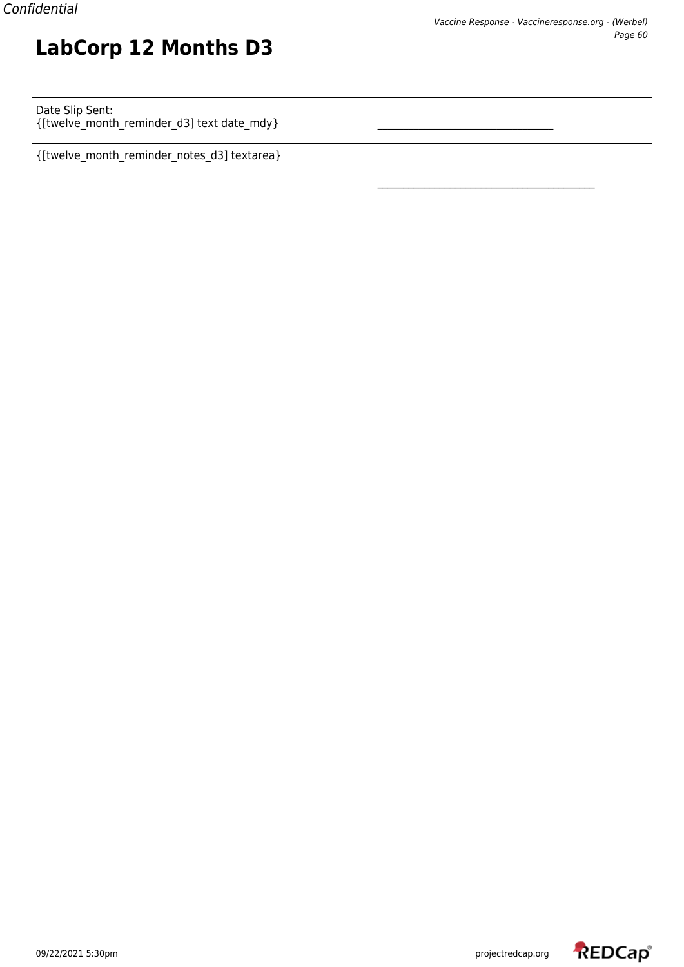Date Slip Sent: {[twelve\_month\_reminder\_d3] text date\_mdy} \_\_\_\_\_\_\_\_\_\_\_\_\_\_\_\_\_\_\_\_\_\_\_\_\_\_\_\_\_\_\_\_\_\_

**LabCorp 12 Months D3**

{[twelve\_month\_reminder\_notes\_d3] textarea}



\_\_\_\_\_\_\_\_\_\_\_\_\_\_\_\_\_\_\_\_\_\_\_\_\_\_\_\_\_\_\_\_\_\_\_\_\_\_\_\_\_\_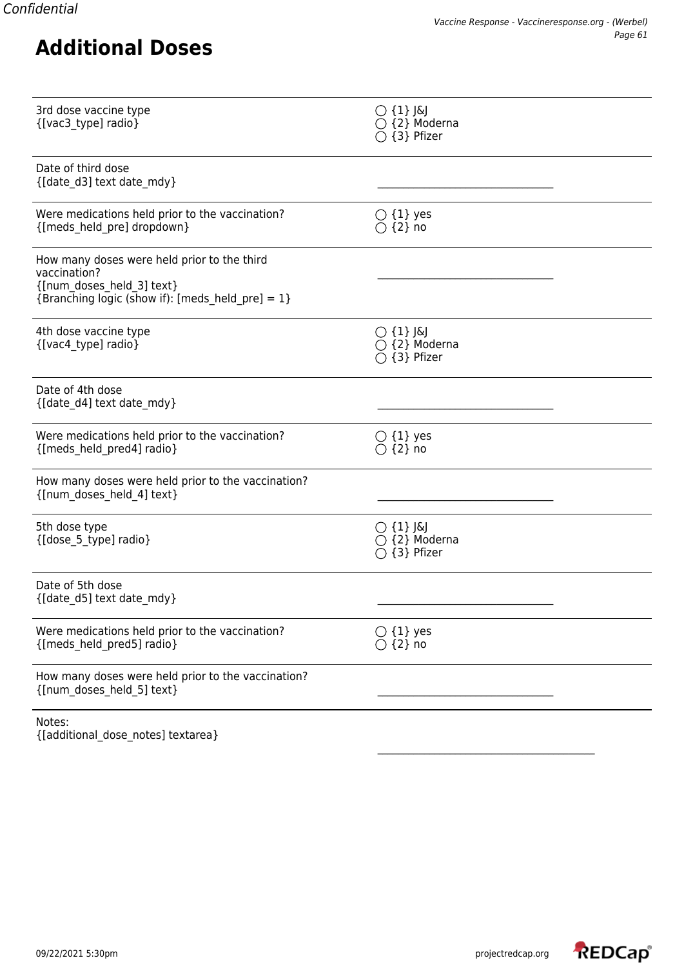| 3rd dose vaccine type<br>{[vac3_type] radio}                                                                                                    | $\bigcirc$ {1} J&J<br>$\bigcirc$ {2} Moderna<br>○ {3} Pfizer |
|-------------------------------------------------------------------------------------------------------------------------------------------------|--------------------------------------------------------------|
| Date of third dose<br>{[date d3] text date mdy}                                                                                                 |                                                              |
| Were medications held prior to the vaccination?<br>{[meds held pre] dropdown}                                                                   | $\bigcirc$ {1} yes<br>$\bigcirc$ {2} no                      |
| How many doses were held prior to the third<br>vaccination?<br>{[num doses_held_3] text}<br>{Branching logic (show if): [meds_held_pre] = $1$ } |                                                              |
| 4th dose vaccine type<br>{[vac4_type] radio}                                                                                                    | $\bigcirc$ {1} J&J<br>$\bigcirc$ {2} Moderna<br>○ {3} Pfizer |
| Date of 4th dose<br>{[date d4] text date mdy}                                                                                                   |                                                              |
| Were medications held prior to the vaccination?<br>{[meds_held_pred4] radio}                                                                    | $\bigcirc$ {1} yes<br>$\bigcirc$ {2} no                      |
| How many doses were held prior to the vaccination?<br>{[num_doses_held_4] text}                                                                 |                                                              |
| 5th dose type<br>{[dose_5_type] radio}                                                                                                          | $\bigcirc$ {1} J&J<br>$\bigcirc$ {2} Moderna<br>{3} Pfizer   |
| Date of 5th dose<br>{[date_d5] text date_mdy}                                                                                                   |                                                              |
| Were medications held prior to the vaccination?<br>{[meds_held_pred5] radio}                                                                    | $\bigcirc$ {1} yes<br>$\{2\}$ no                             |
| How many doses were held prior to the vaccination?<br>{[num doses held 5] text}                                                                 |                                                              |
| Notes:<br>{[additional_dose_notes] textarea}                                                                                                    |                                                              |

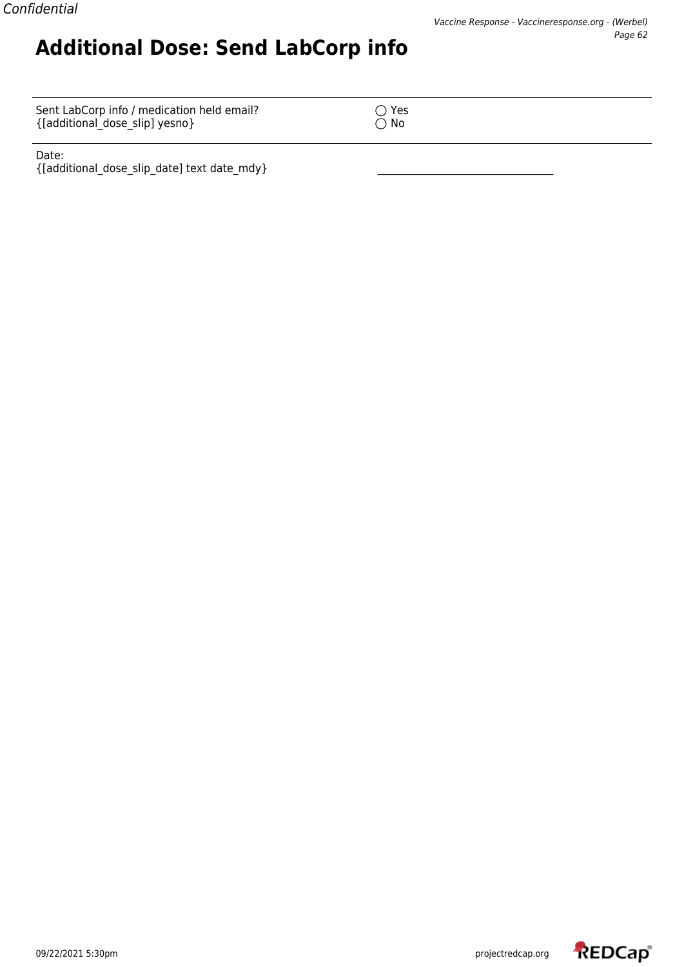Sent LabCorp info / medication held email?  $\bigcirc$  Yes {[additional\_dose\_slip] yesno} No

**Additional Dose: Send LabCorp info**

Date: {[additional\_dose\_slip\_date] text date\_mdy} \_\_\_\_\_\_\_\_\_\_\_\_\_\_\_\_\_\_\_\_\_\_\_\_\_\_\_\_\_\_\_\_\_\_

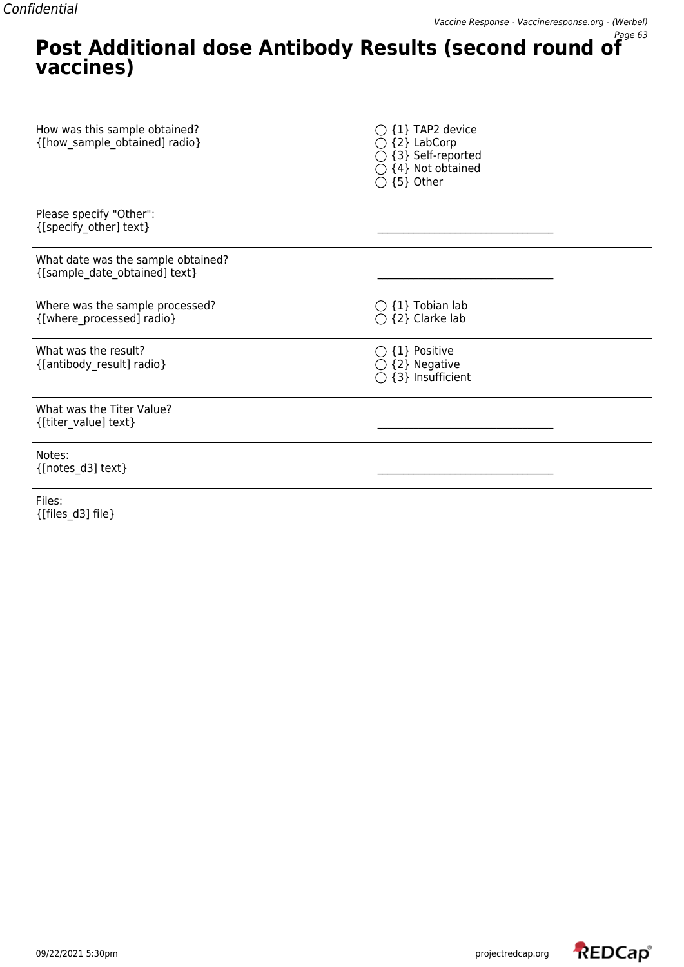#### **Post Additional dose Antibody Results (second round of vaccines)**

| How was this sample obtained?<br>{[how_sample_obtained] radio}      | {1} TAP2 device<br>{2} LabCorp<br>{3} Self-reported<br>{4} Not obtained<br>$\bigcirc$ {5} Other |
|---------------------------------------------------------------------|-------------------------------------------------------------------------------------------------|
| Please specify "Other":<br>{[specify other] text}                   |                                                                                                 |
| What date was the sample obtained?<br>{[sample_date_obtained] text} |                                                                                                 |
| Where was the sample processed?<br>{[where processed] radio}        | $\bigcirc$ {1} Tobian lab<br>$\bigcirc$ {2} Clarke lab                                          |
| What was the result?<br>{[antibody_result] radio}                   | $\bigcirc$ {1} Positive<br>$\bigcirc$ {2} Negative<br>{3} Insufficient                          |
| What was the Titer Value?<br>{[titer_value] text}                   |                                                                                                 |
| Notes:<br>{[notes d3] text}                                         |                                                                                                 |

Files: {[files\_d3] file}